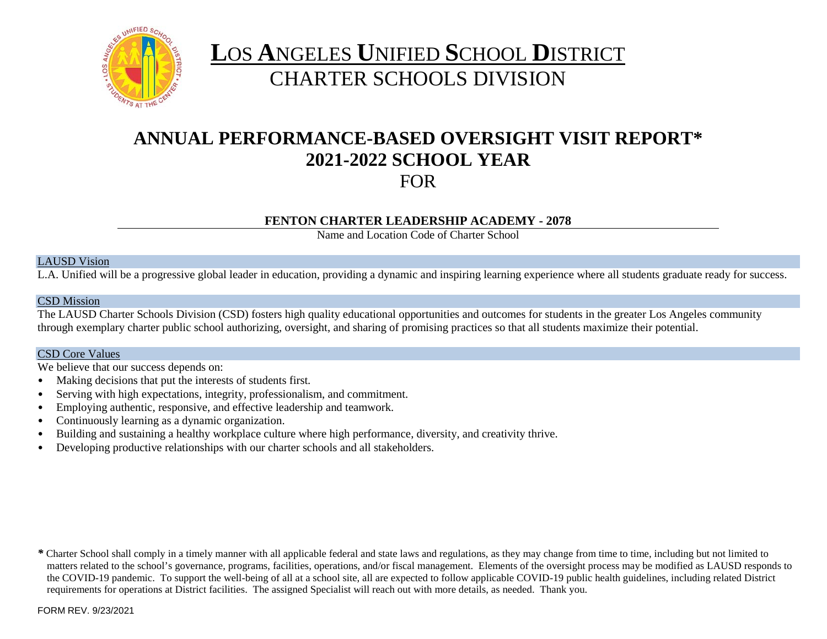

# **L**OS **A**NGELES **U**NIFIED **S**CHOOL **D**ISTRICT CHARTER SCHOOLS DIVISION

## **ANNUAL PERFORMANCE-BASED OVERSIGHT VISIT REPORT\* 2021-2022 SCHOOL YEAR** FOR

#### **FENTON CHARTER LEADERSHIP ACADEMY - 2078**

Name and Location Code of Charter School

#### LAUSD Vision

L.A. Unified will be a progressive global leader in education, providing a dynamic and inspiring learning experience where all students graduate ready for success.

#### CSD Mission

The LAUSD Charter Schools Division (CSD) fosters high quality educational opportunities and outcomes for students in the greater Los Angeles community through exemplary charter public school authorizing, oversight, and sharing of promising practices so that all students maximize their potential.

#### CSD Core Values

We believe that our success depends on:

- Making decisions that put the interests of students first.
- Serving with high expectations, integrity, professionalism, and commitment.
- Employing authentic, responsive, and effective leadership and teamwork.
- Continuously learning as a dynamic organization.
- Building and sustaining a healthy workplace culture where high performance, diversity, and creativity thrive.
- Developing productive relationships with our charter schools and all stakeholders.

*\** Charter School shall comply in a timely manner with all applicable federal and state laws and regulations, as they may change from time to time, including but not limited to matters related to the school's governance, programs, facilities, operations, and/or fiscal management. Elements of the oversight process may be modified as LAUSD responds to the COVID-19 pandemic. To support the well-being of all at a school site, all are expected to follow applicable COVID-19 public health guidelines, including related District requirements for operations at District facilities. The assigned Specialist will reach out with more details, as needed. Thank you.

FORM REV. 9/23/2021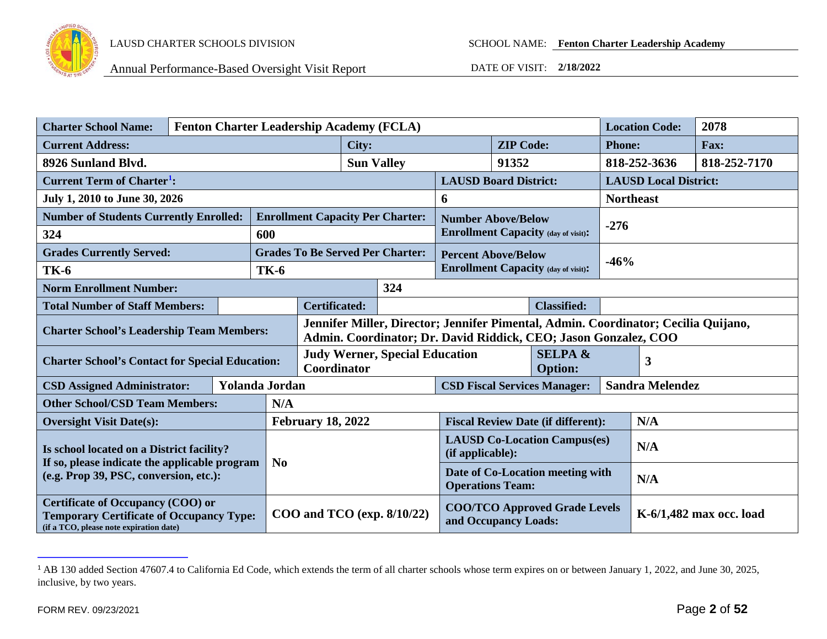

<span id="page-1-0"></span>

| <b>Charter School Name:</b>                                                                                                            |  |  | <b>Fenton Charter Leadership Academy (FCLA)</b> |                                                                                                                                                       |                                                              |                                           |                                     |               |                                            | <b>Location Code:</b>  | 2078                         |  |
|----------------------------------------------------------------------------------------------------------------------------------------|--|--|-------------------------------------------------|-------------------------------------------------------------------------------------------------------------------------------------------------------|--------------------------------------------------------------|-------------------------------------------|-------------------------------------|---------------|--------------------------------------------|------------------------|------------------------------|--|
| <b>Current Address:</b>                                                                                                                |  |  | City:                                           |                                                                                                                                                       |                                                              | <b>ZIP Code:</b>                          |                                     | <b>Phone:</b> |                                            | Fax:                   |                              |  |
| 8926 Sunland Blvd.                                                                                                                     |  |  |                                                 |                                                                                                                                                       | <b>Sun Valley</b>                                            |                                           | 91352                               |               |                                            | 818-252-3636           | 818-252-7170                 |  |
| <b>Current Term of Charter<sup>1</sup>:</b>                                                                                            |  |  |                                                 |                                                                                                                                                       |                                                              |                                           | <b>LAUSD Board District:</b>        |               |                                            |                        | <b>LAUSD Local District:</b> |  |
| July 1, 2010 to June 30, 2026                                                                                                          |  |  |                                                 |                                                                                                                                                       |                                                              |                                           | 6                                   |               |                                            | <b>Northeast</b>       |                              |  |
| <b>Number of Students Currently Enrolled:</b>                                                                                          |  |  |                                                 |                                                                                                                                                       |                                                              | <b>Enrollment Capacity Per Charter:</b>   | <b>Number Above/Below</b>           |               |                                            |                        |                              |  |
| 324                                                                                                                                    |  |  | 600                                             |                                                                                                                                                       |                                                              |                                           |                                     |               | <b>Enrollment Capacity (day of visit):</b> | $-276$                 |                              |  |
| <b>Grades Currently Served:</b>                                                                                                        |  |  |                                                 |                                                                                                                                                       |                                                              | <b>Grades To Be Served Per Charter:</b>   | <b>Percent Above/Below</b>          |               |                                            |                        |                              |  |
| <b>TK-6</b>                                                                                                                            |  |  | <b>TK-6</b>                                     |                                                                                                                                                       |                                                              |                                           |                                     |               | <b>Enrollment Capacity (day of visit):</b> | $-46%$                 |                              |  |
| <b>Norm Enrollment Number:</b>                                                                                                         |  |  |                                                 |                                                                                                                                                       |                                                              | 324                                       |                                     |               |                                            |                        |                              |  |
| <b>Total Number of Staff Members:</b>                                                                                                  |  |  |                                                 | <b>Certificated:</b>                                                                                                                                  | <b>Classified:</b>                                           |                                           |                                     |               |                                            |                        |                              |  |
| <b>Charter School's Leadership Team Members:</b>                                                                                       |  |  |                                                 | Jennifer Miller, Director; Jennifer Pimental, Admin. Coordinator; Cecilia Quijano,<br>Admin. Coordinator; Dr. David Riddick, CEO; Jason Gonzalez, COO |                                                              |                                           |                                     |               |                                            |                        |                              |  |
| <b>Charter School's Contact for Special Education:</b>                                                                                 |  |  |                                                 | <b>Judy Werner, Special Education</b><br>Coordinator                                                                                                  |                                                              | <b>SELPA &amp;</b><br><b>Option:</b>      |                                     |               | 3                                          |                        |                              |  |
| <b>CSD Assigned Administrator:</b>                                                                                                     |  |  | <b>Yolanda Jordan</b>                           |                                                                                                                                                       |                                                              |                                           | <b>CSD Fiscal Services Manager:</b> |               |                                            | <b>Sandra Melendez</b> |                              |  |
| <b>Other School/CSD Team Members:</b>                                                                                                  |  |  | N/A                                             |                                                                                                                                                       |                                                              |                                           |                                     |               |                                            |                        |                              |  |
| <b>Oversight Visit Date(s):</b>                                                                                                        |  |  |                                                 | <b>February 18, 2022</b>                                                                                                                              |                                                              | <b>Fiscal Review Date (if different):</b> |                                     |               | N/A                                        |                        |                              |  |
| Is school located on a District facility?                                                                                              |  |  |                                                 |                                                                                                                                                       | <b>LAUSD Co-Location Campus(es)</b><br>(if applicable):      |                                           |                                     | N/A           |                                            |                        |                              |  |
| If so, please indicate the applicable program<br>(e.g. Prop 39, PSC, conversion, etc.):                                                |  |  | N <sub>0</sub>                                  |                                                                                                                                                       | Date of Co-Location meeting with<br><b>Operations Team:</b>  |                                           |                                     | N/A           |                                            |                        |                              |  |
| <b>Certificate of Occupancy (COO) or</b><br><b>Temporary Certificate of Occupancy Type:</b><br>(if a TCO, please note expiration date) |  |  | $COO$ and $TCO$ (exp. $8/10/22$ )               |                                                                                                                                                       | <b>COO/TCO Approved Grade Levels</b><br>and Occupancy Loads: |                                           |                                     |               | K-6/1,482 max occ. load                    |                        |                              |  |

<sup>&</sup>lt;sup>1</sup> AB 130 added Section 47607.4 to California Ed Code, which extends the term of all charter schools whose term expires on or between January 1, 2022, and June 30, 2025, inclusive, by two years.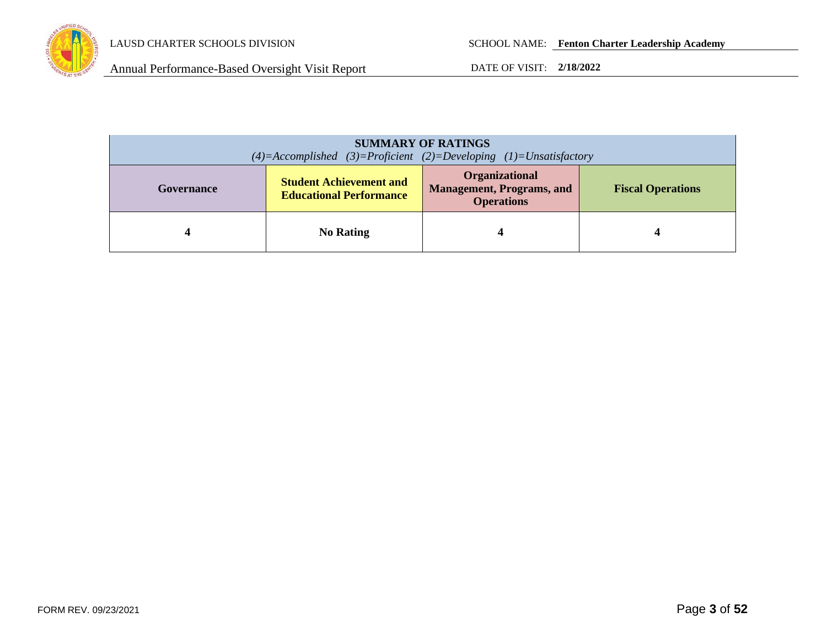

| <b>SUMMARY OF RATINGS</b><br>$(4)=$ Accomplished $(3)=$ Proficient $(2)=$ Developing $(1)=$ Unsatisfactory |                                                                  |                                                                                |                          |
|------------------------------------------------------------------------------------------------------------|------------------------------------------------------------------|--------------------------------------------------------------------------------|--------------------------|
| Governance                                                                                                 | <b>Student Achievement and</b><br><b>Educational Performance</b> | <b>Organizational</b><br><b>Management, Programs, and</b><br><b>Operations</b> | <b>Fiscal Operations</b> |
|                                                                                                            | <b>No Rating</b>                                                 |                                                                                |                          |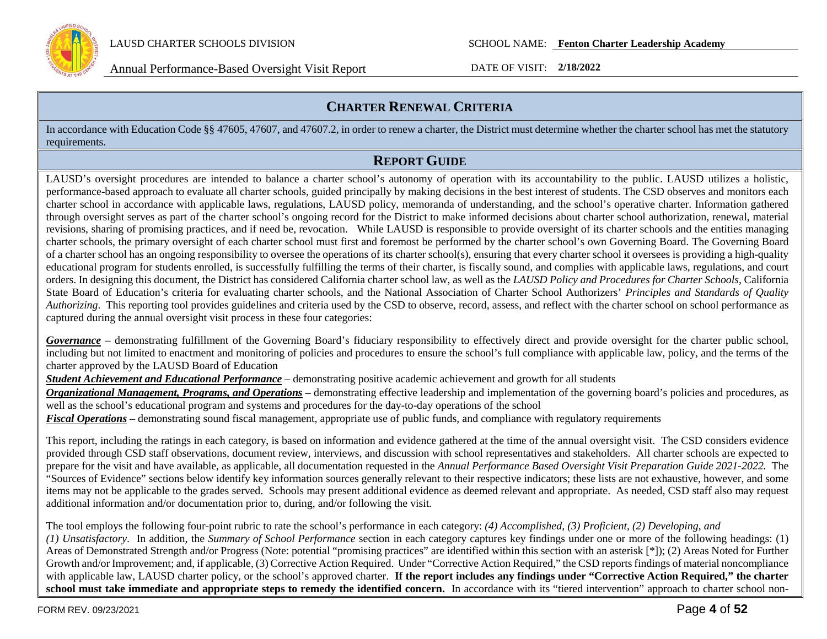

### **CHARTER RENEWAL CRITERIA**

In accordance with Education Code §§ 47605, 47607, and 47607.2, in order to renew a charter, the District must determine whether the charter school has met the statutory requirements.

## **REPORT GUIDE**

LAUSD's oversight procedures are intended to balance a charter school's autonomy of operation with its accountability to the public. LAUSD utilizes a holistic, performance-based approach to evaluate all charter schools, guided principally by making decisions in the best interest of students. The CSD observes and monitors each charter school in accordance with applicable laws, regulations, LAUSD policy, memoranda of understanding, and the school's operative charter. Information gathered through oversight serves as part of the charter school's ongoing record for the District to make informed decisions about charter school authorization, renewal, material revisions, sharing of promising practices, and if need be, revocation. While LAUSD is responsible to provide oversight of its charter schools and the entities managing charter schools, the primary oversight of each charter school must first and foremost be performed by the charter school's own Governing Board. The Governing Board of a charter school has an ongoing responsibility to oversee the operations of its charter school(s), ensuring that every charter school it oversees is providing a high-quality educational program for students enrolled, is successfully fulfilling the terms of their charter, is fiscally sound, and complies with applicable laws, regulations, and court orders. In designing this document, the District has considered California charter school law, as well as the *LAUSD Policy and Procedures for Charter Schools,* California State Board of Education's criteria for evaluating charter schools, and the National Association of Charter School Authorizers' *Principles and Standards of Quality Authorizing*. This reporting tool provides guidelines and criteria used by the CSD to observe, record, assess, and reflect with the charter school on school performance as captured during the annual oversight visit process in these four categories:

*Governance* – demonstrating fulfillment of the Governing Board's fiduciary responsibility to effectively direct and provide oversight for the charter public school, including but not limited to enactment and monitoring of policies and procedures to ensure the school's full compliance with applicable law, policy, and the terms of the charter approved by the LAUSD Board of Education

*Student Achievement and Educational Performance* – demonstrating positive academic achievement and growth for all students

*Organizational Management, Programs, and Operations* – demonstrating effective leadership and implementation of the governing board's policies and procedures, as well as the school's educational program and systems and procedures for the day-to-day operations of the school

*Fiscal Operations* – demonstrating sound fiscal management, appropriate use of public funds, and compliance with regulatory requirements

This report, including the ratings in each category, is based on information and evidence gathered at the time of the annual oversight visit. The CSD considers evidence provided through CSD staff observations, document review, interviews, and discussion with school representatives and stakeholders. All charter schools are expected to prepare for the visit and have available, as applicable, all documentation requested in the *Annual Performance Based Oversight Visit Preparation Guide 2021-2022.* The "Sources of Evidence" sections below identify key information sources generally relevant to their respective indicators; these lists are not exhaustive, however, and some items may not be applicable to the grades served. Schools may present additional evidence as deemed relevant and appropriate. As needed, CSD staff also may request additional information and/or documentation prior to, during, and/or following the visit.

The tool employs the following four-point rubric to rate the school's performance in each category: *(4) Accomplished, (3) Proficient, (2) Developing, and (1) Unsatisfactory*. In addition, the *Summary of School Performance* section in each category captures key findings under one or more of the following headings: (1) Areas of Demonstrated Strength and/or Progress (Note: potential "promising practices" are identified within this section with an asterisk [\*]); (2) Areas Noted for Further Growth and/or Improvement; and, if applicable, (3) Corrective Action Required. Under "Corrective Action Required," the CSD reports findings of material noncompliance with applicable law, LAUSD charter policy, or the school's approved charter. **If the report includes any findings under "Corrective Action Required," the charter**  school must take immediate and appropriate steps to remedy the identified concern. In accordance with its "tiered intervention" approach to charter school non-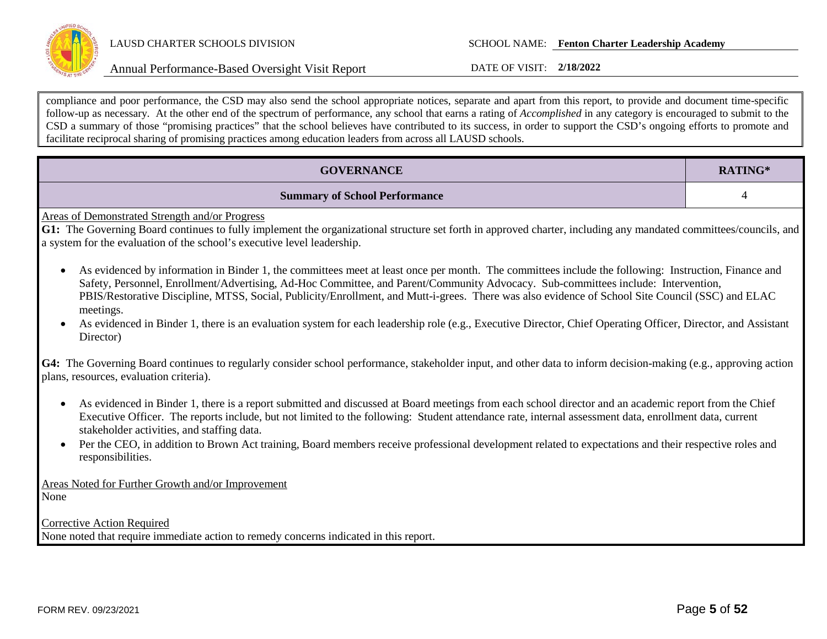

compliance and poor performance, the CSD may also send the school appropriate notices, separate and apart from this report, to provide and document time-specific follow-up as necessary. At the other end of the spectrum of performance, any school that earns a rating of *Accomplished* in any category is encouraged to submit to the CSD a summary of those "promising practices" that the school believes have contributed to its success, in order to support the CSD's ongoing efforts to promote and facilitate reciprocal sharing of promising practices among education leaders from across all LAUSD schools.

| <b>GOVERNANCE</b>                                                                                                                                                                                                                                                                                                                                                                                                                                                       | RATING*                                                                                                                                                          |  |  |  |  |
|-------------------------------------------------------------------------------------------------------------------------------------------------------------------------------------------------------------------------------------------------------------------------------------------------------------------------------------------------------------------------------------------------------------------------------------------------------------------------|------------------------------------------------------------------------------------------------------------------------------------------------------------------|--|--|--|--|
| <b>Summary of School Performance</b>                                                                                                                                                                                                                                                                                                                                                                                                                                    | 4                                                                                                                                                                |  |  |  |  |
| Areas of Demonstrated Strength and/or Progress<br>a system for the evaluation of the school's executive level leadership.                                                                                                                                                                                                                                                                                                                                               | G1: The Governing Board continues to fully implement the organizational structure set forth in approved charter, including any mandated committees/councils, and |  |  |  |  |
| As evidenced by information in Binder 1, the committees meet at least once per month. The committees include the following: Instruction, Finance and<br>$\bullet$<br>Safety, Personnel, Enrollment/Advertising, Ad-Hoc Committee, and Parent/Community Advocacy. Sub-committees include: Intervention,<br>PBIS/Restorative Discipline, MTSS, Social, Publicity/Enrollment, and Mutt-i-grees. There was also evidence of School Site Council (SSC) and ELAC<br>meetings. |                                                                                                                                                                  |  |  |  |  |
| As evidenced in Binder 1, there is an evaluation system for each leadership role (e.g., Executive Director, Chief Operating Officer, Director, and Assistant<br>Director)                                                                                                                                                                                                                                                                                               |                                                                                                                                                                  |  |  |  |  |
| G4: The Governing Board continues to regularly consider school performance, stakeholder input, and other data to inform decision-making (e.g., approving action<br>plans, resources, evaluation criteria).                                                                                                                                                                                                                                                              |                                                                                                                                                                  |  |  |  |  |
| As evidenced in Binder 1, there is a report submitted and discussed at Board meetings from each school director and an academic report from the Chief<br>$\bullet$<br>Executive Officer. The reports include, but not limited to the following: Student attendance rate, internal assessment data, enrollment data, current<br>stakeholder activities, and staffing data.                                                                                               |                                                                                                                                                                  |  |  |  |  |
| Per the CEO, in addition to Brown Act training, Board members receive professional development related to expectations and their respective roles and<br>$\bullet$<br>responsibilities.                                                                                                                                                                                                                                                                                 |                                                                                                                                                                  |  |  |  |  |
| Areas Noted for Further Growth and/or Improvement<br>None                                                                                                                                                                                                                                                                                                                                                                                                               |                                                                                                                                                                  |  |  |  |  |
| <b>Corrective Action Required</b><br>None noted that require immediate action to remedy concerns indicated in this report.                                                                                                                                                                                                                                                                                                                                              |                                                                                                                                                                  |  |  |  |  |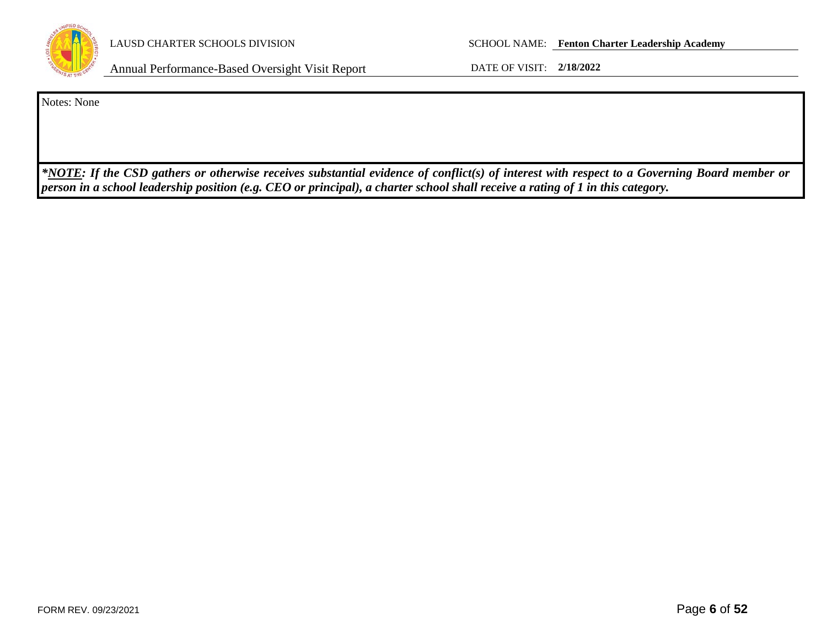

Notes: None

*\*NOTE: If the CSD gathers or otherwise receives substantial evidence of conflict(s) of interest with respect to a Governing Board member or person in a school leadership position (e.g. CEO or principal), a charter school shall receive a rating of 1 in this category.*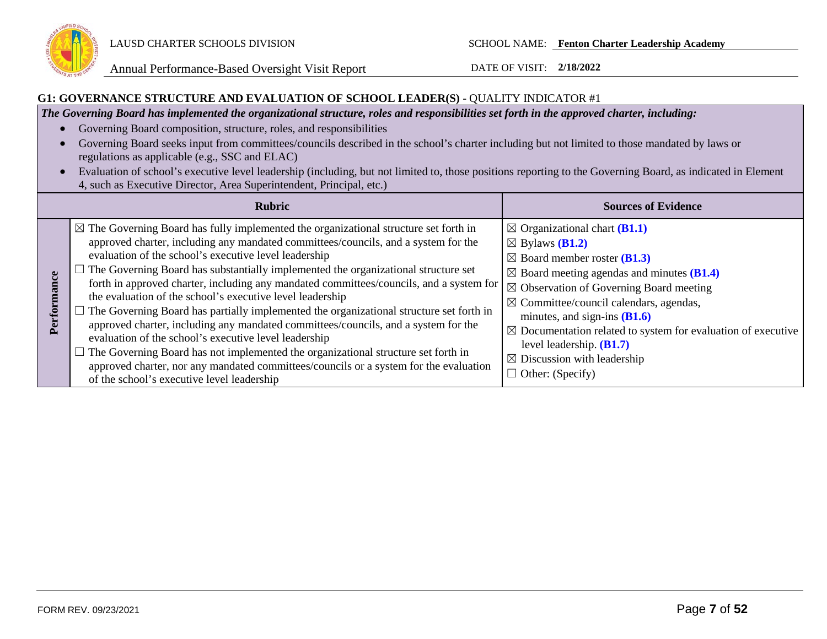

#### **G1: GOVERNANCE STRUCTURE AND EVALUATION OF SCHOOL LEADER(S)** - QUALITY INDICATOR #1

*The Governing Board has implemented the organizational structure, roles and responsibilities set forth in the approved charter, including:*

- Governing Board composition, structure, roles, and responsibilities
- Governing Board seeks input from committees/councils described in the school's charter including but not limited to those mandated by laws or regulations as applicable (e.g., SSC and ELAC)
- Evaluation of school's executive level leadership (including, but not limited to, those positions reporting to the Governing Board, as indicated in Element 4, such as Executive Director, Area Superintendent, Principal, etc.)

|   | <b>Rubric</b>                                                                                                                                                                                                                                                                                                                                                                                                                                                                                                                                                                                                                                                                                                                                                                                                                                                                                                                                                                           | <b>Sources of Evidence</b>                                                                                                                                                                                                                                                                                                                                                                                                                                                                                 |
|---|-----------------------------------------------------------------------------------------------------------------------------------------------------------------------------------------------------------------------------------------------------------------------------------------------------------------------------------------------------------------------------------------------------------------------------------------------------------------------------------------------------------------------------------------------------------------------------------------------------------------------------------------------------------------------------------------------------------------------------------------------------------------------------------------------------------------------------------------------------------------------------------------------------------------------------------------------------------------------------------------|------------------------------------------------------------------------------------------------------------------------------------------------------------------------------------------------------------------------------------------------------------------------------------------------------------------------------------------------------------------------------------------------------------------------------------------------------------------------------------------------------------|
| Б | $\boxtimes$ The Governing Board has fully implemented the organizational structure set forth in<br>approved charter, including any mandated committees/councils, and a system for the<br>evaluation of the school's executive level leadership<br>$\Box$ The Governing Board has substantially implemented the organizational structure set<br>forth in approved charter, including any mandated committees/councils, and a system for<br>the evaluation of the school's executive level leadership<br>$\Box$ The Governing Board has partially implemented the organizational structure set forth in<br>approved charter, including any mandated committees/councils, and a system for the<br>evaluation of the school's executive level leadership<br>$\Box$ The Governing Board has not implemented the organizational structure set forth in<br>approved charter, nor any mandated committees/councils or a system for the evaluation<br>of the school's executive level leadership | $\boxtimes$ Organizational chart (B1.1)<br>$\boxtimes$ Bylaws ( <b>B1.2</b> )<br>$\boxtimes$ Board member roster (B1.3)<br>$\boxtimes$ Board meeting agendas and minutes (B1.4)<br>$\boxtimes$ Observation of Governing Board meeting<br>$\boxtimes$ Committee/council calendars, agendas,<br>minutes, and sign-ins $(B1.6)$<br>$\boxtimes$ Documentation related to system for evaluation of executive<br>level leadership. $(B1.7)$<br>$\boxtimes$ Discussion with leadership<br>$\Box$ Other: (Specify) |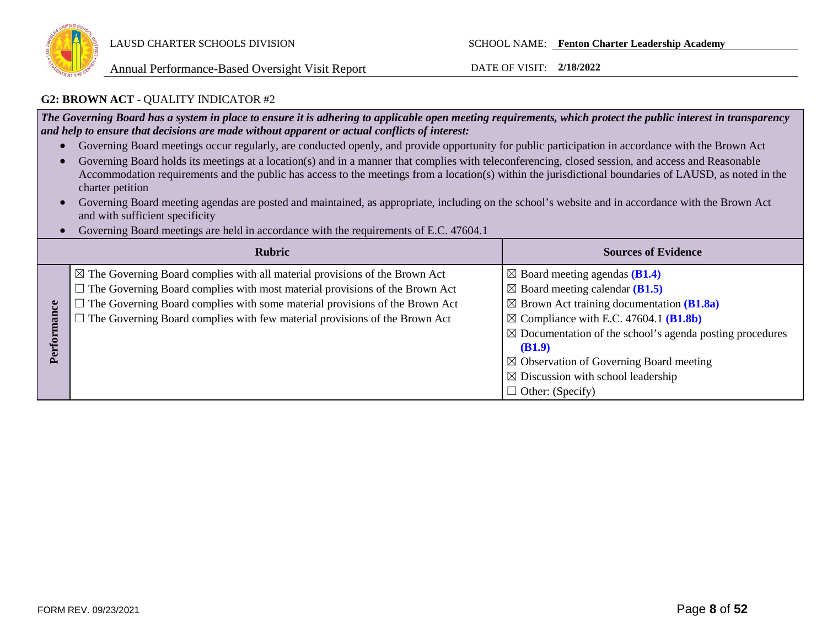

#### **G2: BROWN ACT** - QUALITY INDICATOR #2

*The Governing Board has a system in place to ensure it is adhering to applicable open meeting requirements, which protect the public interest in transparency and help to ensure that decisions are made without apparent or actual conflicts of interest:*

- Governing Board meetings occur regularly, are conducted openly, and provide opportunity for public participation in accordance with the Brown Act
- Governing Board holds its meetings at a location(s) and in a manner that complies with teleconferencing, closed session, and access and Reasonable Accommodation requirements and the public has access to the meetings from a location(s) within the jurisdictional boundaries of LAUSD, as noted in the charter petition
- Governing Board meeting agendas are posted and maintained, as appropriate, including on the school's website and in accordance with the Brown Act and with sufficient specificity
- Governing Board meetings are held in accordance with the requirements of E.C. 47604.1

|       | <b>Rubric</b>                                                                                                                                                                                                                                                                                                                                           | <b>Sources of Evidence</b>                                                                                                                                                                                                                                                                                                                                                                                           |
|-------|---------------------------------------------------------------------------------------------------------------------------------------------------------------------------------------------------------------------------------------------------------------------------------------------------------------------------------------------------------|----------------------------------------------------------------------------------------------------------------------------------------------------------------------------------------------------------------------------------------------------------------------------------------------------------------------------------------------------------------------------------------------------------------------|
| erfor | $\boxtimes$ The Governing Board complies with all material provisions of the Brown Act<br>$\Box$ The Governing Board complies with most material provisions of the Brown Act<br>$\Box$ The Governing Board complies with some material provisions of the Brown Act<br>$\Box$ The Governing Board complies with few material provisions of the Brown Act | $\boxtimes$ Board meeting agendas (B1.4)<br>$\boxtimes$ Board meeting calendar (B1.5)<br>$\boxtimes$ Brown Act training documentation (B1.8a)<br>$\boxtimes$ Compliance with E.C. 47604.1 (B1.8b)<br>$\boxtimes$ Documentation of the school's agenda posting procedures<br>(B1.9)<br>$\boxtimes$ Observation of Governing Board meeting<br>$\boxtimes$ Discussion with school leadership<br>$\Box$ Other: (Specify) |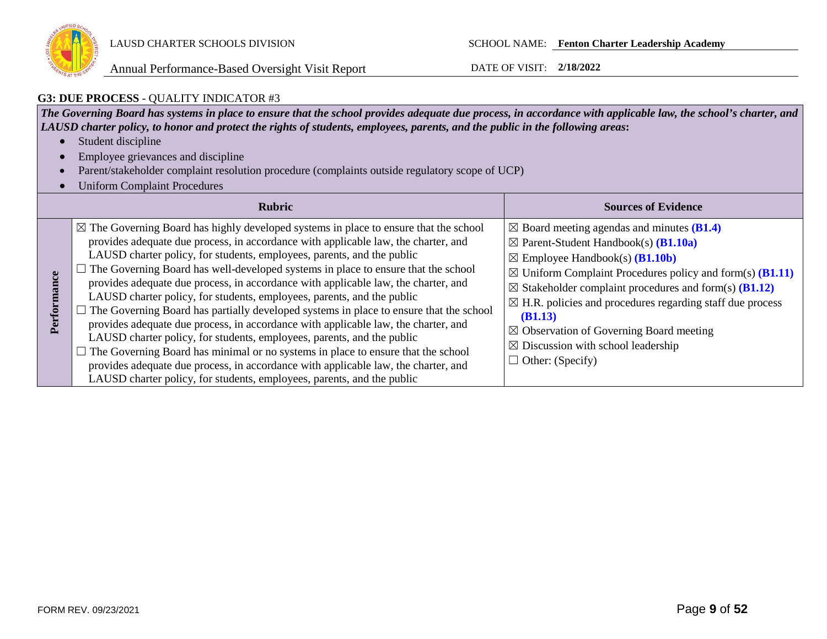

#### **G3: DUE PROCESS** - QUALITY INDICATOR #3

*The Governing Board has systems in place to ensure that the school provides adequate due process, in accordance with applicable law, the school's charter, and LAUSD charter policy, to honor and protect the rights of students, employees, parents, and the public in the following areas***:**

- Student discipline
- Employee grievances and discipline
- Parent/stakeholder complaint resolution procedure (complaints outside regulatory scope of UCP)
- Uniform Complaint Procedures

|             | <b>Rubric</b>                                                                                                                                                                                                                                                                                                                                                                                                                                                                                                                                                                                                                                                                                                                                                                                                                                                                                                                                                                                                                                           | <b>Sources of Evidence</b>                                                                                                                                                                                                                                                                                                                                                                                                                                                                                                                      |
|-------------|---------------------------------------------------------------------------------------------------------------------------------------------------------------------------------------------------------------------------------------------------------------------------------------------------------------------------------------------------------------------------------------------------------------------------------------------------------------------------------------------------------------------------------------------------------------------------------------------------------------------------------------------------------------------------------------------------------------------------------------------------------------------------------------------------------------------------------------------------------------------------------------------------------------------------------------------------------------------------------------------------------------------------------------------------------|-------------------------------------------------------------------------------------------------------------------------------------------------------------------------------------------------------------------------------------------------------------------------------------------------------------------------------------------------------------------------------------------------------------------------------------------------------------------------------------------------------------------------------------------------|
| Performance | $\boxtimes$ The Governing Board has highly developed systems in place to ensure that the school<br>provides adequate due process, in accordance with applicable law, the charter, and<br>LAUSD charter policy, for students, employees, parents, and the public<br>$\Box$ The Governing Board has well-developed systems in place to ensure that the school<br>provides adequate due process, in accordance with applicable law, the charter, and<br>LAUSD charter policy, for students, employees, parents, and the public<br>$\Box$ The Governing Board has partially developed systems in place to ensure that the school<br>provides adequate due process, in accordance with applicable law, the charter, and<br>LAUSD charter policy, for students, employees, parents, and the public<br>$\Box$ The Governing Board has minimal or no systems in place to ensure that the school<br>provides adequate due process, in accordance with applicable law, the charter, and<br>LAUSD charter policy, for students, employees, parents, and the public | $\boxtimes$ Board meeting agendas and minutes (B1.4)<br>$\boxtimes$ Parent-Student Handbook(s) ( <b>B1.10a</b> )<br>$\boxtimes$ Employee Handbook(s) ( <b>B1.10b</b> )<br>$\boxtimes$ Uniform Complaint Procedures policy and form(s) ( <b>B1.11</b> )<br>$\boxtimes$ Stakeholder complaint procedures and form(s) (B1.12)<br>$\boxtimes$ H.R. policies and procedures regarding staff due process<br>(B1.13)<br>$\boxtimes$ Observation of Governing Board meeting<br>$\boxtimes$ Discussion with school leadership<br>$\Box$ Other: (Specify) |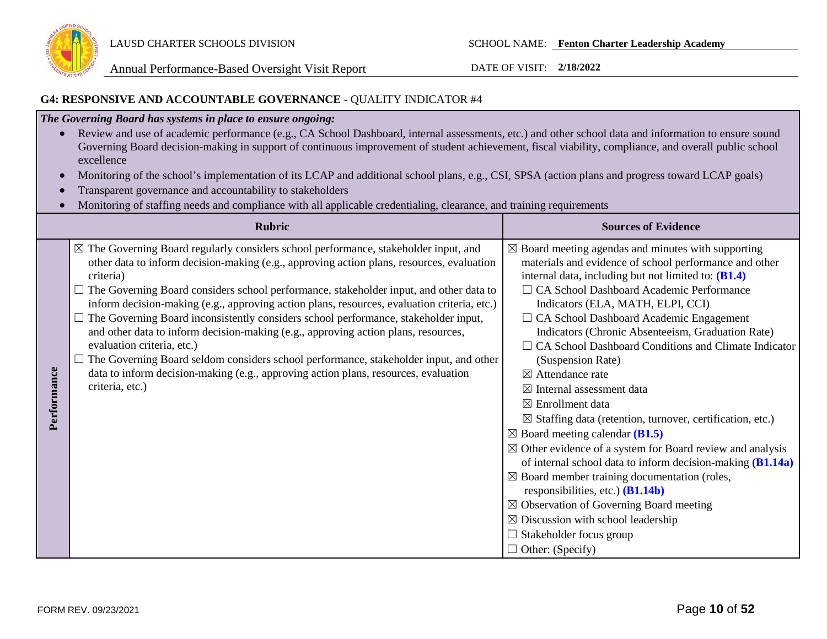

#### **G4: RESPONSIVE AND ACCOUNTABLE GOVERNANCE** - QUALITY INDICATOR #4

#### *The Governing Board has systems in place to ensure ongoing:*

- Review and use of academic performance (e.g., CA School Dashboard, internal assessments, etc.) and other school data and information to ensure sound Governing Board decision-making in support of continuous improvement of student achievement, fiscal viability, compliance, and overall public school excellence
- Monitoring of the school's implementation of its LCAP and additional school plans, e.g., CSI, SPSA (action plans and progress toward LCAP goals)
- Transparent governance and accountability to stakeholders
- Monitoring of staffing needs and compliance with all applicable credentialing, clearance, and training requirements

|             | <b>Rubric</b>                                                                                                                                                                                                                                                                                                                                                                                                                                                                                                                                                                                                                                                                                                                                                                                                   | <b>Sources of Evidence</b>                                                                                                                                                                                                                                                                                                                                                                                                                                                                                                                                                                                                                                                                                                                                                                                                                                                                                                                                                                                                                                                                         |
|-------------|-----------------------------------------------------------------------------------------------------------------------------------------------------------------------------------------------------------------------------------------------------------------------------------------------------------------------------------------------------------------------------------------------------------------------------------------------------------------------------------------------------------------------------------------------------------------------------------------------------------------------------------------------------------------------------------------------------------------------------------------------------------------------------------------------------------------|----------------------------------------------------------------------------------------------------------------------------------------------------------------------------------------------------------------------------------------------------------------------------------------------------------------------------------------------------------------------------------------------------------------------------------------------------------------------------------------------------------------------------------------------------------------------------------------------------------------------------------------------------------------------------------------------------------------------------------------------------------------------------------------------------------------------------------------------------------------------------------------------------------------------------------------------------------------------------------------------------------------------------------------------------------------------------------------------------|
| Performance | $\boxtimes$ The Governing Board regularly considers school performance, stakeholder input, and<br>other data to inform decision-making (e.g., approving action plans, resources, evaluation<br>criteria)<br>The Governing Board considers school performance, stakeholder input, and other data to<br>inform decision-making (e.g., approving action plans, resources, evaluation criteria, etc.)<br>The Governing Board inconsistently considers school performance, stakeholder input,<br>and other data to inform decision-making (e.g., approving action plans, resources,<br>evaluation criteria, etc.)<br>The Governing Board seldom considers school performance, stakeholder input, and other<br>data to inform decision-making (e.g., approving action plans, resources, evaluation<br>criteria, etc.) | $\boxtimes$ Board meeting agendas and minutes with supporting<br>materials and evidence of school performance and other<br>internal data, including but not limited to: (B1.4)<br>□ CA School Dashboard Academic Performance<br>Indicators (ELA, MATH, ELPI, CCI)<br>$\Box$ CA School Dashboard Academic Engagement<br>Indicators (Chronic Absenteeism, Graduation Rate)<br>$\Box$ CA School Dashboard Conditions and Climate Indicator<br>(Suspension Rate)<br>$\boxtimes$ Attendance rate<br>$\boxtimes$ Internal assessment data<br>$\boxtimes$ Enrollment data<br>$\boxtimes$ Staffing data (retention, turnover, certification, etc.)<br>$\boxtimes$ Board meeting calendar (B1.5)<br>$\boxtimes$ Other evidence of a system for Board review and analysis<br>of internal school data to inform decision-making (B1.14a)<br>$\boxtimes$ Board member training documentation (roles,<br>responsibilities, etc.) $(B1.14b)$<br>$\boxtimes$ Observation of Governing Board meeting<br>$\boxtimes$ Discussion with school leadership<br>$\Box$ Stakeholder focus group<br>$\Box$ Other: (Specify) |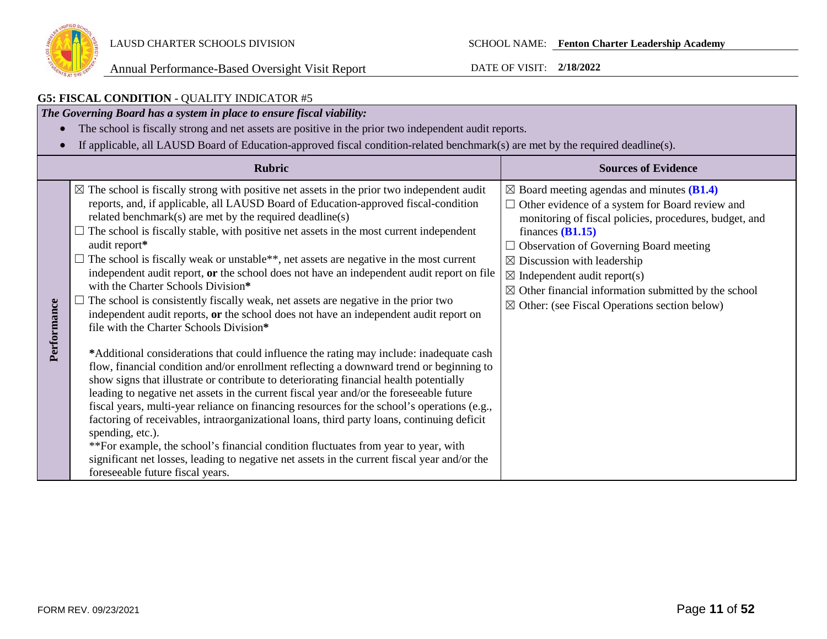

#### **G5: FISCAL CONDITION** - QUALITY INDICATOR #5 *The Governing Board has a system in place to ensure fiscal viability:* • The school is fiscally strong and net assets are positive in the prior two independent audit reports. • If applicable, all LAUSD Board of Education-approved fiscal condition-related benchmark(s) are met by the required deadline(s). **Rubric Sources of Evidence**  $\boxtimes$  The school is fiscally strong with positive net assets in the prior two independent audit ☒ Board meeting agendas and minutes **(B1.4)** reports, and, if applicable, all LAUSD Board of Education-approved fiscal-condition □ Other evidence of a system for Board review and related benchmark(s) are met by the required deadline(s) monitoring of fiscal policies, procedures, budget, and  $\Box$  The school is fiscally stable, with positive net assets in the most current independent finances **(B1.15)** audit report**\***  $\Box$  Observation of Governing Board meeting  $\Box$  The school is fiscally weak or unstable\*\*, net assets are negative in the most current  $\boxtimes$  Discussion with leadership independent audit report, **or** the school does not have an independent audit report on file  $\boxtimes$  Independent audit report(s) with the Charter Schools Division**\***  $\boxtimes$  Other financial information submitted by the school  $\Box$  The school is consistently fiscally weak, net assets are negative in the prior two Performance **Performance**  $\boxtimes$  Other: (see Fiscal Operations section below) independent audit reports, **or** the school does not have an independent audit report on file with the Charter Schools Division**\* \***Additional considerations that could influence the rating may include: inadequate cash flow, financial condition and/or enrollment reflecting a downward trend or beginning to show signs that illustrate or contribute to deteriorating financial health potentially leading to negative net assets in the current fiscal year and/or the foreseeable future fiscal years, multi-year reliance on financing resources for the school's operations (e.g., factoring of receivables, intraorganizational loans, third party loans, continuing deficit spending, etc.). \*\*For example, the school's financial condition fluctuates from year to year, with significant net losses, leading to negative net assets in the current fiscal year and/or the foreseeable future fiscal years.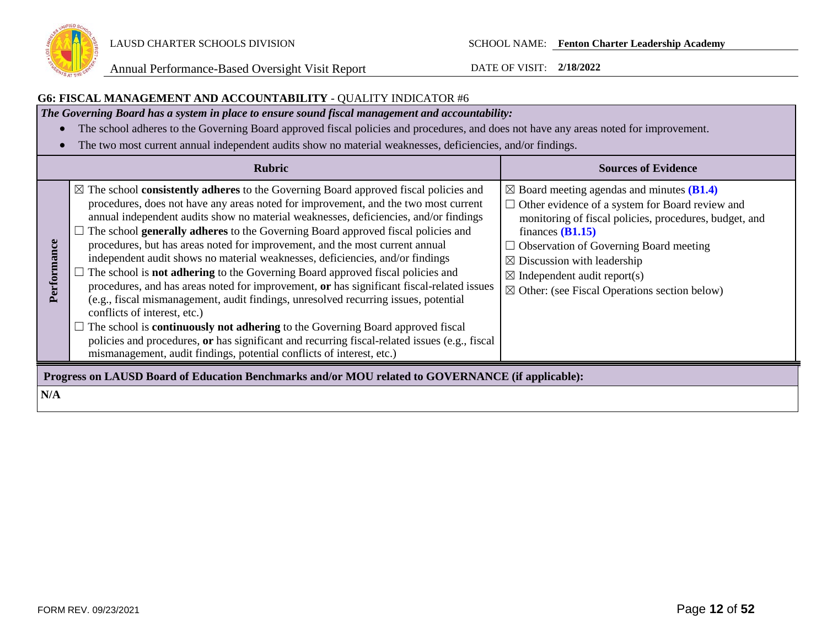

#### **G6: FISCAL MANAGEMENT AND ACCOUNTABILITY** - QUALITY INDICATOR #6

*The Governing Board has a system in place to ensure sound fiscal management and accountability:*

- The school adheres to the Governing Board approved fiscal policies and procedures, and does not have any areas noted for improvement.
- The two most current annual independent audits show no material weaknesses, deficiencies, and/or findings.

|             | <b>Rubric</b>                                                                                                                                                                                                                                                                                                                                                                                                                                                                                                                                                                                                                                                                                                                                                                                                                                                                                                                                                                                                                                                                                                                     | <b>Sources of Evidence</b>                                                                                                                                                                                                                                                                                                                                                                       |
|-------------|-----------------------------------------------------------------------------------------------------------------------------------------------------------------------------------------------------------------------------------------------------------------------------------------------------------------------------------------------------------------------------------------------------------------------------------------------------------------------------------------------------------------------------------------------------------------------------------------------------------------------------------------------------------------------------------------------------------------------------------------------------------------------------------------------------------------------------------------------------------------------------------------------------------------------------------------------------------------------------------------------------------------------------------------------------------------------------------------------------------------------------------|--------------------------------------------------------------------------------------------------------------------------------------------------------------------------------------------------------------------------------------------------------------------------------------------------------------------------------------------------------------------------------------------------|
| Performance | $\boxtimes$ The school consistently adheres to the Governing Board approved fiscal policies and<br>procedures, does not have any areas noted for improvement, and the two most current<br>annual independent audits show no material weaknesses, deficiencies, and/or findings<br>The school generally adheres to the Governing Board approved fiscal policies and<br>procedures, but has areas noted for improvement, and the most current annual<br>independent audit shows no material weaknesses, deficiencies, and/or findings<br>$\Box$ The school is <b>not adhering</b> to the Governing Board approved fiscal policies and<br>procedures, and has areas noted for improvement, or has significant fiscal-related issues<br>(e.g., fiscal mismanagement, audit findings, unresolved recurring issues, potential<br>conflicts of interest, etc.)<br>$\Box$ The school is <b>continuously not adhering</b> to the Governing Board approved fiscal<br>policies and procedures, or has significant and recurring fiscal-related issues (e.g., fiscal<br>mismanagement, audit findings, potential conflicts of interest, etc.) | $\boxtimes$ Board meeting agendas and minutes (B1.4)<br>$\Box$ Other evidence of a system for Board review and<br>monitoring of fiscal policies, procedures, budget, and<br>finances $(B1.15)$<br>$\Box$ Observation of Governing Board meeting<br>$\boxtimes$ Discussion with leadership<br>$\boxtimes$ Independent audit report(s)<br>$\boxtimes$ Other: (see Fiscal Operations section below) |
|             | Progress on LAUSD Board of Education Benchmarks and/or MOU related to GOVERNANCE (if applicable):                                                                                                                                                                                                                                                                                                                                                                                                                                                                                                                                                                                                                                                                                                                                                                                                                                                                                                                                                                                                                                 |                                                                                                                                                                                                                                                                                                                                                                                                  |
| N/A         |                                                                                                                                                                                                                                                                                                                                                                                                                                                                                                                                                                                                                                                                                                                                                                                                                                                                                                                                                                                                                                                                                                                                   |                                                                                                                                                                                                                                                                                                                                                                                                  |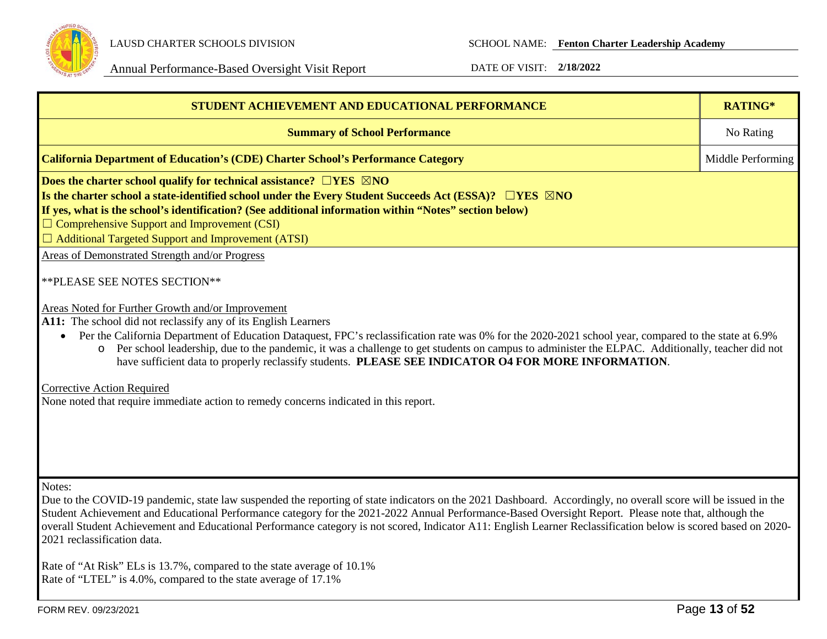

| STUDENT ACHIEVEMENT AND EDUCATIONAL PERFORMANCE                                                                                                                                                                                                                                                                                                                                                                                                                                                                                                                                                                                                                                                             | RATING*           |  |  |  |
|-------------------------------------------------------------------------------------------------------------------------------------------------------------------------------------------------------------------------------------------------------------------------------------------------------------------------------------------------------------------------------------------------------------------------------------------------------------------------------------------------------------------------------------------------------------------------------------------------------------------------------------------------------------------------------------------------------------|-------------------|--|--|--|
| <b>Summary of School Performance</b>                                                                                                                                                                                                                                                                                                                                                                                                                                                                                                                                                                                                                                                                        | No Rating         |  |  |  |
| <b>California Department of Education's (CDE) Charter School's Performance Category</b>                                                                                                                                                                                                                                                                                                                                                                                                                                                                                                                                                                                                                     | Middle Performing |  |  |  |
| Does the charter school qualify for technical assistance? $\Box$ YES $\boxtimes$ NO<br>Is the charter school a state-identified school under the Every Student Succeeds Act (ESSA)? $\Box$ YES $\boxtimes$ NO<br>If yes, what is the school's identification? (See additional information within "Notes" section below)<br>$\Box$ Comprehensive Support and Improvement (CSI)<br>$\Box$ Additional Targeted Support and Improvement (ATSI)                                                                                                                                                                                                                                                                  |                   |  |  |  |
| Areas of Demonstrated Strength and/or Progress                                                                                                                                                                                                                                                                                                                                                                                                                                                                                                                                                                                                                                                              |                   |  |  |  |
| <b>**PLEASE SEE NOTES SECTION**</b><br>Areas Noted for Further Growth and/or Improvement<br>A11: The school did not reclassify any of its English Learners<br>Per the California Department of Education Dataquest, FPC's reclassification rate was 0% for the 2020-2021 school year, compared to the state at 6.9%<br>Per school leadership, due to the pandemic, it was a challenge to get students on campus to administer the ELPAC. Additionally, teacher did not<br>have sufficient data to properly reclassify students. PLEASE SEE INDICATOR O4 FOR MORE INFORMATION.<br><b>Corrective Action Required</b><br>None noted that require immediate action to remedy concerns indicated in this report. |                   |  |  |  |
| Notes:<br>Due to the COVID-19 pandemic, state law suspended the reporting of state indicators on the 2021 Dashboard. Accordingly, no overall score will be issued in the<br>Student Achievement and Educational Performance category for the 2021-2022 Annual Performance-Based Oversight Report. Please note that, although the<br>overall Student Achievement and Educational Performance category is not scored, Indicator A11: English Learner Reclassification below is scored based on 2020-<br>2021 reclassification data.<br>Rate of "At Risk" ELs is 13.7%, compared to the state average of 10.1%<br>Rate of "LTEL" is 4.0%, compared to the state average of 17.1%                               |                   |  |  |  |
| FORM REV. 09/23/2021                                                                                                                                                                                                                                                                                                                                                                                                                                                                                                                                                                                                                                                                                        | Page 13 of 52     |  |  |  |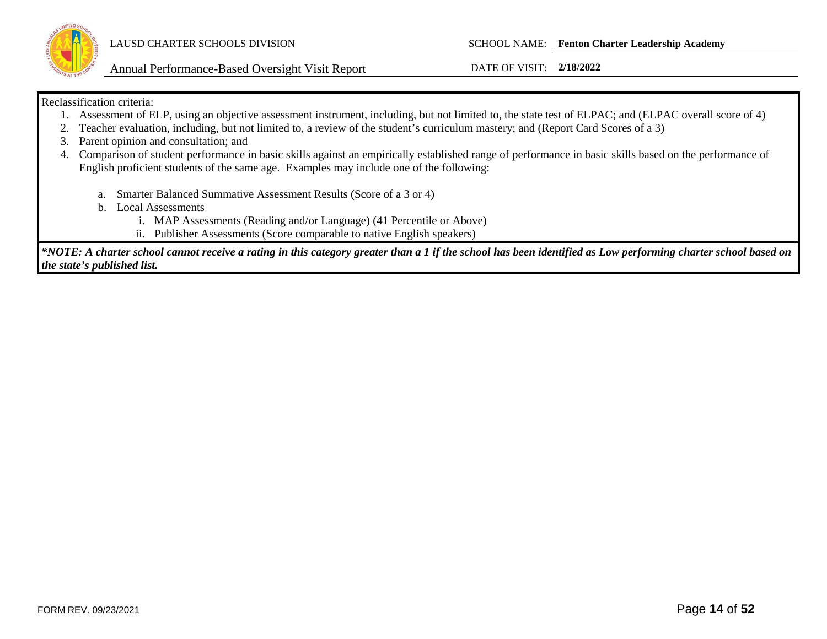

Reclassification criteria:

- 1. Assessment of ELP, using an objective assessment instrument, including, but not limited to, the state test of ELPAC; and (ELPAC overall score of 4)
- 2. Teacher evaluation, including, but not limited to, a review of the student's curriculum mastery; and (Report Card Scores of a 3)
- 3. Parent opinion and consultation; and
- 4. Comparison of student performance in basic skills against an empirically established range of performance in basic skills based on the performance of English proficient students of the same age. Examples may include one of the following:
	- a. Smarter Balanced Summative Assessment Results (Score of a 3 or 4)
	- b. Local Assessments
		- i. MAP Assessments (Reading and/or Language) (41 Percentile or Above)
		- ii. Publisher Assessments (Score comparable to native English speakers)

*\*NOTE: A charter school cannot receive a rating in this category greater than a 1 if the school has been identified as Low performing charter school based on the state's published list.*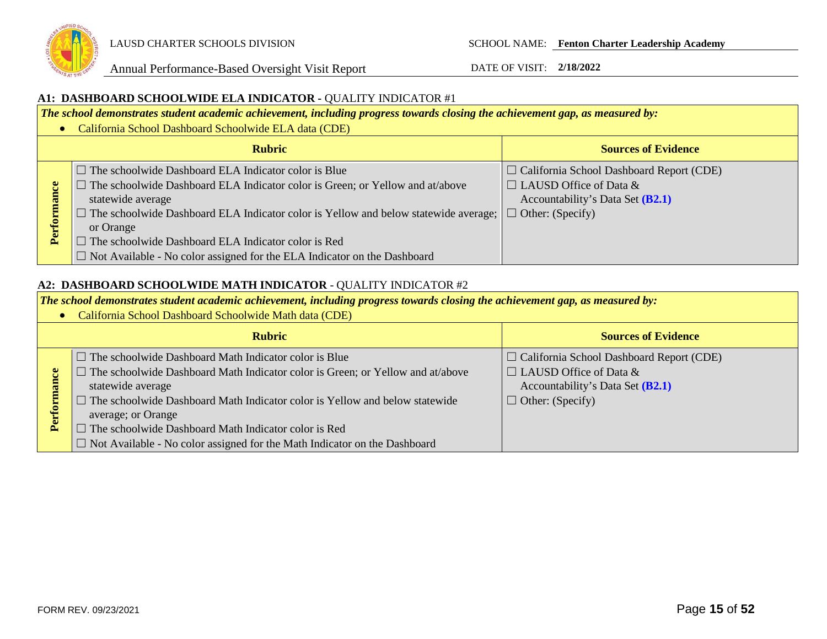

#### **A1: DASHBOARD SCHOOLWIDE ELA INDICATOR -** QUALITY INDICATOR #1

*The school demonstrates student academic achievement, including progress towards closing the achievement gap, as measured by:*

• California School Dashboard Schoolwide ELA data (CDE)

|           | <b>Rubric</b>                                                                                                                                                                                                                                                                                                                                                                                                          | <b>Sources of Evidence</b>                                                                                                                               |
|-----------|------------------------------------------------------------------------------------------------------------------------------------------------------------------------------------------------------------------------------------------------------------------------------------------------------------------------------------------------------------------------------------------------------------------------|----------------------------------------------------------------------------------------------------------------------------------------------------------|
| cfol<br>බ | $\Box$ The schoolwide Dashboard ELA Indicator color is Blue<br>The schoolwide Dashboard ELA Indicator color is Green; or Yellow and at/above<br>statewide average<br>$\Box$ The schoolwide Dashboard ELA Indicator color is Yellow and below statewide average;<br>or Orange<br>The schoolwide Dashboard ELA Indicator color is Red<br>$\Box$ Not Available - No color assigned for the ELA Indicator on the Dashboard | $\Box$ California School Dashboard Report (CDE)<br>$\Box$ LAUSD Office of Data &<br>Accountability's Data Set ( <b>B2.1</b> )<br>$\Box$ Other: (Specify) |

#### **A2: DASHBOARD SCHOOLWIDE MATH INDICATOR** - QUALITY INDICATOR #2

*The school demonstrates student academic achievement, including progress towards closing the achievement gap, as measured by:*

• California School Dashboard Schoolwide Math data (CDE)

| <b>Rubric</b>                                                                      | <b>Sources of Evidence</b>                      |
|------------------------------------------------------------------------------------|-------------------------------------------------|
| $\Box$ The schoolwide Dashboard Math Indicator color is Blue                       | $\Box$ California School Dashboard Report (CDE) |
| The schoolwide Dashboard Math Indicator color is Green; or Yellow and at/above     | $\Box$ LAUSD Office of Data &                   |
| statewide average                                                                  | Accountability's Data Set (B2.1)                |
| $\Box$ The schoolwide Dashboard Math Indicator color is Yellow and below statewide | $\Box$ Other: (Specify)                         |
| average; or Orange                                                                 |                                                 |
| $\Box$ The schoolwide Dashboard Math Indicator color is Red                        |                                                 |
| $\Box$ Not Available - No color assigned for the Math Indicator on the Dashboard   |                                                 |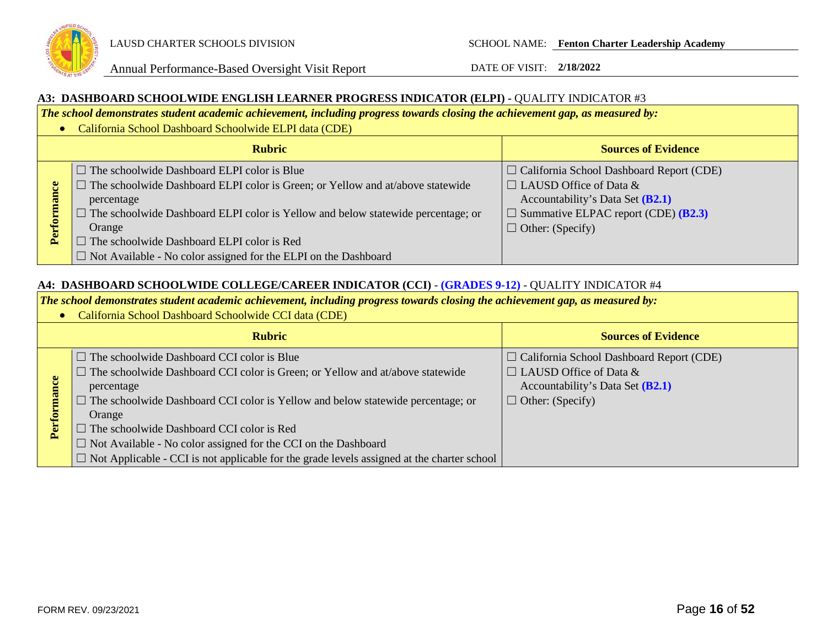

#### **A3: DASHBOARD SCHOOLWIDE ENGLISH LEARNER PROGRESS INDICATOR (ELPI) -** QUALITY INDICATOR #3

*The school demonstrates student academic achievement, including progress towards closing the achievement gap, as measured by:*

• California School Dashboard Schoolwide ELPI data (CDE)

|     | <b>Rubric</b>                                                                                                                                                                                                                                                                                                                                                                          | <b>Sources of Evidence</b>                                                                                                                                                                             |
|-----|----------------------------------------------------------------------------------------------------------------------------------------------------------------------------------------------------------------------------------------------------------------------------------------------------------------------------------------------------------------------------------------|--------------------------------------------------------------------------------------------------------------------------------------------------------------------------------------------------------|
| Per | $\Box$ The schoolwide Dashboard ELPI color is Blue<br>$\Box$ The schoolwide Dashboard ELPI color is Green; or Yellow and at/above statewide<br>percentage<br>$\Box$ The schoolwide Dashboard ELPI color is Yellow and below statewide percentage; or<br>Orange<br>The schoolwide Dashboard ELPI color is Red<br>$\Box$ Not Available - No color assigned for the ELPI on the Dashboard | $\Box$ California School Dashboard Report (CDE)<br>$\Box$ LAUSD Office of Data &<br>Accountability's Data Set (B2.1)<br>$\Box$ Summative ELPAC report (CDE) ( <b>B2.3</b> )<br>$\Box$ Other: (Specify) |

#### **A4: DASHBOARD SCHOOLWIDE COLLEGE/CAREER INDICATOR (CCI)** - **(GRADES 9-12)** - QUALITY INDICATOR #4

*The school demonstrates student academic achievement, including progress towards closing the achievement gap, as measured by:*

• California School Dashboard Schoolwide CCI data (CDE)

|      | <b>Rubric</b>                                                                                     | <b>Sources of Evidence</b>                      |
|------|---------------------------------------------------------------------------------------------------|-------------------------------------------------|
|      | $\Box$ The schoolwide Dashboard CCI color is Blue                                                 | $\Box$ California School Dashboard Report (CDE) |
|      | $\Box$ The schoolwide Dashboard CCI color is Green; or Yellow and at/above statewide              | $\Box$ LAUSD Office of Data &                   |
| Pert | percentage                                                                                        | Accountability's Data Set (B2.1)                |
|      | $\Box$ The schoolwide Dashboard CCI color is Yellow and below statewide percentage; or            | $\Box$ Other: (Specify)                         |
|      | Orange                                                                                            |                                                 |
|      | $\Box$ The schoolwide Dashboard CCI color is Red                                                  |                                                 |
|      | $\Box$ Not Available - No color assigned for the CCI on the Dashboard                             |                                                 |
|      | $\Box$ Not Applicable - CCI is not applicable for the grade levels assigned at the charter school |                                                 |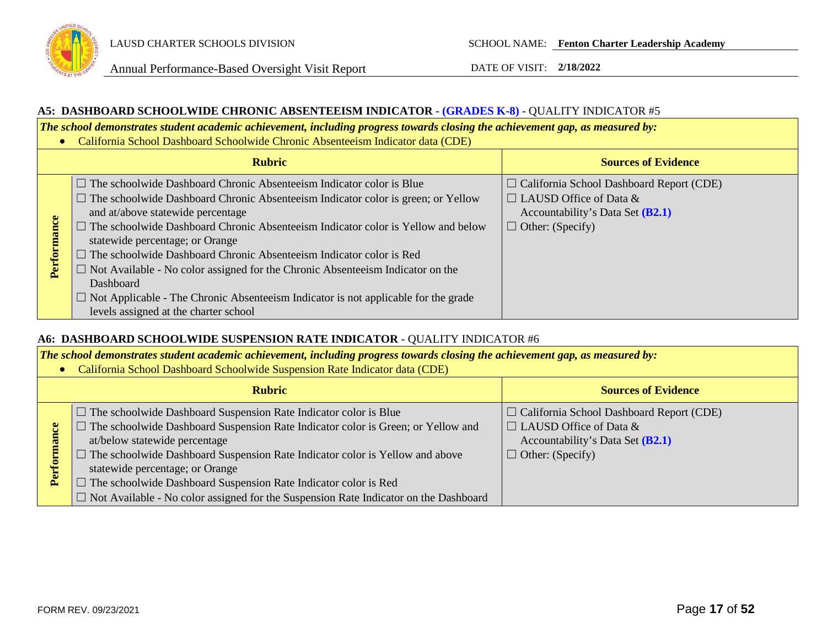

#### **A5: DASHBOARD SCHOOLWIDE CHRONIC ABSENTEEISM INDICATOR** - **(GRADES K-8)** - QUALITY INDICATOR #5

*The school demonstrates student academic achievement, including progress towards closing the achievement gap, as measured by:*

• California School Dashboard Schoolwide Chronic Absenteeism Indicator data (CDE)

|                         | <b>Rubric</b>                                                                                                                                                                                                                                                                                                                                                                                                                                                                                                                                                                                                                                         | <b>Sources of Evidence</b>                                                                                                                               |
|-------------------------|-------------------------------------------------------------------------------------------------------------------------------------------------------------------------------------------------------------------------------------------------------------------------------------------------------------------------------------------------------------------------------------------------------------------------------------------------------------------------------------------------------------------------------------------------------------------------------------------------------------------------------------------------------|----------------------------------------------------------------------------------------------------------------------------------------------------------|
| $\bullet$<br>Performanc | $\Box$ The schoolwide Dashboard Chronic Absenteeism Indicator color is Blue<br>$\Box$ The schoolwide Dashboard Chronic Absenteeism Indicator color is green; or Yellow<br>and at/above statewide percentage<br>The schoolwide Dashboard Chronic Absenteeism Indicator color is Yellow and below<br>statewide percentage; or Orange<br>The schoolwide Dashboard Chronic Absenteeism Indicator color is Red<br>$\Box$ Not Available - No color assigned for the Chronic Absenteeism Indicator on the<br>Dashboard<br>$\Box$ Not Applicable - The Chronic Absenteeism Indicator is not applicable for the grade<br>levels assigned at the charter school | $\Box$ California School Dashboard Report (CDE)<br>$\Box$ LAUSD Office of Data &<br>Accountability's Data Set ( <b>B2.1</b> )<br>$\Box$ Other: (Specify) |

#### **A6: DASHBOARD SCHOOLWIDE SUSPENSION RATE INDICATOR** - QUALITY INDICATOR #6

*The school demonstrates student academic achievement, including progress towards closing the achievement gap, as measured by:*

• California School Dashboard Schoolwide Suspension Rate Indicator data (CDE)

|   | <b>Rubric</b>                                                                               | <b>Sources of Evidence</b>                      |
|---|---------------------------------------------------------------------------------------------|-------------------------------------------------|
|   | $\Box$ The schoolwide Dashboard Suspension Rate Indicator color is Blue                     | $\Box$ California School Dashboard Report (CDE) |
|   | $\Box$ The schoolwide Dashboard Suspension Rate Indicator color is Green; or Yellow and     | $\Box$ LAUSD Office of Data &                   |
|   | at/below statewide percentage                                                               | Accountability's Data Set (B2.1)                |
|   | $\Box$ The schoolwide Dashboard Suspension Rate Indicator color is Yellow and above         | $\Box$ Other: (Specify)                         |
|   | statewide percentage; or Orange                                                             |                                                 |
| ≏ | $\Box$ The schoolwide Dashboard Suspension Rate Indicator color is Red                      |                                                 |
|   | $\Box$ Not Available - No color assigned for the Suspension Rate Indicator on the Dashboard |                                                 |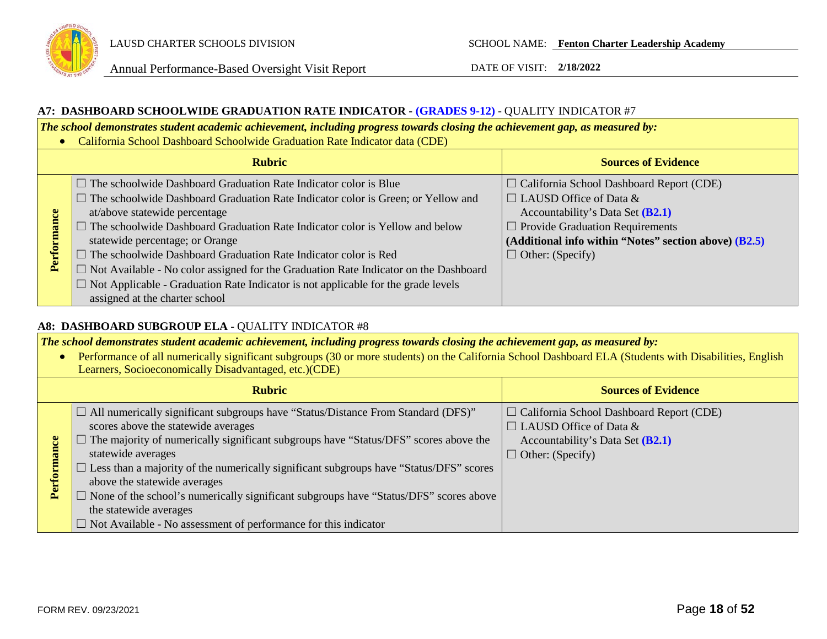

#### **A7: DASHBOARD SCHOOLWIDE GRADUATION RATE INDICATOR - (GRADES 9-12)** - QUALITY INDICATOR #7

*The school demonstrates student academic achievement, including progress towards closing the achievement gap, as measured by:*

• California School Dashboard Schoolwide Graduation Rate Indicator data (CDE)

|        | <b>Rubric</b>                                                                                                                                                                                                                                                                                                                                                                                                                                                                                                                                                                                                                        | <b>Sources of Evidence</b>                                                                                                                                                                                                                                  |
|--------|--------------------------------------------------------------------------------------------------------------------------------------------------------------------------------------------------------------------------------------------------------------------------------------------------------------------------------------------------------------------------------------------------------------------------------------------------------------------------------------------------------------------------------------------------------------------------------------------------------------------------------------|-------------------------------------------------------------------------------------------------------------------------------------------------------------------------------------------------------------------------------------------------------------|
| E<br>Ã | $\Box$ The schoolwide Dashboard Graduation Rate Indicator color is Blue<br>$\Box$ The schoolwide Dashboard Graduation Rate Indicator color is Green; or Yellow and<br>at/above statewide percentage<br>$\Box$ The schoolwide Dashboard Graduation Rate Indicator color is Yellow and below<br>statewide percentage; or Orange<br>$\Box$ The schoolwide Dashboard Graduation Rate Indicator color is Red<br>$\Box$ Not Available - No color assigned for the Graduation Rate Indicator on the Dashboard<br>$\Box$ Not Applicable - Graduation Rate Indicator is not applicable for the grade levels<br>assigned at the charter school | $\Box$ California School Dashboard Report (CDE)<br>$\Box$ LAUSD Office of Data &<br>Accountability's Data Set ( <b>B2.1</b> )<br>$\Box$ Provide Graduation Requirements<br>(Additional info within "Notes" section above) (B2.5)<br>$\Box$ Other: (Specify) |

#### **A8: DASHBOARD SUBGROUP ELA** - QUALITY INDICATOR #8

*The school demonstrates student academic achievement, including progress towards closing the achievement gap, as measured by:*

• Performance of all numerically significant subgroups (30 or more students) on the California School Dashboard ELA (Students with Disabilities, English Learners, Socioeconomically Disadvantaged, etc.)(CDE)

|             | <b>Rubric</b>                                                                                                                                                                                                                                                                                                                                                                                                                                                                                                                                                                            | <b>Sources of Evidence</b>                                                                                                                               |
|-------------|------------------------------------------------------------------------------------------------------------------------------------------------------------------------------------------------------------------------------------------------------------------------------------------------------------------------------------------------------------------------------------------------------------------------------------------------------------------------------------------------------------------------------------------------------------------------------------------|----------------------------------------------------------------------------------------------------------------------------------------------------------|
| Performance | $\Box$ All numerically significant subgroups have "Status/Distance From Standard (DFS)"<br>scores above the statewide averages<br>$\Box$ The majority of numerically significant subgroups have "Status/DFS" scores above the<br>statewide averages<br>$\Box$ Less than a majority of the numerically significant subgroups have "Status/DFS" scores<br>above the statewide averages<br>$\Box$ None of the school's numerically significant subgroups have "Status/DFS" scores above<br>the statewide averages<br>$\Box$ Not Available - No assessment of performance for this indicator | $\Box$ California School Dashboard Report (CDE)<br>$\Box$ LAUSD Office of Data &<br>Accountability's Data Set ( <b>B2.1</b> )<br>$\Box$ Other: (Specify) |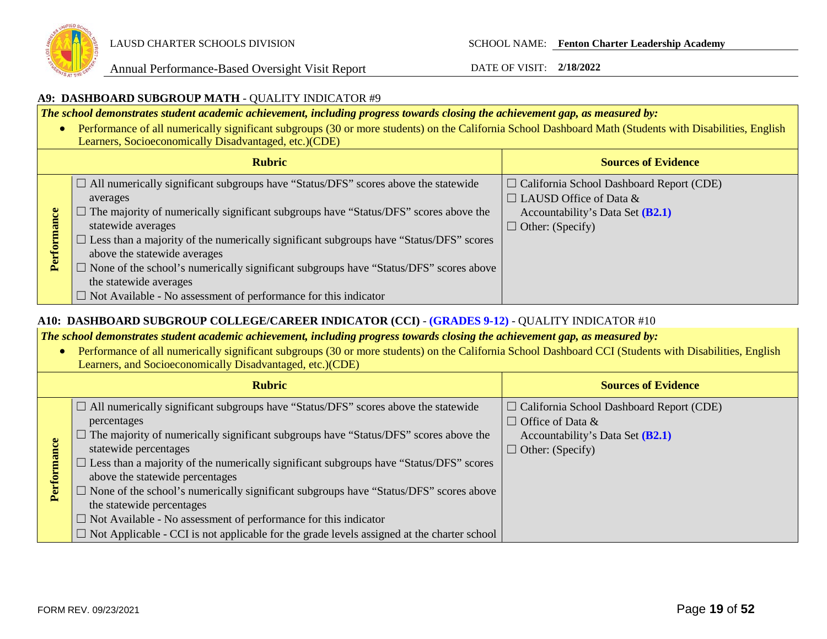

#### **A9: DASHBOARD SUBGROUP MATH** - QUALITY INDICATOR #9

*The school demonstrates student academic achievement, including progress towards closing the achievement gap, as measured by:*

• Performance of all numerically significant subgroups (30 or more students) on the California School Dashboard Math (Students with Disabilities, English Learners, Socioeconomically Disadvantaged, etc.)(CDE)

|         | <b>Rubric</b>                                                                                                                                                                                                                                                                                                                                                                                                                                                                                                                                                   | <b>Sources of Evidence</b>                                                                                                                      |
|---------|-----------------------------------------------------------------------------------------------------------------------------------------------------------------------------------------------------------------------------------------------------------------------------------------------------------------------------------------------------------------------------------------------------------------------------------------------------------------------------------------------------------------------------------------------------------------|-------------------------------------------------------------------------------------------------------------------------------------------------|
| Perforn | $\Box$ All numerically significant subgroups have "Status/DFS" scores above the statewide<br>averages<br>$\Box$ The majority of numerically significant subgroups have "Status/DFS" scores above the<br>statewide averages<br>$\Box$ Less than a majority of the numerically significant subgroups have "Status/DFS" scores<br>above the statewide averages<br>$\Box$ None of the school's numerically significant subgroups have "Status/DFS" scores above<br>the statewide averages<br>$\Box$ Not Available - No assessment of performance for this indicator | $\Box$ California School Dashboard Report (CDE)<br>$\Box$ LAUSD Office of Data &<br>Accountability's Data Set (B2.1)<br>$\Box$ Other: (Specify) |

#### **A10: DASHBOARD SUBGROUP COLLEGE/CAREER INDICATOR (CCI)** - **(GRADES 9-12)** - QUALITY INDICATOR #10

*The school demonstrates student academic achievement, including progress towards closing the achievement gap, as measured by:*

• Performance of all numerically significant subgroups (30 or more students) on the California School Dashboard CCI (Students with Disabilities, English Learners, and Socioeconomically Disadvantaged, etc.)(CDE)

|             | <b>Rubric</b>                                                                                                                                                                                                                                                                                                                                                                                                                                                                                                                                                                                                                                                                       | <b>Sources of Evidence</b>                                                                                                                |
|-------------|-------------------------------------------------------------------------------------------------------------------------------------------------------------------------------------------------------------------------------------------------------------------------------------------------------------------------------------------------------------------------------------------------------------------------------------------------------------------------------------------------------------------------------------------------------------------------------------------------------------------------------------------------------------------------------------|-------------------------------------------------------------------------------------------------------------------------------------------|
| Performance | $\Box$ All numerically significant subgroups have "Status/DFS" scores above the statewide<br>percentages<br>$\Box$ The majority of numerically significant subgroups have "Status/DFS" scores above the<br>statewide percentages<br>$\square$ Less than a majority of the numerically significant subgroups have "Status/DFS" scores<br>above the statewide percentages<br>$\Box$ None of the school's numerically significant subgroups have "Status/DFS" scores above<br>the statewide percentages<br>$\Box$ Not Available - No assessment of performance for this indicator<br>$\Box$ Not Applicable - CCI is not applicable for the grade levels assigned at the charter school | $\Box$ California School Dashboard Report (CDE)<br>$\Box$ Office of Data &<br>Accountability's Data Set (B2.1)<br>$\Box$ Other: (Specify) |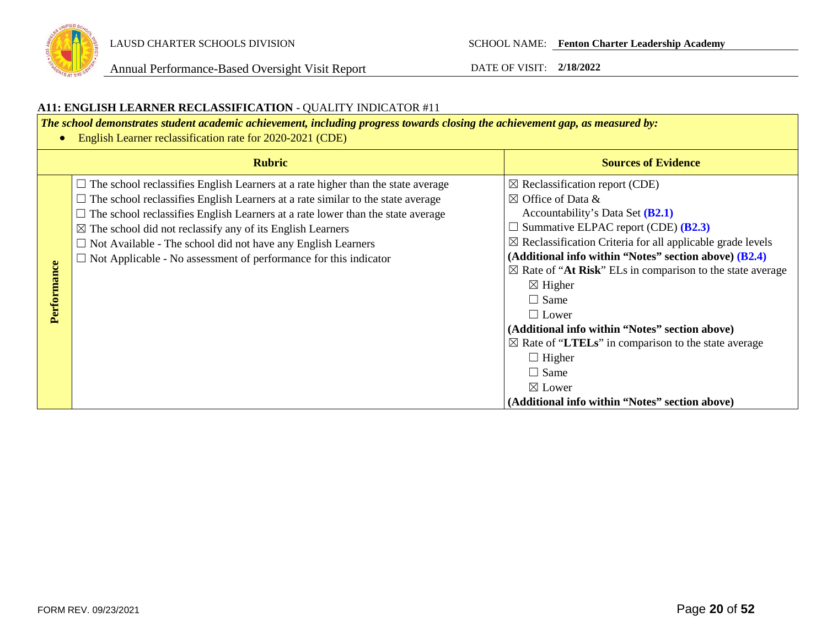

#### **A11: ENGLISH LEARNER RECLASSIFICATION** - QUALITY INDICATOR #11

*The school demonstrates student academic achievement, including progress towards closing the achievement gap, as measured by:*

• English Learner reclassification rate for 2020-2021 (CDE)

|             | <b>Rubric</b>                                                                           | <b>Sources of Evidence</b>                                            |
|-------------|-----------------------------------------------------------------------------------------|-----------------------------------------------------------------------|
|             | $\Box$ The school reclassifies English Learners at a rate higher than the state average | $\boxtimes$ Reclassification report (CDE)                             |
|             | $\Box$ The school reclassifies English Learners at a rate similar to the state average  | $\boxtimes$ Office of Data &                                          |
|             | $\Box$ The school reclassifies English Learners at a rate lower than the state average  | Accountability's Data Set (B2.1)                                      |
|             | $\boxtimes$ The school did not reclassify any of its English Learners                   | $\Box$ Summative ELPAC report (CDE) ( <b>B2.3</b> )                   |
|             | $\Box$ Not Available - The school did not have any English Learners                     | $\boxtimes$ Reclassification Criteria for all applicable grade levels |
|             | $\Box$ Not Applicable - No assessment of performance for this indicator                 | (Additional info within "Notes" section above) (B2.4)                 |
|             |                                                                                         | $\boxtimes$ Rate of "At Risk" ELs in comparison to the state average  |
|             |                                                                                         | $\boxtimes$ Higher                                                    |
| Performance |                                                                                         | $\Box$ Same                                                           |
|             |                                                                                         | $\Box$ Lower                                                          |
|             |                                                                                         | (Additional info within "Notes" section above)                        |
|             |                                                                                         | $\boxtimes$ Rate of "LTELs" in comparison to the state average        |
|             |                                                                                         | $\Box$ Higher                                                         |
|             |                                                                                         | $\Box$ Same                                                           |
|             |                                                                                         | $\boxtimes$ Lower                                                     |
|             |                                                                                         | (Additional info within "Notes" section above)                        |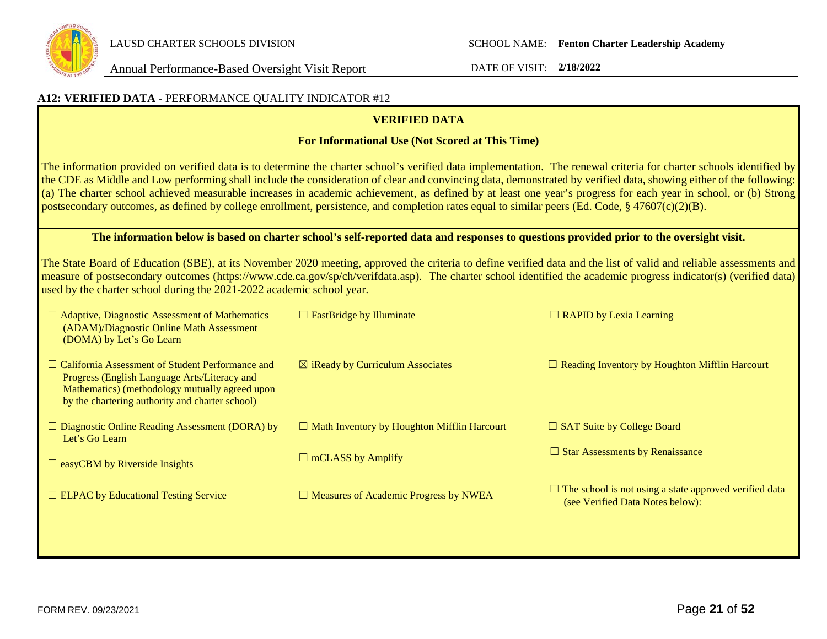

LAUSD CHARTER SCHOOLS DIVISION SCHOOL NAME: **Fenton Charter Leadership Academy**

| A12: VERIFIED DATA - PERFORMANCE QUALITY INDICATOR #12                                                                                                                                                                                                                                                                                                                                                          |                                                                                                                                         |                                                                                                                                                                                                                                                                                                                                                                                                                                                                                                              |  |  |
|-----------------------------------------------------------------------------------------------------------------------------------------------------------------------------------------------------------------------------------------------------------------------------------------------------------------------------------------------------------------------------------------------------------------|-----------------------------------------------------------------------------------------------------------------------------------------|--------------------------------------------------------------------------------------------------------------------------------------------------------------------------------------------------------------------------------------------------------------------------------------------------------------------------------------------------------------------------------------------------------------------------------------------------------------------------------------------------------------|--|--|
|                                                                                                                                                                                                                                                                                                                                                                                                                 | <b>VERIFIED DATA</b>                                                                                                                    |                                                                                                                                                                                                                                                                                                                                                                                                                                                                                                              |  |  |
|                                                                                                                                                                                                                                                                                                                                                                                                                 | For Informational Use (Not Scored at This Time)                                                                                         |                                                                                                                                                                                                                                                                                                                                                                                                                                                                                                              |  |  |
| postsecondary outcomes, as defined by college enrollment, persistence, and completion rates equal to similar peers (Ed. Code, § 47607(c)(2)(B).                                                                                                                                                                                                                                                                 |                                                                                                                                         | The information provided on verified data is to determine the charter school's verified data implementation. The renewal criteria for charter schools identified by<br>the CDE as Middle and Low performing shall include the consideration of clear and convincing data, demonstrated by verified data, showing either of the following:<br>(a) The charter school achieved measurable increases in academic achievement, as defined by at least one year's progress for each year in school, or (b) Strong |  |  |
|                                                                                                                                                                                                                                                                                                                                                                                                                 | The information below is based on charter school's self-reported data and responses to questions provided prior to the oversight visit. |                                                                                                                                                                                                                                                                                                                                                                                                                                                                                                              |  |  |
| The State Board of Education (SBE), at its November 2020 meeting, approved the criteria to define verified data and the list of valid and reliable assessments and<br>measure of postsecondary outcomes (https://www.cde.ca.gov/sp/ch/verifdata.asp). The charter school identified the academic progress indicator(s) (verified data)<br>used by the charter school during the 2021-2022 academic school year. |                                                                                                                                         |                                                                                                                                                                                                                                                                                                                                                                                                                                                                                                              |  |  |
| $\Box$ Adaptive, Diagnostic Assessment of Mathematics<br>(ADAM)/Diagnostic Online Math Assessment<br>(DOMA) by Let's Go Learn                                                                                                                                                                                                                                                                                   | $\Box$ FastBridge by Illuminate                                                                                                         | $\Box$ RAPID by Lexia Learning                                                                                                                                                                                                                                                                                                                                                                                                                                                                               |  |  |
| $\Box$ California Assessment of Student Performance and<br>Progress (English Language Arts/Literacy and<br>Mathematics) (methodology mutually agreed upon<br>by the chartering authority and charter school)                                                                                                                                                                                                    | $\boxtimes$ iReady by Curriculum Associates                                                                                             | $\Box$ Reading Inventory by Houghton Mifflin Harcourt                                                                                                                                                                                                                                                                                                                                                                                                                                                        |  |  |
| $\Box$ Diagnostic Online Reading Assessment (DORA) by<br>Let's Go Learn                                                                                                                                                                                                                                                                                                                                         | $\Box$ Math Inventory by Houghton Mifflin Harcourt                                                                                      | $\Box$ SAT Suite by College Board                                                                                                                                                                                                                                                                                                                                                                                                                                                                            |  |  |
| $\Box$ easyCBM by Riverside Insights                                                                                                                                                                                                                                                                                                                                                                            | $\Box$ mCLASS by Amplify                                                                                                                | $\Box$ Star Assessments by Renaissance                                                                                                                                                                                                                                                                                                                                                                                                                                                                       |  |  |
| $\Box$ ELPAC by Educational Testing Service                                                                                                                                                                                                                                                                                                                                                                     | $\Box$ Measures of Academic Progress by NWEA                                                                                            | $\Box$ The school is not using a state approved verified data<br>(see Verified Data Notes below):                                                                                                                                                                                                                                                                                                                                                                                                            |  |  |
|                                                                                                                                                                                                                                                                                                                                                                                                                 |                                                                                                                                         |                                                                                                                                                                                                                                                                                                                                                                                                                                                                                                              |  |  |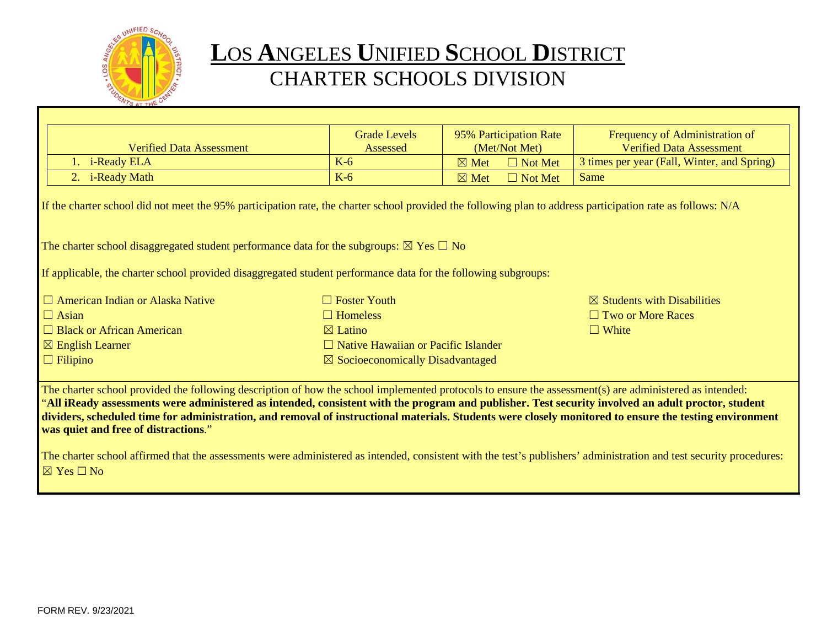

# **L**OS **A**NGELES **U**NIFIED **S**CHOOL **D**ISTRICT CHARTER SCHOOLS DIVISION

|                                                                                                                                                                                                                                                                                                                                                                                                                                                                                                                 | <b>Grade Levels</b>                         | 95% Participation Rate            | Frequency of Administration of              |  |
|-----------------------------------------------------------------------------------------------------------------------------------------------------------------------------------------------------------------------------------------------------------------------------------------------------------------------------------------------------------------------------------------------------------------------------------------------------------------------------------------------------------------|---------------------------------------------|-----------------------------------|---------------------------------------------|--|
| <b>Verified Data Assessment</b>                                                                                                                                                                                                                                                                                                                                                                                                                                                                                 | Assessed                                    | (Met/Not Met)                     | <b>Verified Data Assessment</b>             |  |
| 1. i-Ready ELA                                                                                                                                                                                                                                                                                                                                                                                                                                                                                                  | $K-6$                                       | $\boxtimes$ Met<br>$\Box$ Not Met | 3 times per year (Fall, Winter, and Spring) |  |
| 2. i-Ready Math                                                                                                                                                                                                                                                                                                                                                                                                                                                                                                 | $K-6$                                       | $\Box$ Not Met<br>$\boxtimes$ Met | Same                                        |  |
| If the charter school did not meet the 95% participation rate, the charter school provided the following plan to address participation rate as follows: N/A                                                                                                                                                                                                                                                                                                                                                     |                                             |                                   |                                             |  |
| The charter school disaggregated student performance data for the subgroups: $\boxtimes$ Yes $\Box$ No                                                                                                                                                                                                                                                                                                                                                                                                          |                                             |                                   |                                             |  |
| If applicable, the charter school provided disaggregated student performance data for the following subgroups:                                                                                                                                                                                                                                                                                                                                                                                                  |                                             |                                   |                                             |  |
| $\Box$ American Indian or Alaska Native                                                                                                                                                                                                                                                                                                                                                                                                                                                                         | $\Box$ Foster Youth                         |                                   | $\boxtimes$ Students with Disabilities      |  |
| $\Box$ Asian                                                                                                                                                                                                                                                                                                                                                                                                                                                                                                    | $\Box$ Homeless                             |                                   | $\Box$ Two or More Races                    |  |
| $\Box$ Black or African American                                                                                                                                                                                                                                                                                                                                                                                                                                                                                | $\boxtimes$ Latino                          |                                   | $\Box$ White                                |  |
| $\boxtimes$ English Learner                                                                                                                                                                                                                                                                                                                                                                                                                                                                                     | $\Box$ Native Hawaiian or Pacific Islander  |                                   |                                             |  |
| $\Box$ Filipino                                                                                                                                                                                                                                                                                                                                                                                                                                                                                                 | $\boxtimes$ Socioeconomically Disadvantaged |                                   |                                             |  |
| The charter school provided the following description of how the school implemented protocols to ensure the assessment(s) are administered as intended:<br>"All iReady assessments were administered as intended, consistent with the program and publisher. Test security involved an adult proctor, student<br>dividers, scheduled time for administration, and removal of instructional materials. Students were closely monitored to ensure the testing environment<br>was quiet and free of distractions." |                                             |                                   |                                             |  |
| The charter school affirmed that the assessments were administered as intended, consistent with the test's publishers' administration and test security procedures:<br>$\boxtimes$ Yes $\square$ No                                                                                                                                                                                                                                                                                                             |                                             |                                   |                                             |  |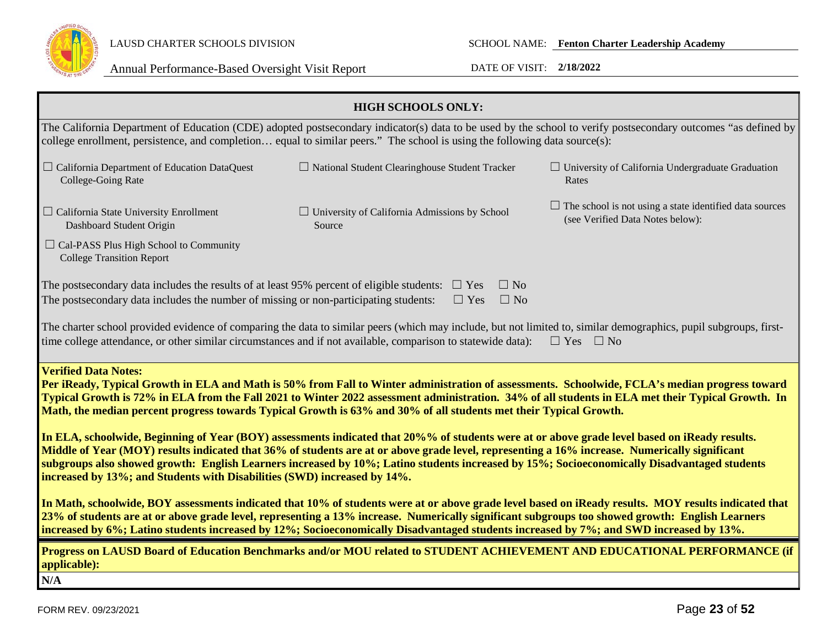

|                                                                                                                                                                                                                                                                                                                                                                                                                                                                                                                           | <b>HIGH SCHOOLS ONLY:</b>                                                                                                                                                                                                                                                                   |                                                                                                    |  |  |  |
|---------------------------------------------------------------------------------------------------------------------------------------------------------------------------------------------------------------------------------------------------------------------------------------------------------------------------------------------------------------------------------------------------------------------------------------------------------------------------------------------------------------------------|---------------------------------------------------------------------------------------------------------------------------------------------------------------------------------------------------------------------------------------------------------------------------------------------|----------------------------------------------------------------------------------------------------|--|--|--|
|                                                                                                                                                                                                                                                                                                                                                                                                                                                                                                                           | The California Department of Education (CDE) adopted postsecondary indicator(s) data to be used by the school to verify postsecondary outcomes "as defined by<br>college enrollment, persistence, and completion equal to similar peers." The school is using the following data source(s): |                                                                                                    |  |  |  |
| $\Box$ California Department of Education DataQuest<br>College-Going Rate                                                                                                                                                                                                                                                                                                                                                                                                                                                 | $\Box$ National Student Clearinghouse Student Tracker                                                                                                                                                                                                                                       | $\Box$ University of California Undergraduate Graduation<br>Rates                                  |  |  |  |
| $\Box$ California State University Enrollment<br>Dashboard Student Origin                                                                                                                                                                                                                                                                                                                                                                                                                                                 | $\Box$ University of California Admissions by School<br>Source                                                                                                                                                                                                                              | $\Box$ The school is not using a state identified data sources<br>(see Verified Data Notes below): |  |  |  |
| $\Box$ Cal-PASS Plus High School to Community<br><b>College Transition Report</b>                                                                                                                                                                                                                                                                                                                                                                                                                                         |                                                                                                                                                                                                                                                                                             |                                                                                                    |  |  |  |
| The postsecondary data includes the results of at least 95% percent of eligible students:<br>The postsecondary data includes the number of missing or non-participating students:                                                                                                                                                                                                                                                                                                                                         | $\Box$ No<br>$\Box$ Yes<br>$\Box$ Yes<br>$\Box$ No                                                                                                                                                                                                                                          |                                                                                                    |  |  |  |
| The charter school provided evidence of comparing the data to similar peers (which may include, but not limited to, similar demographics, pupil subgroups, first-<br>time college attendance, or other similar circumstances and if not available, comparison to statewide data):                                                                                                                                                                                                                                         |                                                                                                                                                                                                                                                                                             | $\Box$ Yes $\Box$ No                                                                               |  |  |  |
| <b>Verified Data Notes:</b><br>Per iReady, Typical Growth in ELA and Math is 50% from Fall to Winter administration of assessments. Schoolwide, FCLA's median progress toward<br>Typical Growth is 72% in ELA from the Fall 2021 to Winter 2022 assessment administration. 34% of all students in ELA met their Typical Growth. In<br>Math, the median percent progress towards Typical Growth is 63% and 30% of all students met their Typical Growth.                                                                   |                                                                                                                                                                                                                                                                                             |                                                                                                    |  |  |  |
| In ELA, schoolwide, Beginning of Year (BOY) assessments indicated that 20%% of students were at or above grade level based on iReady results.<br>Middle of Year (MOY) results indicated that 36% of students are at or above grade level, representing a 16% increase. Numerically significant<br>subgroups also showed growth: English Learners increased by 10%; Latino students increased by 15%; Socioeconomically Disadvantaged students<br>increased by 13%; and Students with Disabilities (SWD) increased by 14%. |                                                                                                                                                                                                                                                                                             |                                                                                                    |  |  |  |
| In Math, schoolwide, BOY assessments indicated that 10% of students were at or above grade level based on iReady results. MOY results indicated that<br>23% of students are at or above grade level, representing a 13% increase. Numerically significant subgroups too showed growth: English Learners<br>increased by 6%; Latino students increased by 12%; Socioeconomically Disadvantaged students increased by 7%; and SWD increased by 13%.                                                                         |                                                                                                                                                                                                                                                                                             |                                                                                                    |  |  |  |
| Progress on LAUSD Board of Education Benchmarks and/or MOU related to STUDENT ACHIEVEMENT AND EDUCATIONAL PERFORMANCE (if<br>applicable):                                                                                                                                                                                                                                                                                                                                                                                 |                                                                                                                                                                                                                                                                                             |                                                                                                    |  |  |  |
| N/A                                                                                                                                                                                                                                                                                                                                                                                                                                                                                                                       |                                                                                                                                                                                                                                                                                             |                                                                                                    |  |  |  |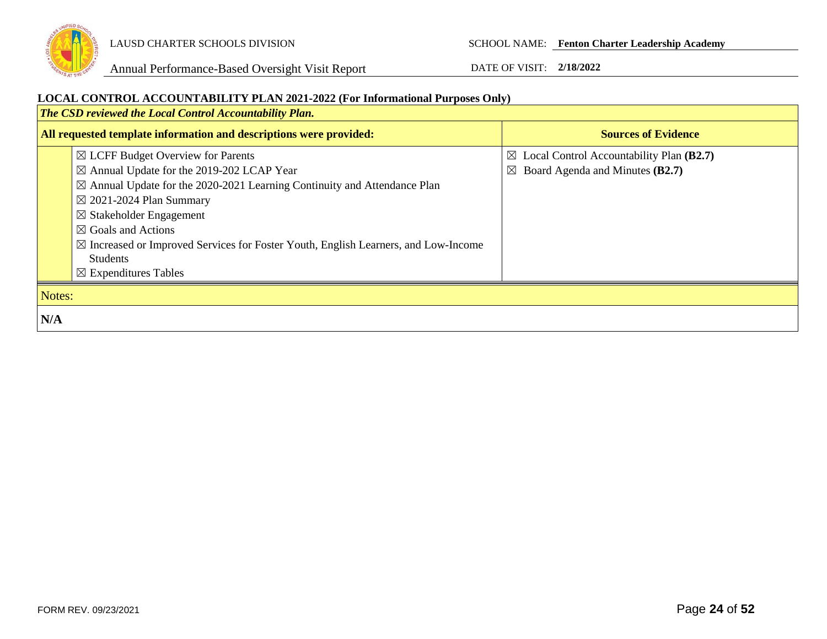

#### **LOCAL CONTROL ACCOUNTABILITY PLAN 2021-2022 (For Informational Purposes Only)**

*The CSD reviewed the Local Control Accountability Plan.*  **All requested template information and descriptions were provided: Sources of Evidence Sources of Evidence** ☒ LCFF Budget Overview for Parents ☒ Annual Update for the 2019-202 LCAP Year  $\boxtimes$  Annual Update for the 2020-2021 Learning Continuity and Attendance Plan ☒ 2021-2024 Plan Summary ☒ Stakeholder Engagement ☒ Goals and Actions ☒ Increased or Improved Services for Foster Youth, English Learners, and Low-Income Students ☒ Expenditures Tables ☒ Local Control Accountability Plan **(B2.7)** ☒ Board Agenda and Minutes **(B2.7)** Notes: **N/A**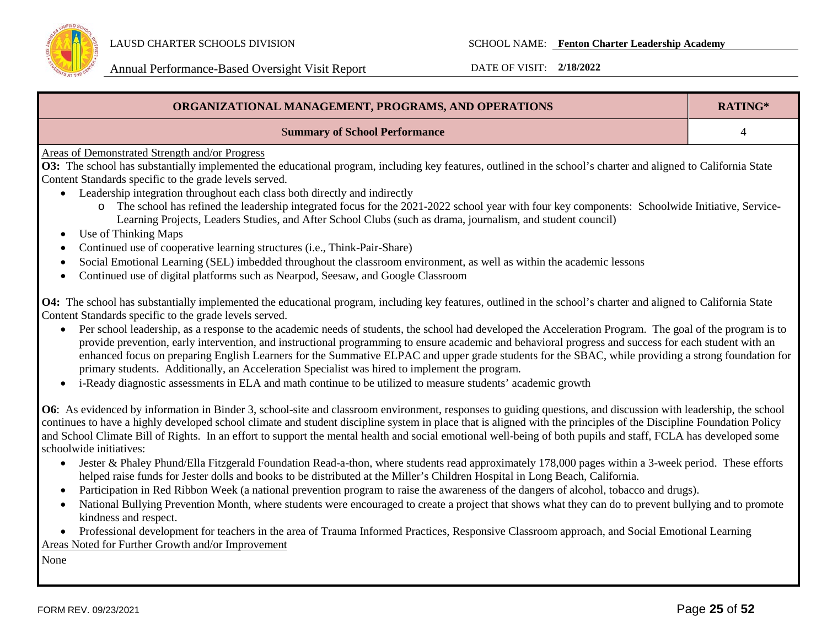

| ORGANIZATIONAL MANAGEMENT, PROGRAMS, AND OPERATIONS                                                                                                                                                                                                                                                                                                                                                                                                                                                                                                                                                                                                                                                                                                                                                                                                                                                                                                                                                                                                                                                                        |   |  |
|----------------------------------------------------------------------------------------------------------------------------------------------------------------------------------------------------------------------------------------------------------------------------------------------------------------------------------------------------------------------------------------------------------------------------------------------------------------------------------------------------------------------------------------------------------------------------------------------------------------------------------------------------------------------------------------------------------------------------------------------------------------------------------------------------------------------------------------------------------------------------------------------------------------------------------------------------------------------------------------------------------------------------------------------------------------------------------------------------------------------------|---|--|
| <b>Summary of School Performance</b>                                                                                                                                                                                                                                                                                                                                                                                                                                                                                                                                                                                                                                                                                                                                                                                                                                                                                                                                                                                                                                                                                       | 4 |  |
| <b>Areas of Demonstrated Strength and/or Progress</b><br>O3: The school has substantially implemented the educational program, including key features, outlined in the school's charter and aligned to California State<br>Content Standards specific to the grade levels served.<br>Leadership integration throughout each class both directly and indirectly<br>The school has refined the leadership integrated focus for the 2021-2022 school year with four key components: Schoolwide Initiative, Service-<br>Learning Projects, Leaders Studies, and After School Clubs (such as drama, journalism, and student council)<br>Use of Thinking Maps<br>Continued use of cooperative learning structures (i.e., Think-Pair-Share)<br>Social Emotional Learning (SEL) imbedded throughout the classroom environment, as well as within the academic lessons<br>Continued use of digital platforms such as Nearpod, Seesaw, and Google Classroom                                                                                                                                                                          |   |  |
| O4: The school has substantially implemented the educational program, including key features, outlined in the school's charter and aligned to California State<br>Content Standards specific to the grade levels served.<br>Per school leadership, as a response to the academic needs of students, the school had developed the Acceleration Program. The goal of the program is to<br>provide prevention, early intervention, and instructional programming to ensure academic and behavioral progress and success for each student with an<br>enhanced focus on preparing English Learners for the Summative ELPAC and upper grade students for the SBAC, while providing a strong foundation for<br>primary students. Additionally, an Acceleration Specialist was hired to implement the program.<br>i-Ready diagnostic assessments in ELA and math continue to be utilized to measure students' academic growth                                                                                                                                                                                                      |   |  |
| O6: As evidenced by information in Binder 3, school-site and classroom environment, responses to guiding questions, and discussion with leadership, the school<br>continues to have a highly developed school climate and student discipline system in place that is aligned with the principles of the Discipline Foundation Policy<br>and School Climate Bill of Rights. In an effort to support the mental health and social emotional well-being of both pupils and staff, FCLA has developed some<br>schoolwide initiatives:<br>Jester & Phaley Phund/Ella Fitzgerald Foundation Read-a-thon, where students read approximately 178,000 pages within a 3-week period. These efforts<br>helped raise funds for Jester dolls and books to be distributed at the Miller's Children Hospital in Long Beach, California.<br>Participation in Red Ribbon Week (a national prevention program to raise the awareness of the dangers of alcohol, tobacco and drugs).<br>Metional Pullying Drevention Month, where etudents were encouraged to erecte a project that shows what they can do to prevent bullying and to promote |   |  |

• National Bullying Prevention Month, where students were encouraged to create a project that shows what they can do to prevent bullying and to promote kindness and respect.

• Professional development for teachers in the area of Trauma Informed Practices, Responsive Classroom approach, and Social Emotional Learning Areas Noted for Further Growth and/or Improvement

None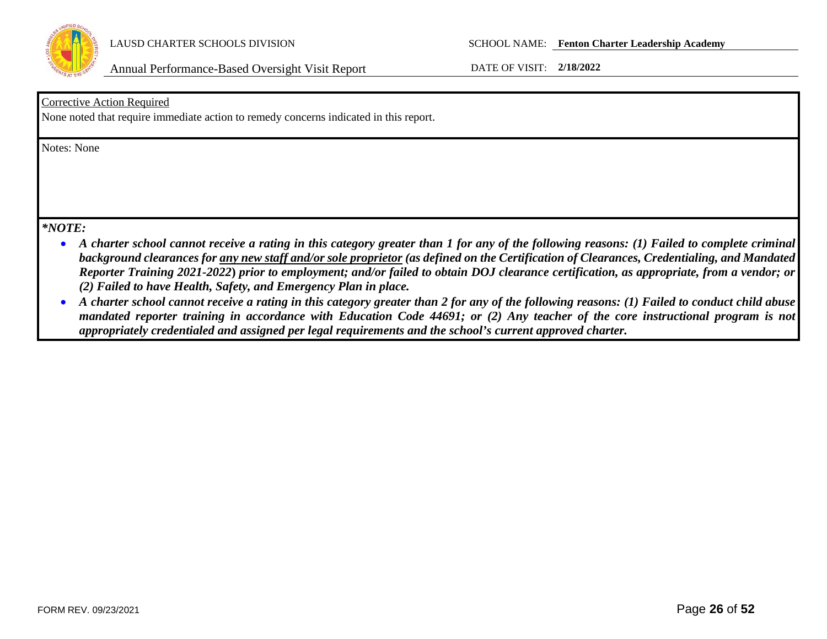

# Corrective Action Required None noted that require immediate action to remedy concerns indicated in this report. Notes: None

#### *\*NOTE:*

- *A charter school cannot receive a rating in this category greater than 1 for any of the following reasons: (1) Failed to complete criminal background clearances for any new staff and/or sole proprietor (as defined on the Certification of Clearances, Credentialing, and Mandated Reporter Training 2021-2022***)** *prior to employment; and/or failed to obtain DOJ clearance certification, as appropriate, from a vendor; or (2) Failed to have Health, Safety, and Emergency Plan in place.*
- *A charter school cannot receive a rating in this category greater than 2 for any of the following reasons: (1) Failed to conduct child abuse mandated reporter training in accordance with Education Code 44691; or (2) Any teacher of the core instructional program is not appropriately credentialed and assigned per legal requirements and the school's current approved charter.*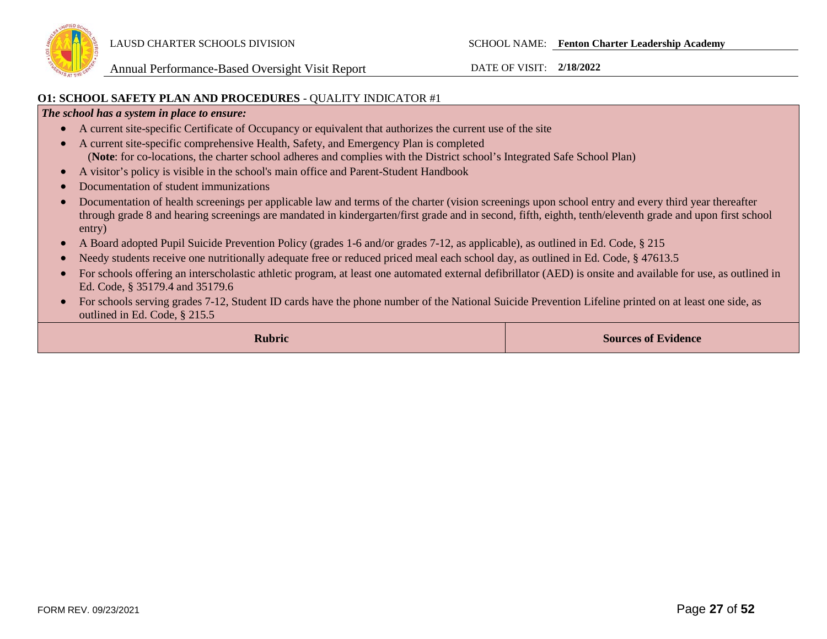

#### **O1: SCHOOL SAFETY PLAN AND PROCEDURES** - QUALITY INDICATOR #1

#### *The school has a system in place to ensure:*

- A current site-specific Certificate of Occupancy or equivalent that authorizes the current use of the site
- A current site-specific comprehensive Health, Safety, and Emergency Plan is completed (**Note**: for co-locations, the charter school adheres and complies with the District school's Integrated Safe School Plan)
- A visitor's policy is visible in the school's main office and Parent-Student Handbook
- Documentation of student immunizations
- Documentation of health screenings per applicable law and terms of the charter (vision screenings upon school entry and every third year thereafter through grade 8 and hearing screenings are mandated in kindergarten/first grade and in second, fifth, eighth, tenth/eleventh grade and upon first school entry)
- A Board adopted Pupil Suicide Prevention Policy (grades 1-6 and/or grades 7-12, as applicable), as outlined in Ed. Code, § 215
- Needy students receive one nutritionally adequate free or reduced priced meal each school day, as outlined in Ed. Code, § 47613.5
- For schools offering an interscholastic athletic program, at least one automated external defibrillator (AED) is onsite and available for use, as outlined in Ed. Code, § 35179.4 and 35179.6
- For schools serving grades 7-12, Student ID cards have the phone number of the National Suicide Prevention Lifeline printed on at least one side, as outlined in Ed. Code, § 215.5

**Rubric Sources of Evidence Sources of Evidence**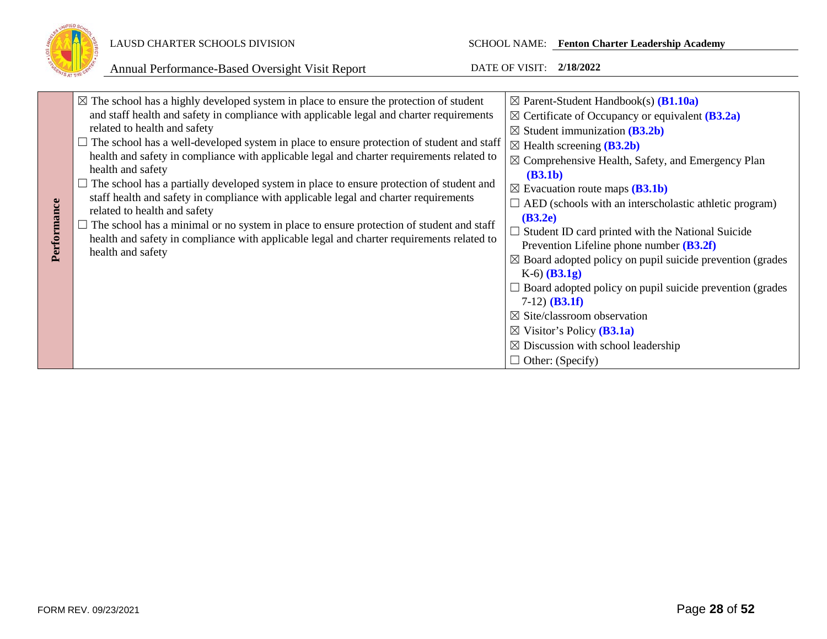

|             | $\boxtimes$ The school has a highly developed system in place to ensure the protection of student                    | $\boxtimes$ Parent-Student Handbook(s) ( <b>B1.10a</b> )              |
|-------------|----------------------------------------------------------------------------------------------------------------------|-----------------------------------------------------------------------|
|             | and staff health and safety in compliance with applicable legal and charter requirements                             | $\boxtimes$ Certificate of Occupancy or equivalent ( <b>B3.2a</b> )   |
|             | related to health and safety                                                                                         | $\boxtimes$ Student immunization (B3.2b)                              |
|             | $\Box$ The school has a well-developed system in place to ensure protection of student and staff                     | $\boxtimes$ Health screening ( <b>B3.2b</b> )                         |
|             | health and safety in compliance with applicable legal and charter requirements related to                            | $\boxtimes$ Comprehensive Health, Safety, and Emergency Plan          |
|             | health and safety                                                                                                    | (B3.1b)                                                               |
|             | $\Box$ The school has a partially developed system in place to ensure protection of student and                      | $\boxtimes$ Evacuation route maps ( <b>B3.1b</b> )                    |
|             | staff health and safety in compliance with applicable legal and charter requirements<br>related to health and safety | $\Box$ AED (schools with an interscholastic athletic program)         |
|             | $\Box$ The school has a minimal or no system in place to ensure protection of student and staff                      | (B3.2e)                                                               |
| Performance | health and safety in compliance with applicable legal and charter requirements related to                            | $\Box$ Student ID card printed with the National Suicide              |
|             | health and safety                                                                                                    | Prevention Lifeline phone number $(B3.2f)$                            |
|             |                                                                                                                      | $\boxtimes$ Board adopted policy on pupil suicide prevention (grades) |
|             |                                                                                                                      | $K-6$ (B3.1g)                                                         |
|             |                                                                                                                      | $\Box$ Board adopted policy on pupil suicide prevention (grades       |
|             |                                                                                                                      | $7-12)$ ( <b>B3.1f</b> )                                              |
|             |                                                                                                                      | $\boxtimes$ Site/classroom observation                                |
|             |                                                                                                                      | $\boxtimes$ Visitor's Policy ( <b>B3.1a</b> )                         |
|             |                                                                                                                      | $\boxtimes$ Discussion with school leadership                         |
|             |                                                                                                                      | $\Box$ Other: (Specify)                                               |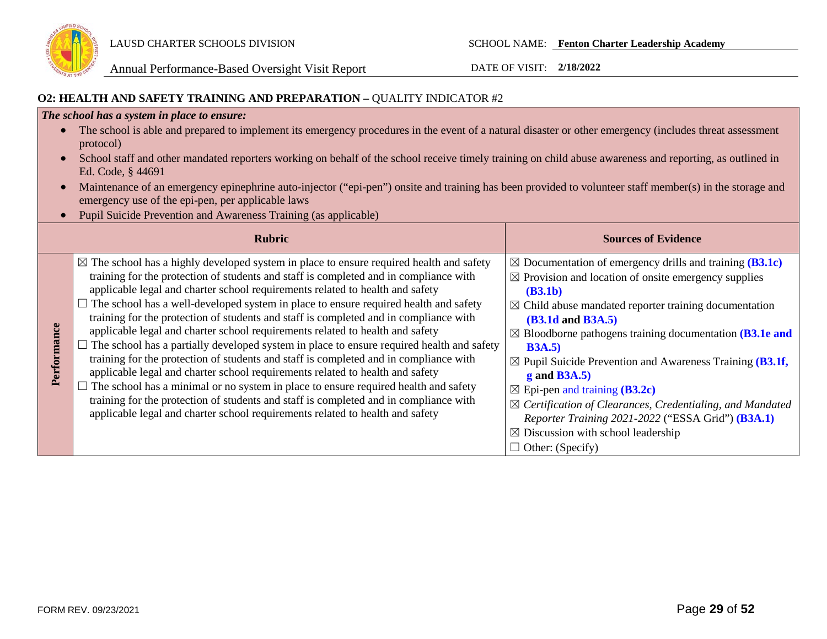

#### **O2: HEALTH AND SAFETY TRAINING AND PREPARATION –** QUALITY INDICATOR #2

#### *The school has a system in place to ensure:*

- The school is able and prepared to implement its emergency procedures in the event of a natural disaster or other emergency (includes threat assessment protocol)
- School staff and other mandated reporters working on behalf of the school receive timely training on child abuse awareness and reporting, as outlined in Ed. Code, § 44691
- Maintenance of an emergency epinephrine auto-injector ("epi-pen") onsite and training has been provided to volunteer staff member(s) in the storage and emergency use of the epi-pen, per applicable laws
- Pupil Suicide Prevention and Awareness Training (as applicable)

|             | <b>Rubric</b>                                                                                                                                                                                                                                                                                                                                                                                                                                                                                                                                                                                                                                                                                                                                                                                                                                                                                                                                                                                                                                                                                        | <b>Sources of Evidence</b>                                                                                                                                                                                                                                                                                                                                                                                                                                                                                                                                                                                                                                                    |
|-------------|------------------------------------------------------------------------------------------------------------------------------------------------------------------------------------------------------------------------------------------------------------------------------------------------------------------------------------------------------------------------------------------------------------------------------------------------------------------------------------------------------------------------------------------------------------------------------------------------------------------------------------------------------------------------------------------------------------------------------------------------------------------------------------------------------------------------------------------------------------------------------------------------------------------------------------------------------------------------------------------------------------------------------------------------------------------------------------------------------|-------------------------------------------------------------------------------------------------------------------------------------------------------------------------------------------------------------------------------------------------------------------------------------------------------------------------------------------------------------------------------------------------------------------------------------------------------------------------------------------------------------------------------------------------------------------------------------------------------------------------------------------------------------------------------|
| Performance | $\boxtimes$ The school has a highly developed system in place to ensure required health and safety<br>training for the protection of students and staff is completed and in compliance with<br>applicable legal and charter school requirements related to health and safety<br>The school has a well-developed system in place to ensure required health and safety<br>training for the protection of students and staff is completed and in compliance with<br>applicable legal and charter school requirements related to health and safety<br>$\Box$ The school has a partially developed system in place to ensure required health and safety<br>training for the protection of students and staff is completed and in compliance with<br>applicable legal and charter school requirements related to health and safety<br>$\Box$ The school has a minimal or no system in place to ensure required health and safety<br>training for the protection of students and staff is completed and in compliance with<br>applicable legal and charter school requirements related to health and safety | $\boxtimes$ Documentation of emergency drills and training (B3.1c)<br>$\boxtimes$ Provision and location of onsite emergency supplies<br>(B3.1b)<br>$\boxtimes$ Child abuse mandated reporter training documentation<br><b>(B3.1d and B3A.5)</b><br>$\boxtimes$ Bloodborne pathogens training documentation (B3.1e and<br>B3A.5<br>$\boxtimes$ Pupil Suicide Prevention and Awareness Training (B3.1f,<br>$g$ and B3A.5)<br>$\boxtimes$ Epi-pen and training (B3.2c)<br>$\boxtimes$ Certification of Clearances, Credentialing, and Mandated<br>Reporter Training 2021-2022 ("ESSA Grid") (B3A.1)<br>$\boxtimes$ Discussion with school leadership<br>$\Box$ Other: (Specify) |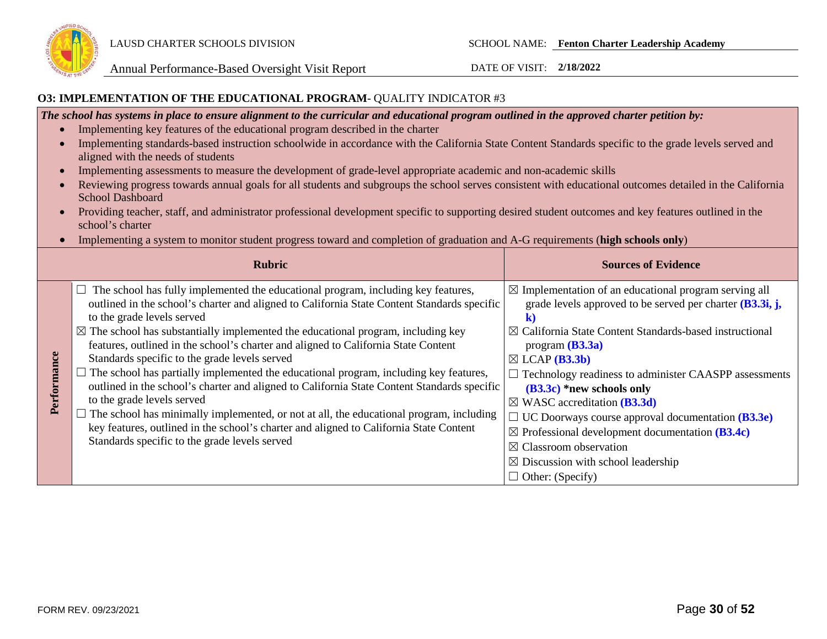

#### **O3: IMPLEMENTATION OF THE EDUCATIONAL PROGRAM**- QUALITY INDICATOR #3

*The school has systems in place to ensure alignment to the curricular and educational program outlined in the approved charter petition by:*

- Implementing key features of the educational program described in the charter
- Implementing standards-based instruction schoolwide in accordance with the California State Content Standards specific to the grade levels served and aligned with the needs of students
- Implementing assessments to measure the development of grade-level appropriate academic and non-academic skills
- Reviewing progress towards annual goals for all students and subgroups the school serves consistent with educational outcomes detailed in the California School Dashboard
- Providing teacher, staff, and administrator professional development specific to supporting desired student outcomes and key features outlined in the school's charter
- Implementing a system to monitor student progress toward and completion of graduation and A-G requirements (**high schools only**)

|             | <b>Rubric</b>                                                                                                                                                                                                                                                                                                                                                                                                                                                                                                                                                                                                                                                                                                                                                                                                                                                                                                    | <b>Sources of Evidence</b>                                                                                                                                                                                                                                                                                                                                                                                                                                                                                                                                                                                                                          |
|-------------|------------------------------------------------------------------------------------------------------------------------------------------------------------------------------------------------------------------------------------------------------------------------------------------------------------------------------------------------------------------------------------------------------------------------------------------------------------------------------------------------------------------------------------------------------------------------------------------------------------------------------------------------------------------------------------------------------------------------------------------------------------------------------------------------------------------------------------------------------------------------------------------------------------------|-----------------------------------------------------------------------------------------------------------------------------------------------------------------------------------------------------------------------------------------------------------------------------------------------------------------------------------------------------------------------------------------------------------------------------------------------------------------------------------------------------------------------------------------------------------------------------------------------------------------------------------------------------|
| Performance | The school has fully implemented the educational program, including key features,<br>outlined in the school's charter and aligned to California State Content Standards specific<br>to the grade levels served<br>$\boxtimes$ The school has substantially implemented the educational program, including key<br>features, outlined in the school's charter and aligned to California State Content<br>Standards specific to the grade levels served<br>The school has partially implemented the educational program, including key features,<br>outlined in the school's charter and aligned to California State Content Standards specific<br>to the grade levels served<br>The school has minimally implemented, or not at all, the educational program, including<br>key features, outlined in the school's charter and aligned to California State Content<br>Standards specific to the grade levels served | $\boxtimes$ Implementation of an educational program serving all<br>grade levels approved to be served per charter $(B3.3i, j,$<br>$\boxtimes$ California State Content Standards-based instructional<br>program $(B3.3a)$<br>$\boxtimes$ LCAP ( <b>B3.3b</b> )<br>$\Box$ Technology readiness to administer CAASPP assessments<br>$(B3.3c)$ *new schools only<br>$\boxtimes$ WASC accreditation (B3.3d)<br>$\Box$ UC Doorways course approval documentation (B3.3e)<br>$\boxtimes$ Professional development documentation (B3.4c)<br>$\boxtimes$ Classroom observation<br>$\boxtimes$ Discussion with school leadership<br>$\Box$ Other: (Specify) |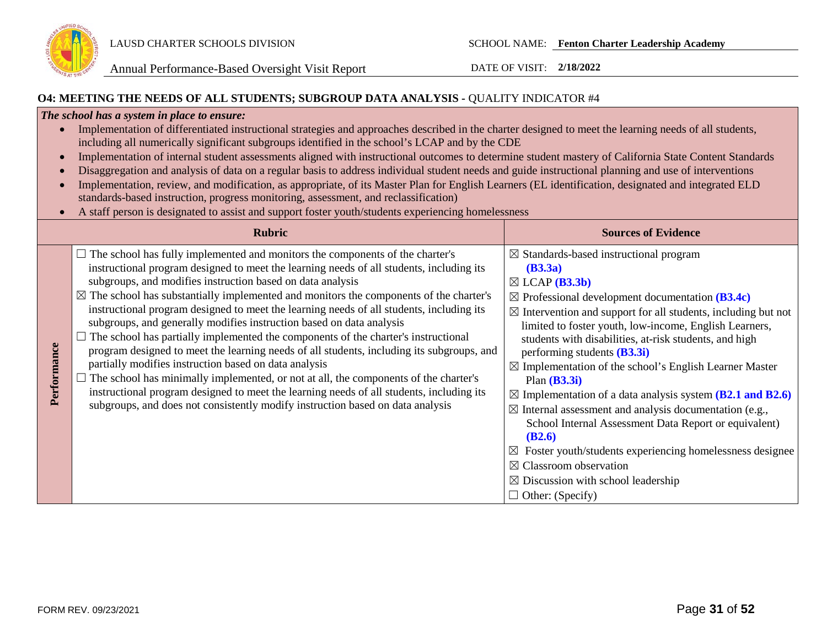

#### **O4: MEETING THE NEEDS OF ALL STUDENTS; SUBGROUP DATA ANALYSIS -** QUALITY INDICATOR #4

#### *The school has a system in place to ensure:*

| Implementation of differentiated instructional strategies and approaches described in the charter designed to meet the learning needs of all students, |
|--------------------------------------------------------------------------------------------------------------------------------------------------------|
| including all numerically significant subgroups identified in the school's LCAP and by the CDE                                                         |

- Implementation of internal student assessments aligned with instructional outcomes to determine student mastery of California State Content Standards
- Disaggregation and analysis of data on a regular basis to address individual student needs and guide instructional planning and use of interventions
- Implementation, review, and modification, as appropriate, of its Master Plan for English Learners (EL identification, designated and integrated ELD standards-based instruction, progress monitoring, assessment, and reclassification)
- A staff person is designated to assist and support foster youth/students experiencing homelessness

|             | <b>Rubric</b>                                                                                                                                                                                                                                                                                                                                                                                                                                                                                                                                                                                                                                                                                                                                                                                                                                                                                                                                                                                                                                           | <b>Sources of Evidence</b>                                                                                                                                                                                                                                                                                                                                                                                                                                                                                                                                                                                                                                                                                                                                                                                                                                                           |
|-------------|---------------------------------------------------------------------------------------------------------------------------------------------------------------------------------------------------------------------------------------------------------------------------------------------------------------------------------------------------------------------------------------------------------------------------------------------------------------------------------------------------------------------------------------------------------------------------------------------------------------------------------------------------------------------------------------------------------------------------------------------------------------------------------------------------------------------------------------------------------------------------------------------------------------------------------------------------------------------------------------------------------------------------------------------------------|--------------------------------------------------------------------------------------------------------------------------------------------------------------------------------------------------------------------------------------------------------------------------------------------------------------------------------------------------------------------------------------------------------------------------------------------------------------------------------------------------------------------------------------------------------------------------------------------------------------------------------------------------------------------------------------------------------------------------------------------------------------------------------------------------------------------------------------------------------------------------------------|
| Performance | $\Box$ The school has fully implemented and monitors the components of the charter's<br>instructional program designed to meet the learning needs of all students, including its<br>subgroups, and modifies instruction based on data analysis<br>$\boxtimes$ The school has substantially implemented and monitors the components of the charter's<br>instructional program designed to meet the learning needs of all students, including its<br>subgroups, and generally modifies instruction based on data analysis<br>$\Box$ The school has partially implemented the components of the charter's instructional<br>program designed to meet the learning needs of all students, including its subgroups, and<br>partially modifies instruction based on data analysis<br>$\Box$ The school has minimally implemented, or not at all, the components of the charter's<br>instructional program designed to meet the learning needs of all students, including its<br>subgroups, and does not consistently modify instruction based on data analysis | $\boxtimes$ Standards-based instructional program<br>(B3.3a)<br>$\boxtimes$ LCAP ( <b>B3.3b</b> )<br>$\boxtimes$ Professional development documentation (B3.4c)<br>$\boxtimes$ Intervention and support for all students, including but not<br>limited to foster youth, low-income, English Learners,<br>students with disabilities, at-risk students, and high<br>performing students $(B3.3i)$<br>$\boxtimes$ Implementation of the school's English Learner Master<br>Plan $(B3.3i)$<br>$\boxtimes$ Implementation of a data analysis system (B2.1 and B2.6)<br>$\boxtimes$ Internal assessment and analysis documentation (e.g.,<br>School Internal Assessment Data Report or equivalent)<br>(B2.6)<br>Foster youth/students experiencing homelessness designee<br>$\boxtimes$ Classroom observation<br>$\boxtimes$ Discussion with school leadership<br>$\Box$ Other: (Specify) |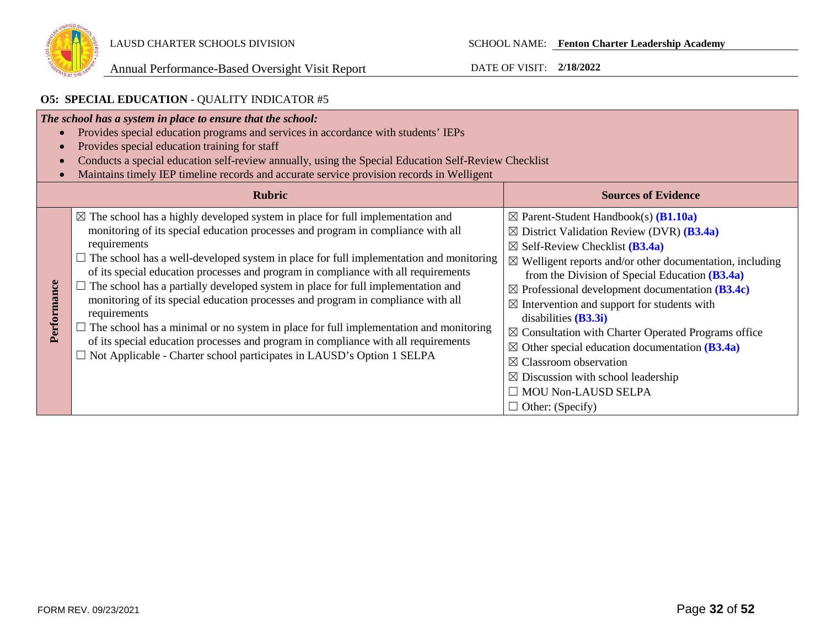

#### **O5: SPECIAL EDUCATION** - QUALITY INDICATOR #5

| The school has a system in place to ensure that the school:<br>Provides special education programs and services in accordance with students' IEPs<br>Provides special education training for staff<br>Conducts a special education self-review annually, using the Special Education Self-Review Checklist<br>Maintains timely IEP timeline records and accurate service provision records in Welligent |                                                                                                                                                                                                                                                                                                                                                                                                                                                                                                                                                                                                                                                                                                                                                                                                                                                     |                                                                                                                                                                                                                                                                                                                                                                                                                                                                                                                                                                                                                                                                                                                                   |
|---------------------------------------------------------------------------------------------------------------------------------------------------------------------------------------------------------------------------------------------------------------------------------------------------------------------------------------------------------------------------------------------------------|-----------------------------------------------------------------------------------------------------------------------------------------------------------------------------------------------------------------------------------------------------------------------------------------------------------------------------------------------------------------------------------------------------------------------------------------------------------------------------------------------------------------------------------------------------------------------------------------------------------------------------------------------------------------------------------------------------------------------------------------------------------------------------------------------------------------------------------------------------|-----------------------------------------------------------------------------------------------------------------------------------------------------------------------------------------------------------------------------------------------------------------------------------------------------------------------------------------------------------------------------------------------------------------------------------------------------------------------------------------------------------------------------------------------------------------------------------------------------------------------------------------------------------------------------------------------------------------------------------|
|                                                                                                                                                                                                                                                                                                                                                                                                         | <b>Rubric</b>                                                                                                                                                                                                                                                                                                                                                                                                                                                                                                                                                                                                                                                                                                                                                                                                                                       | <b>Sources of Evidence</b>                                                                                                                                                                                                                                                                                                                                                                                                                                                                                                                                                                                                                                                                                                        |
| Performance                                                                                                                                                                                                                                                                                                                                                                                             | $\boxtimes$ The school has a highly developed system in place for full implementation and<br>monitoring of its special education processes and program in compliance with all<br>requirements<br>$\Box$ The school has a well-developed system in place for full implementation and monitoring<br>of its special education processes and program in compliance with all requirements<br>The school has a partially developed system in place for full implementation and<br>monitoring of its special education processes and program in compliance with all<br>requirements<br>$\Box$ The school has a minimal or no system in place for full implementation and monitoring<br>of its special education processes and program in compliance with all requirements<br>$\Box$ Not Applicable - Charter school participates in LAUSD's Option 1 SELPA | $\boxtimes$ Parent-Student Handbook(s) ( <b>B1.10a</b> )<br>$\boxtimes$ District Validation Review (DVR) (B3.4a)<br>$\boxtimes$ Self-Review Checklist ( <b>B3.4a</b> )<br>$\boxtimes$ Welligent reports and/or other documentation, including<br>from the Division of Special Education $(B3.4a)$<br>$\boxtimes$ Professional development documentation (B3.4c)<br>$\boxtimes$ Intervention and support for students with<br>disabilities $(B3.3i)$<br>$\boxtimes$ Consultation with Charter Operated Programs office<br>$\boxtimes$ Other special education documentation (B3.4a)<br>$\boxtimes$ Classroom observation<br>$\boxtimes$ Discussion with school leadership<br>$\Box$ MOU Non-LAUSD SELPA<br>$\Box$ Other: (Specify) |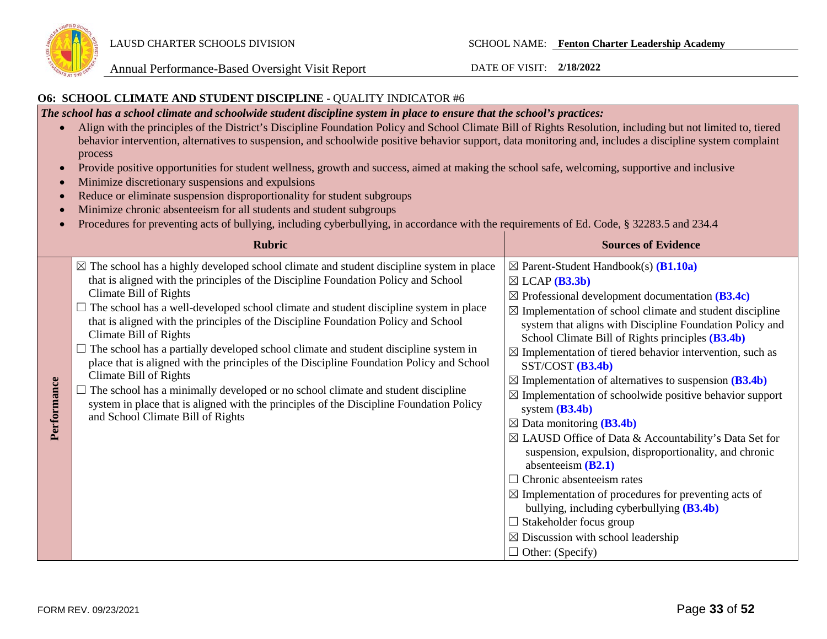

#### **O6: SCHOOL CLIMATE AND STUDENT DISCIPLINE** - QUALITY INDICATOR #6

*The school has a school climate and schoolwide student discipline system in place to ensure that the school's practices:* 

- Align with the principles of the District's Discipline Foundation Policy and School Climate Bill of Rights Resolution, including but not limited to, tiered behavior intervention, alternatives to suspension, and schoolwide positive behavior support, data monitoring and, includes a discipline system complaint process
- Provide positive opportunities for student wellness, growth and success, aimed at making the school safe, welcoming, supportive and inclusive
- Minimize discretionary suspensions and expulsions
- Reduce or eliminate suspension disproportionality for student subgroups
- Minimize chronic absenteeism for all students and student subgroups
- Procedures for preventing acts of bullying, including cyberbullying, in accordance with the requirements of Ed. Code, § 32283.5 and 234.4

|             | <b>Rubric</b>                                                                                                                                                                                                                                                                                                                                                                                                                                                                                                                                                                                                                                                                                                                                                                                                                                                  | <b>Sources of Evidence</b>                                                                                                                                                                                                                                                                                                                                                                                                                                                                                                                                                                                                                                                                                                                                                                                                                                                                                                                                                                                                                                                  |
|-------------|----------------------------------------------------------------------------------------------------------------------------------------------------------------------------------------------------------------------------------------------------------------------------------------------------------------------------------------------------------------------------------------------------------------------------------------------------------------------------------------------------------------------------------------------------------------------------------------------------------------------------------------------------------------------------------------------------------------------------------------------------------------------------------------------------------------------------------------------------------------|-----------------------------------------------------------------------------------------------------------------------------------------------------------------------------------------------------------------------------------------------------------------------------------------------------------------------------------------------------------------------------------------------------------------------------------------------------------------------------------------------------------------------------------------------------------------------------------------------------------------------------------------------------------------------------------------------------------------------------------------------------------------------------------------------------------------------------------------------------------------------------------------------------------------------------------------------------------------------------------------------------------------------------------------------------------------------------|
| Performance | $\boxtimes$ The school has a highly developed school climate and student discipline system in place<br>that is aligned with the principles of the Discipline Foundation Policy and School<br>Climate Bill of Rights<br>The school has a well-developed school climate and student discipline system in place<br>that is aligned with the principles of the Discipline Foundation Policy and School<br>Climate Bill of Rights<br>The school has a partially developed school climate and student discipline system in<br>place that is aligned with the principles of the Discipline Foundation Policy and School<br>Climate Bill of Rights<br>The school has a minimally developed or no school climate and student discipline<br>system in place that is aligned with the principles of the Discipline Foundation Policy<br>and School Climate Bill of Rights | $\boxtimes$ Parent-Student Handbook(s) ( <b>B1.10a</b> )<br>$\boxtimes$ LCAP ( <b>B3.3b</b> )<br>$\boxtimes$ Professional development documentation (B3.4c)<br>$\boxtimes$ Implementation of school climate and student discipline<br>system that aligns with Discipline Foundation Policy and<br>School Climate Bill of Rights principles (B3.4b)<br>Implementation of tiered behavior intervention, such as<br>⊠<br>$SST/COST$ $(B3.4b)$<br>$\boxtimes$ Implementation of alternatives to suspension (B3.4b)<br>$\boxtimes$ Implementation of schoolwide positive behavior support<br>system $(B3.4b)$<br>$\boxtimes$ Data monitoring (B3.4b)<br>$\boxtimes$ LAUSD Office of Data & Accountability's Data Set for<br>suspension, expulsion, disproportionality, and chronic<br>absenteeism $(B2.1)$<br>Chronic absenteeism rates<br>$\perp$<br>$\boxtimes$ Implementation of procedures for preventing acts of<br>bullying, including cyberbullying (B3.4b)<br>$\Box$ Stakeholder focus group<br>$\boxtimes$ Discussion with school leadership<br>$\Box$ Other: (Specify) |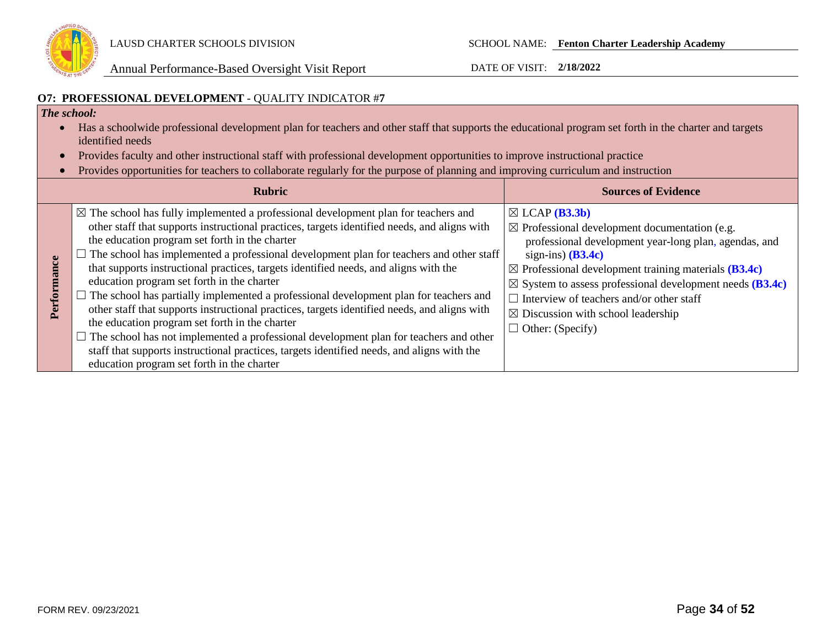

#### **O7: PROFESSIONAL DEVELOPMENT** - QUALITY INDICATOR #**7**

#### *The school:*

- Has a schoolwide professional development plan for teachers and other staff that supports the educational program set forth in the charter and targets identified needs
- Provides faculty and other instructional staff with professional development opportunities to improve instructional practice
- Provides opportunities for teachers to collaborate regularly for the purpose of planning and improving curriculum and instruction

| <b>Rubric</b>                                                                                                                                                                                                                                                                                                                                                                                                                                                                                                                                                                                                                                                                                                                                                                                                                                                                                                                                                    | <b>Sources of Evidence</b>                                                                                                                                                                                                                                                                                                                                                                                                                           |
|------------------------------------------------------------------------------------------------------------------------------------------------------------------------------------------------------------------------------------------------------------------------------------------------------------------------------------------------------------------------------------------------------------------------------------------------------------------------------------------------------------------------------------------------------------------------------------------------------------------------------------------------------------------------------------------------------------------------------------------------------------------------------------------------------------------------------------------------------------------------------------------------------------------------------------------------------------------|------------------------------------------------------------------------------------------------------------------------------------------------------------------------------------------------------------------------------------------------------------------------------------------------------------------------------------------------------------------------------------------------------------------------------------------------------|
| $\boxtimes$ The school has fully implemented a professional development plan for teachers and<br>other staff that supports instructional practices, targets identified needs, and aligns with<br>the education program set forth in the charter<br>The school has implemented a professional development plan for teachers and other staff<br>that supports instructional practices, targets identified needs, and aligns with the<br>education program set forth in the charter<br>The school has partially implemented a professional development plan for teachers and<br>other staff that supports instructional practices, targets identified needs, and aligns with<br>the education program set forth in the charter<br>The school has not implemented a professional development plan for teachers and other<br>staff that supports instructional practices, targets identified needs, and aligns with the<br>education program set forth in the charter | $\boxtimes$ LCAP ( <b>B3.3b</b> )<br>$\boxtimes$ Professional development documentation (e.g.<br>professional development year-long plan, agendas, and<br>sign-ins) $(B3.4c)$<br>$\boxtimes$ Professional development training materials (B3.4c)<br>$\boxtimes$ System to assess professional development needs (B3.4c)<br>Interview of teachers and/or other staff<br>٦<br>$\boxtimes$ Discussion with school leadership<br>$\Box$ Other: (Specify) |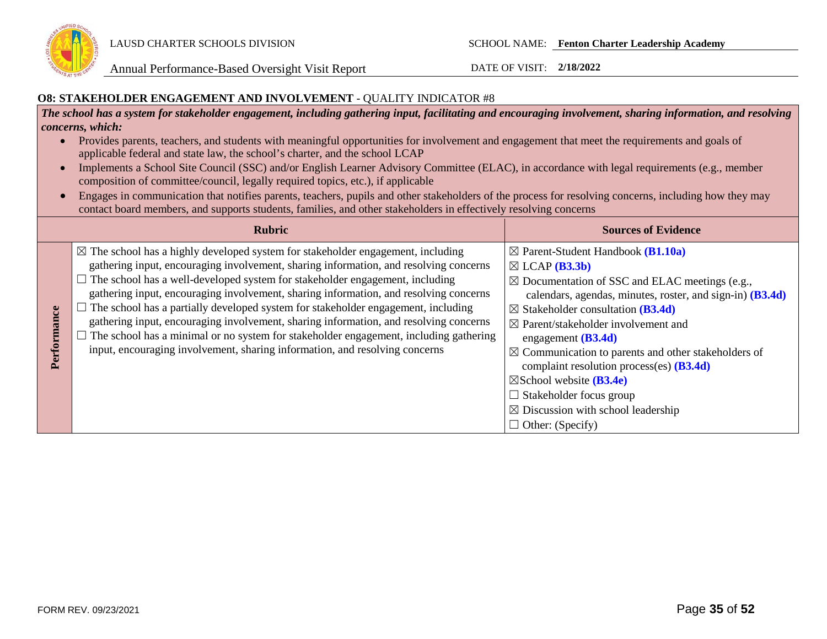

#### **O8: STAKEHOLDER ENGAGEMENT AND INVOLVEMENT** - QUALITY INDICATOR #8

*The school has a system for stakeholder engagement, including gathering input, facilitating and encouraging involvement, sharing information, and resolving concerns, which:*

- Provides parents, teachers, and students with meaningful opportunities for involvement and engagement that meet the requirements and goals of applicable federal and state law, the school's charter, and the school LCAP
- Implements a School Site Council (SSC) and/or English Learner Advisory Committee (ELAC), in accordance with legal requirements (e.g., member composition of committee/council, legally required topics, etc.), if applicable
- Engages in communication that notifies parents, teachers, pupils and other stakeholders of the process for resolving concerns, including how they may contact board members, and supports students, families, and other stakeholders in effectively resolving concerns

|               | <b>Rubric</b>                                                                                                                                                                                                                                                                                                                                                                                                                                                                                                                                                                                                                                                                                                             | <b>Sources of Evidence</b>                                                                                                                                                                                                                                                                                                                                                                                                                                                                                                                                                                         |
|---------------|---------------------------------------------------------------------------------------------------------------------------------------------------------------------------------------------------------------------------------------------------------------------------------------------------------------------------------------------------------------------------------------------------------------------------------------------------------------------------------------------------------------------------------------------------------------------------------------------------------------------------------------------------------------------------------------------------------------------------|----------------------------------------------------------------------------------------------------------------------------------------------------------------------------------------------------------------------------------------------------------------------------------------------------------------------------------------------------------------------------------------------------------------------------------------------------------------------------------------------------------------------------------------------------------------------------------------------------|
| <b>e</b><br>Ξ | $\boxtimes$ The school has a highly developed system for stakeholder engagement, including<br>gathering input, encouraging involvement, sharing information, and resolving concerns<br>$\Box$ The school has a well-developed system for stakeholder engagement, including<br>gathering input, encouraging involvement, sharing information, and resolving concerns<br>The school has a partially developed system for stakeholder engagement, including<br>gathering input, encouraging involvement, sharing information, and resolving concerns<br>The school has a minimal or no system for stakeholder engagement, including gathering<br>input, encouraging involvement, sharing information, and resolving concerns | $\boxtimes$ Parent-Student Handbook (B1.10a)<br>$\boxtimes$ LCAP ( <b>B3.3b</b> )<br>$\boxtimes$ Documentation of SSC and ELAC meetings (e.g.,<br>calendars, agendas, minutes, roster, and sign-in) (B3.4d)<br>$\boxtimes$ Stakeholder consultation (B3.4d)<br>$\boxtimes$ Parent/stakeholder involvement and<br>engagement $(B3.4d)$<br>$\boxtimes$ Communication to parents and other stakeholders of<br>complaint resolution process(es) $(B3.4d)$<br>$\boxtimes$ School website (B3.4e)<br>$\Box$ Stakeholder focus group<br>$\boxtimes$ Discussion with school leadership<br>Other: (Specify) |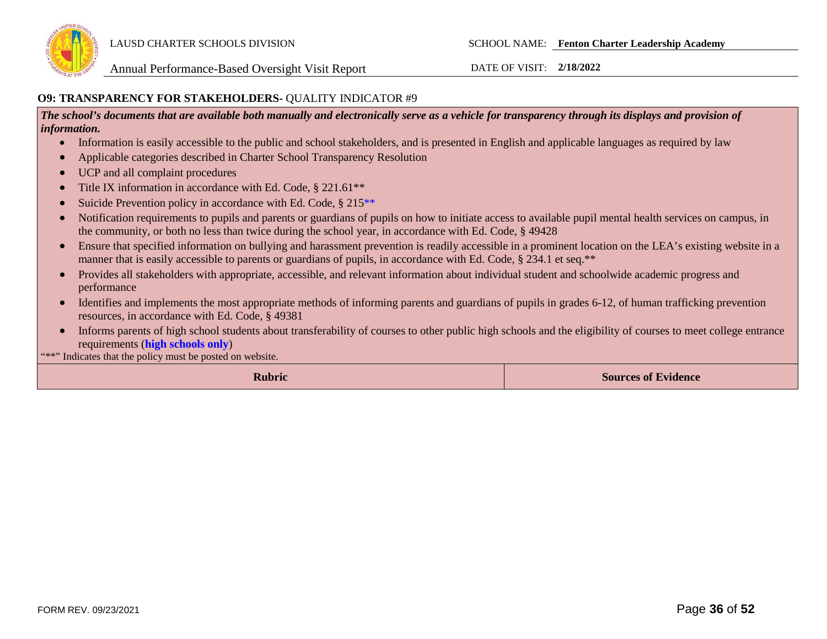

#### **O9: TRANSPARENCY FOR STAKEHOLDERS-** QUALITY INDICATOR #9

*The school's documents that are available both manually and electronically serve as a vehicle for transparency through its displays and provision of information.* 

- Information is easily accessible to the public and school stakeholders, and is presented in English and applicable languages as required by law
- Applicable categories described in Charter School Transparency Resolution
- UCP and all complaint procedures
- Title IX information in accordance with Ed. Code, § 221.61<sup>\*\*</sup>
- Suicide Prevention policy in accordance with Ed. Code, § 215<sup>\*\*</sup>
- Notification requirements to pupils and parents or guardians of pupils on how to initiate access to available pupil mental health services on campus, in the community, or both no less than twice during the school year, in accordance with Ed. Code, § 49428
- Ensure that specified information on bullying and harassment prevention is readily accessible in a prominent location on the LEA's existing website in a manner that is easily accessible to parents or guardians of pupils, in accordance with Ed. Code, § 234.1 et seq.\*\*
- Provides all stakeholders with appropriate, accessible, and relevant information about individual student and schoolwide academic progress and performance
- Identifies and implements the most appropriate methods of informing parents and guardians of pupils in grades 6-12, of human trafficking prevention resources, in accordance with Ed. Code, § 49381
- Informs parents of high school students about transferability of courses to other public high schools and the eligibility of courses to meet college entrance requirements (**high schools only**)

\*\*\*" Indicates that the policy must be posted on website.

**Rubric Sources of Evidence**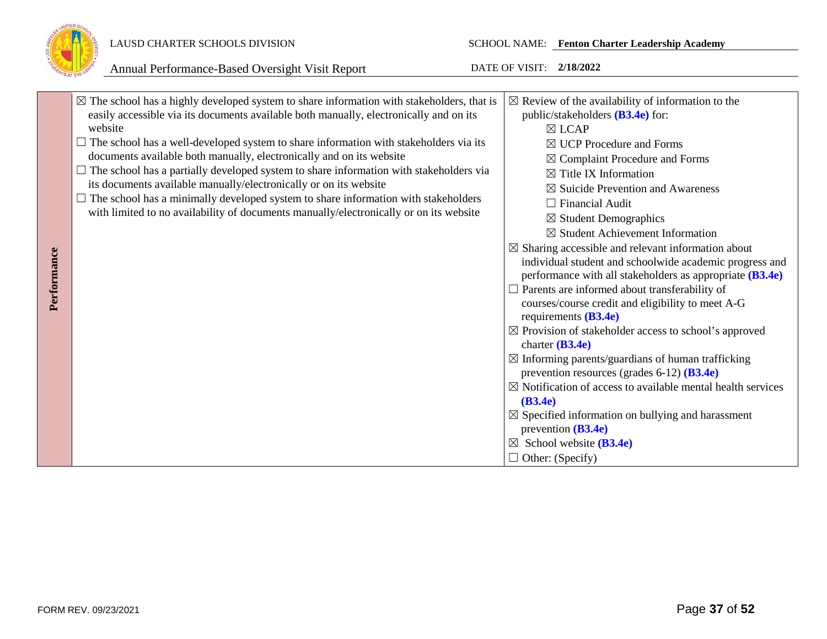

|             | $\boxtimes$ The school has a highly developed system to share information with stakeholders, that is<br>easily accessible via its documents available both manually, electronically and on its                                                                                                                                                                                                                                                                                                                                        | $\boxtimes$ Review of the availability of information to the<br>public/stakeholders $(B3.4e)$ for:                                                                                                                                                                                                                                                                                                                                                                                                                                                                                                                                                                                                                                                                                                                                                                                                                                                                                                                                                                  |
|-------------|---------------------------------------------------------------------------------------------------------------------------------------------------------------------------------------------------------------------------------------------------------------------------------------------------------------------------------------------------------------------------------------------------------------------------------------------------------------------------------------------------------------------------------------|---------------------------------------------------------------------------------------------------------------------------------------------------------------------------------------------------------------------------------------------------------------------------------------------------------------------------------------------------------------------------------------------------------------------------------------------------------------------------------------------------------------------------------------------------------------------------------------------------------------------------------------------------------------------------------------------------------------------------------------------------------------------------------------------------------------------------------------------------------------------------------------------------------------------------------------------------------------------------------------------------------------------------------------------------------------------|
| Performance | website<br>$\Box$ The school has a well-developed system to share information with stakeholders via its<br>documents available both manually, electronically and on its website<br>The school has a partially developed system to share information with stakeholders via<br>its documents available manually/electronically or on its website<br>$\Box$ The school has a minimally developed system to share information with stakeholders<br>with limited to no availability of documents manually/electronically or on its website | $\boxtimes$ LCAP<br>$\boxtimes$ UCP Procedure and Forms<br>$\boxtimes$ Complaint Procedure and Forms<br>$\boxtimes$ Title IX Information<br>$\boxtimes$ Suicide Prevention and Awareness<br>$\Box$ Financial Audit<br>$\boxtimes$ Student Demographics<br>$\boxtimes$ Student Achievement Information<br>$\boxtimes$ Sharing accessible and relevant information about<br>individual student and schoolwide academic progress and<br>performance with all stakeholders as appropriate (B3.4e)<br>$\Box$ Parents are informed about transferability of<br>courses/course credit and eligibility to meet A-G<br>requirements $(B3.4e)$<br>$\boxtimes$ Provision of stakeholder access to school's approved<br>charter $(B3.4e)$<br>$\boxtimes$ Informing parents/guardians of human trafficking<br>prevention resources (grades $6-12$ ) ( <b>B3.4e</b> )<br>$\boxtimes$ Notification of access to available mental health services<br>(B3.4e)<br>$\boxtimes$ Specified information on bullying and harassment<br>prevention $(B3.4e)$<br>School website (B3.4e)<br>⊠ |
|             |                                                                                                                                                                                                                                                                                                                                                                                                                                                                                                                                       | $\Box$ Other: (Specify)                                                                                                                                                                                                                                                                                                                                                                                                                                                                                                                                                                                                                                                                                                                                                                                                                                                                                                                                                                                                                                             |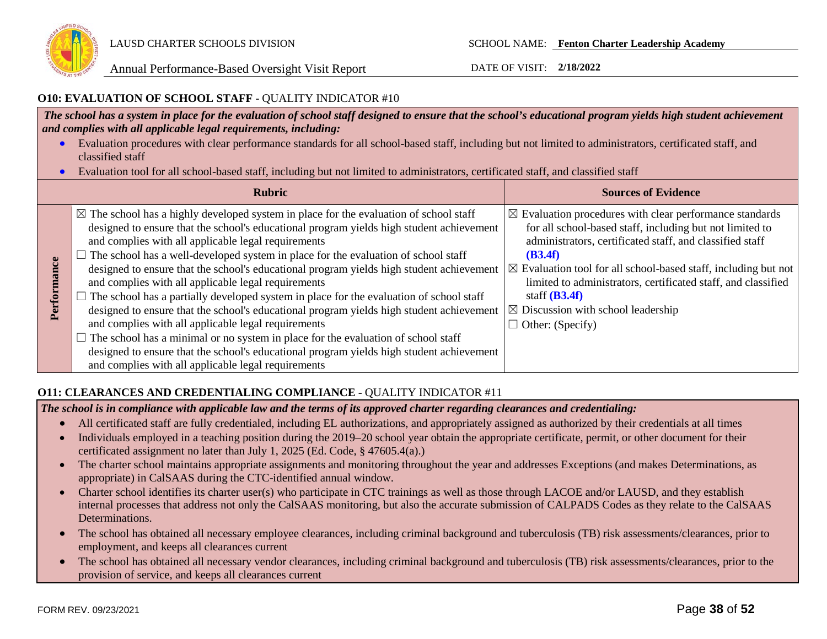

#### **O10: EVALUATION OF SCHOOL STAFF** - QUALITY INDICATOR #10

*The school has a system in place for the evaluation of school staff designed to ensure that the school's educational program yields high student achievement and complies with all applicable legal requirements, including:* 

- Evaluation procedures with clear performance standards for all school-based staff, including but not limited to administrators, certificated staff, and classified staff
- Evaluation tool for all school-based staff, including but not limited to administrators, certificated staff, and classified staff

|                            | <b>Rubric</b>                                                                                                                                                                                                                                                                                                                                                                                                                                                                                                                                                                                                                                                                                                                                                                                                                                                                                                                                                                      | <b>Sources of Evidence</b>                                                                                                                                                                                                                                                                                                                                                                                                                         |
|----------------------------|------------------------------------------------------------------------------------------------------------------------------------------------------------------------------------------------------------------------------------------------------------------------------------------------------------------------------------------------------------------------------------------------------------------------------------------------------------------------------------------------------------------------------------------------------------------------------------------------------------------------------------------------------------------------------------------------------------------------------------------------------------------------------------------------------------------------------------------------------------------------------------------------------------------------------------------------------------------------------------|----------------------------------------------------------------------------------------------------------------------------------------------------------------------------------------------------------------------------------------------------------------------------------------------------------------------------------------------------------------------------------------------------------------------------------------------------|
| $\bullet$<br>anc<br>Perfor | $\boxtimes$ The school has a highly developed system in place for the evaluation of school staff<br>designed to ensure that the school's educational program yields high student achievement<br>and complies with all applicable legal requirements<br>The school has a well-developed system in place for the evaluation of school staff<br>designed to ensure that the school's educational program yields high student achievement<br>and complies with all applicable legal requirements<br>The school has a partially developed system in place for the evaluation of school staff<br>designed to ensure that the school's educational program yields high student achievement<br>and complies with all applicable legal requirements<br>The school has a minimal or no system in place for the evaluation of school staff<br>designed to ensure that the school's educational program yields high student achievement<br>and complies with all applicable legal requirements | $\boxtimes$ Evaluation procedures with clear performance standards<br>for all school-based staff, including but not limited to<br>administrators, certificated staff, and classified staff<br>(B3.4f)<br>$\boxtimes$ Evaluation tool for all school-based staff, including but not<br>limited to administrators, certificated staff, and classified<br>staff $(B3.4f)$<br>$\boxtimes$ Discussion with school leadership<br>$\Box$ Other: (Specify) |

#### **O11: CLEARANCES AND CREDENTIALING COMPLIANCE** - QUALITY INDICATOR #11

*The school is in compliance with applicable law and the terms of its approved charter regarding clearances and credentialing:*

- All certificated staff are fully credentialed, including EL authorizations, and appropriately assigned as authorized by their credentials at all times
- Individuals employed in a teaching position during the 2019–20 school year obtain the appropriate certificate, permit, or other document for their certificated assignment no later than July 1, 2025 (Ed. Code, § 47605.4(a).)
- The charter school maintains appropriate assignments and monitoring throughout the year and addresses Exceptions (and makes Determinations, as appropriate) in CalSAAS during the CTC-identified annual window.
- Charter school identifies its charter user(s) who participate in CTC trainings as well as those through LACOE and/or LAUSD, and they establish internal processes that address not only the CalSAAS monitoring, but also the accurate submission of CALPADS Codes as they relate to the CalSAAS Determinations.
- The school has obtained all necessary employee clearances, including criminal background and tuberculosis (TB) risk assessments/clearances, prior to employment, and keeps all clearances current
- The school has obtained all necessary vendor clearances, including criminal background and tuberculosis (TB) risk assessments/clearances, prior to the provision of service, and keeps all clearances current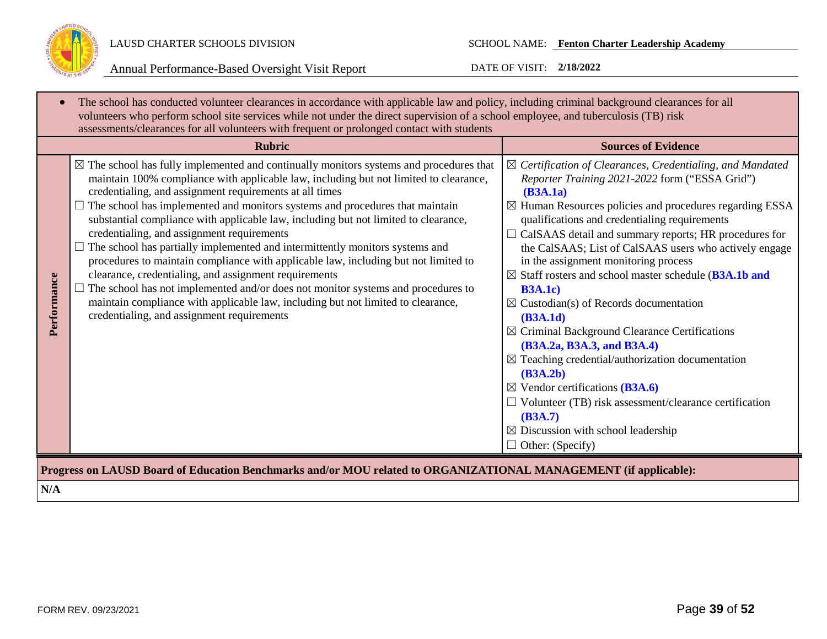

| The school has conducted volunteer clearances in accordance with applicable law and policy, including criminal background clearances for all<br>volunteers who perform school site services while not under the direct supervision of a school employee, and tuberculosis (TB) risk<br>assessments/clearances for all volunteers with frequent or prolonged contact with students |                                                                                                                                                                                                                                                                                                                                                                                                                                                                                                                                                                                                                                                                                                                                                                                                                                                                                                                                                |                                                                                                                                                                                                                                                                                                                                                                                                                                                                                                                                                                                                                                                                                                                                                                                                                                                                                                                                                               |
|-----------------------------------------------------------------------------------------------------------------------------------------------------------------------------------------------------------------------------------------------------------------------------------------------------------------------------------------------------------------------------------|------------------------------------------------------------------------------------------------------------------------------------------------------------------------------------------------------------------------------------------------------------------------------------------------------------------------------------------------------------------------------------------------------------------------------------------------------------------------------------------------------------------------------------------------------------------------------------------------------------------------------------------------------------------------------------------------------------------------------------------------------------------------------------------------------------------------------------------------------------------------------------------------------------------------------------------------|---------------------------------------------------------------------------------------------------------------------------------------------------------------------------------------------------------------------------------------------------------------------------------------------------------------------------------------------------------------------------------------------------------------------------------------------------------------------------------------------------------------------------------------------------------------------------------------------------------------------------------------------------------------------------------------------------------------------------------------------------------------------------------------------------------------------------------------------------------------------------------------------------------------------------------------------------------------|
|                                                                                                                                                                                                                                                                                                                                                                                   | <b>Rubric</b>                                                                                                                                                                                                                                                                                                                                                                                                                                                                                                                                                                                                                                                                                                                                                                                                                                                                                                                                  | <b>Sources of Evidence</b>                                                                                                                                                                                                                                                                                                                                                                                                                                                                                                                                                                                                                                                                                                                                                                                                                                                                                                                                    |
| Performance                                                                                                                                                                                                                                                                                                                                                                       | $\boxtimes$ The school has fully implemented and continually monitors systems and procedures that<br>maintain 100% compliance with applicable law, including but not limited to clearance,<br>credentialing, and assignment requirements at all times<br>$\Box$ The school has implemented and monitors systems and procedures that maintain<br>substantial compliance with applicable law, including but not limited to clearance,<br>credentialing, and assignment requirements<br>$\Box$ The school has partially implemented and intermittently monitors systems and<br>procedures to maintain compliance with applicable law, including but not limited to<br>clearance, credentialing, and assignment requirements<br>The school has not implemented and/or does not monitor systems and procedures to<br>maintain compliance with applicable law, including but not limited to clearance,<br>credentialing, and assignment requirements | $\boxtimes$ Certification of Clearances, Credentialing, and Mandated<br>Reporter Training 2021-2022 form ("ESSA Grid")<br>(B3A.1a)<br>$\boxtimes$ Human Resources policies and procedures regarding ESSA<br>qualifications and credentialing requirements<br>$\Box$ CalSAAS detail and summary reports; HR procedures for<br>the CalSAAS; List of CalSAAS users who actively engage<br>in the assignment monitoring process<br>$\boxtimes$ Staff rosters and school master schedule (B3A.1b and<br><b>B3A.1c</b> )<br>$\boxtimes$ Custodian(s) of Records documentation<br>(B3A.1d)<br>$\boxtimes$ Criminal Background Clearance Certifications<br>(B3A.2a, B3A.3, and B3A.4)<br>$\boxtimes$ Teaching credential/authorization documentation<br>(B3A.2b)<br>$\boxtimes$ Vendor certifications (B3A.6)<br>$\Box$ Volunteer (TB) risk assessment/clearance certification<br>(B3A.7)<br>$\boxtimes$ Discussion with school leadership<br>$\Box$ Other: (Specify) |
| Progress on LAUSD Board of Education Benchmarks and/or MOU related to ORGANIZATIONAL MANAGEMENT (if applicable):<br>N/A                                                                                                                                                                                                                                                           |                                                                                                                                                                                                                                                                                                                                                                                                                                                                                                                                                                                                                                                                                                                                                                                                                                                                                                                                                |                                                                                                                                                                                                                                                                                                                                                                                                                                                                                                                                                                                                                                                                                                                                                                                                                                                                                                                                                               |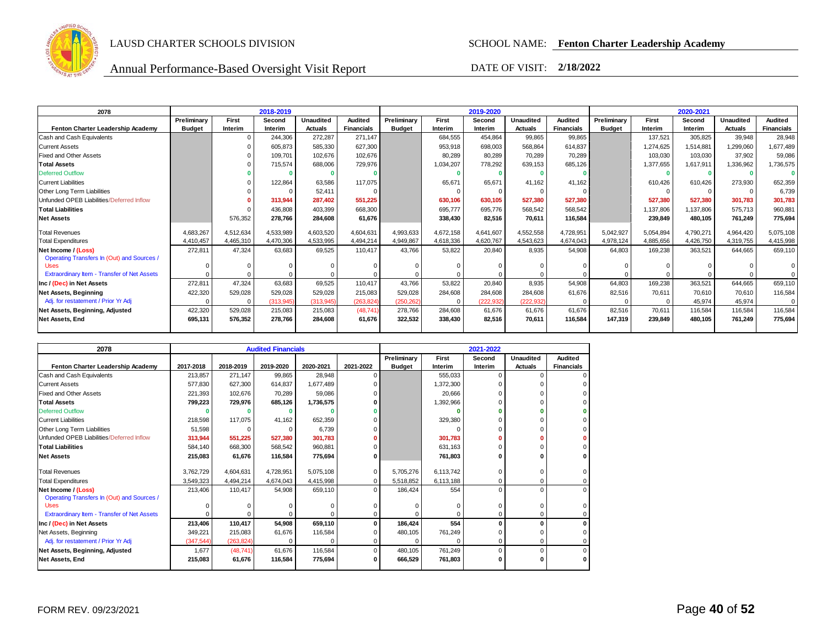

| 2078                                               |               |           | 2018-2019 |                  |                   |               |           | 2019-2020 |                |                   |               |           | 2020-2021 |                  |                   |
|----------------------------------------------------|---------------|-----------|-----------|------------------|-------------------|---------------|-----------|-----------|----------------|-------------------|---------------|-----------|-----------|------------------|-------------------|
|                                                    | Preliminary   | First     | Second    | <b>Unaudited</b> | Audited           | Preliminary   | First     | Second    | Unaudited      | Audited           | Preliminary   | First     | Second    | <b>Unaudited</b> | Audited           |
| Fenton Charter Leadership Academy                  | <b>Budget</b> | Interim   | Interim   | <b>Actuals</b>   | <b>Financials</b> | <b>Budget</b> | Interim   | Interim   | <b>Actuals</b> | <b>Financials</b> | <b>Budget</b> | Interim   | Interim   | <b>Actuals</b>   | <b>Financials</b> |
| Cash and Cash Equivalents                          |               |           | 244,306   | 272,287          | 271,147           |               | 684,555   | 454,864   | 99,865         | 99,865            |               | 137,521   | 305,825   | 39,948           | 28,948            |
| <b>Current Assets</b>                              |               |           | 605,873   | 585,330          | 627,300           |               | 953,918   | 698,003   | 568.864        | 614,837           |               | 1,274,625 | 1,514,881 | 1,299,060        | 1,677,489         |
| <b>Fixed and Other Assets</b>                      |               |           | 109.701   | 102,676          | 102,676           |               | 80,289    | 80.289    | 70.289         | 70,289            |               | 103,030   | 103.030   | 37,902           | 59,086            |
| <b>Total Assets</b>                                |               |           | 715,574   | 688,006          | 729,976           |               | 1,034,207 | 778,292   | 639,153        | 685,126           |               | 1,377,655 | 1,617,911 | 1,336,962        | 1,736,575         |
| <b>Deferred Outflow</b>                            |               |           |           |                  |                   |               |           |           |                |                   |               |           |           | - 0              | $\mathbf{0}$      |
| <b>Current Liabilities</b>                         |               |           | 122,864   | 63,586           | 117,075           |               | 65,67     | 65,671    | 41.162         | 41,162            |               | 610,426   | 610,426   | 273,930          | 652,359           |
| Other Long Term Liabilities                        |               |           |           | 52,411           |                   |               |           |           |                |                   |               |           |           | $\Omega$         | 6,739             |
| Unfunded OPEB Liabilities/Deferred Inflow          |               |           | 313,944   | 287,402          | 551,225           |               | 630,106   | 630.105   | 527.380        | 527,380           |               | 527,380   | 527,380   | 301.783          | 301,783           |
| <b>Total Liabilities</b>                           |               |           | 436,808   | 403,399          | 668,300           |               | 695,777   | 695.776   | 568.542        | 568,542           |               | 1,137,806 | 1,137,806 | 575,713          | 960,881           |
| <b>Net Assets</b>                                  |               | 576,352   | 278,766   | 284.608          | 61,676            |               | 338,430   | 82.516    | 70.611         | 116.584           |               | 239,849   | 480.105   | 761.249          | 775.694           |
| <b>Total Revenues</b>                              | 4,683,267     | 4,512,634 | 4,533,989 | 4,603,520        | 4,604,631         | 4,993,633     | 4,672,158 | 4,641,607 | 4,552,558      | 4,728,951         | 5,042,927     | 5,054,894 | 4,790,271 | 4,964,420        | 5,075,108         |
| <b>Total Expenditures</b>                          | 4.410.457     | 4,465,310 | 4,470,306 | 4,533,995        | 4.494.214         | 4.949.867     | 4,618,336 | 4,620,767 | 4.543.623      | 4.674.043         | 4.978.124     | 4.885.656 | 4,426,750 | 4.319.755        | 4,415,998         |
| Net Income / (Loss)                                | 272,811       | 47,324    | 63,683    | 69,525           | 110.417           | 43,766        | 53,822    | 20,840    | 8,935          | 54,908            | 64,803        | 169,238   | 363,521   | 644,665          | 659,110           |
| Operating Transfers In (Out) and Sources /         |               |           |           |                  |                   |               |           |           |                |                   |               |           |           |                  |                   |
| <b>Uses</b>                                        |               |           |           |                  |                   |               |           |           |                |                   |               |           |           |                  |                   |
| <b>Extraordinary Item - Transfer of Net Assets</b> |               |           |           |                  |                   |               |           |           |                |                   |               |           |           |                  | $\mathbf{0}$      |
| Inc / (Dec) in Net Assets                          | 272,811       | 47,324    | 63,683    | 69,525           | 110,417           | 43,766        | 53,822    | 20,840    | 8,935          | 54,908            | 64,803        | 169,238   | 363,521   | 644,665          | 659,110           |
| <b>Net Assets, Beginning</b>                       | 422,320       | 529,028   | 529,028   | 529,028          | 215,083           | 529,028       | 284.608   | 284.608   | 284.608        | 61.676            | 82,516        | 70.611    | 70.610    | 70.610           | 116,584           |
| Adj. for restatement / Prior Yr Adj                |               |           | (313.945) | (313.945)        | (263.824)         | (250.262)     |           | (222.932) | (222.932)      |                   |               | $\Omega$  | 45.974    | 45.974           | $\overline{0}$    |
| Net Assets, Beginning, Adjusted                    | 422,320       | 529,028   | 215,083   | 215,083          | (48, 741)         | 278,766       | 284,608   | 61,676    | 61,676         | 61,676            | 82,516        | 70,611    | 116,584   | 116,584          | 116,584           |
| <b>Net Assets, End</b>                             | 695,131       | 576,352   | 278,766   | 284,608          | 61,676            | 322,532       | 338,430   | 82,516    | 70,611         | 116,584           | 147,319       | 239,849   | 480,105   | 761,249          | 775,694           |
|                                                    |               |           |           |                  |                   |               |           |           |                |                   |               |           |           |                  |                   |

| 2078                                        |            |            | <b>Audited Financials</b> |           |              |               |           | 2021-2022 |                  |                   |
|---------------------------------------------|------------|------------|---------------------------|-----------|--------------|---------------|-----------|-----------|------------------|-------------------|
|                                             |            |            |                           |           |              | Preliminary   | First     | Second    | <b>Unaudited</b> | <b>Audited</b>    |
| Fenton Charter Leadership Academy           | 2017-2018  | 2018-2019  | 2019-2020                 | 2020-2021 | 2021-2022    | <b>Budget</b> | Interim   | Interim   | <b>Actuals</b>   | <b>Financials</b> |
| Cash and Cash Equivalents                   | 213,857    | 271,147    | 99,865                    | 28,948    | O            |               | 555,033   | $\Omega$  | $\Omega$         |                   |
| <b>Current Assets</b>                       | 577,830    | 627,300    | 614,837                   | 1,677,489 |              |               | 1,372,300 |           |                  |                   |
| Fixed and Other Assets                      | 221.393    | 102.676    | 70.289                    | 59,086    |              |               | 20.666    |           |                  |                   |
| <b>Total Assets</b>                         | 799,223    | 729,976    | 685,126                   | 1,736,575 |              |               | 1,392,966 |           |                  |                   |
| Deferred Outflow                            |            |            |                           | n         |              |               | п         |           | O                |                   |
| <b>Current Liabilities</b>                  | 218,598    | 117,075    | 41.162                    | 652,359   |              |               | 329,380   |           | $\Omega$         |                   |
| Other Long Term Liabilities                 | 51,598     |            |                           | 6.739     |              |               | ſ         |           | $\Omega$         |                   |
| Unfunded OPEB Liabilities/Deferred Inflow   | 313,944    | 551,225    | 527.380                   | 301.783   |              |               | 301.783   |           |                  |                   |
| <b>Total Liabilities</b>                    | 584.140    | 668.300    | 568.542                   | 960.881   | $\Omega$     |               | 631.163   |           | $\Omega$         |                   |
| <b>Net Assets</b>                           | 215.083    | 61.676     | 116.584                   | 775,694   | $\mathbf{0}$ |               | 761,803   |           | O                |                   |
|                                             |            |            |                           |           |              |               |           |           |                  |                   |
| <b>Total Revenues</b>                       | 3,762,729  | 4,604,631  | 4,728,951                 | 5,075,108 | $\Omega$     | 5,705,276     | 6,113,742 | 0         | 0                |                   |
| <b>Total Expenditures</b>                   | 3,549,323  | 4,494,214  | 4,674,043                 | 4,415,998 |              | 5,518,852     | 6,113,188 |           | 0                | 0                 |
| Net Income / (Loss)                         | 213,406    | 110.417    | 54,908                    | 659,110   | $\Omega$     | 186.424       | 554       | 0         | $\Omega$         | $\mathbf 0$       |
| Operating Transfers In (Out) and Sources /  |            |            |                           |           |              |               |           |           |                  |                   |
| <b>Uses</b>                                 |            |            |                           | n         |              |               | ſ         |           | 0                | O                 |
| Extraordinary Item - Transfer of Net Assets |            |            |                           |           | $\Omega$     |               | $\Omega$  | 0         | 0                | 0                 |
| Inc / (Dec) in Net Assets                   | 213,406    | 110,417    | 54.908                    | 659.110   | ŋ            | 186,424       | 554       | U         | $\bf{0}$         | O.                |
| Net Assets, Beginning                       | 349.221    | 215.083    | 61,676                    | 116,584   |              | 480.105       | 761,249   |           | 0                | C                 |
| Adj. for restatement / Prior Yr Adj         | (347, 544) | (263, 824) |                           | $\Omega$  | 0            |               | $\Omega$  | 0         | 0                | 0                 |
| Net Assets, Beginning, Adjusted             | 1,677      | (48, 741)  | 61,676                    | 116,584   | $\Omega$     | 480,105       | 761,249   | 0         | $\Omega$         | $\Omega$          |
| Net Assets, End                             | 215,083    | 61,676     | 116,584                   | 775,694   | 0            | 666,529       | 761,803   |           | 0                | O                 |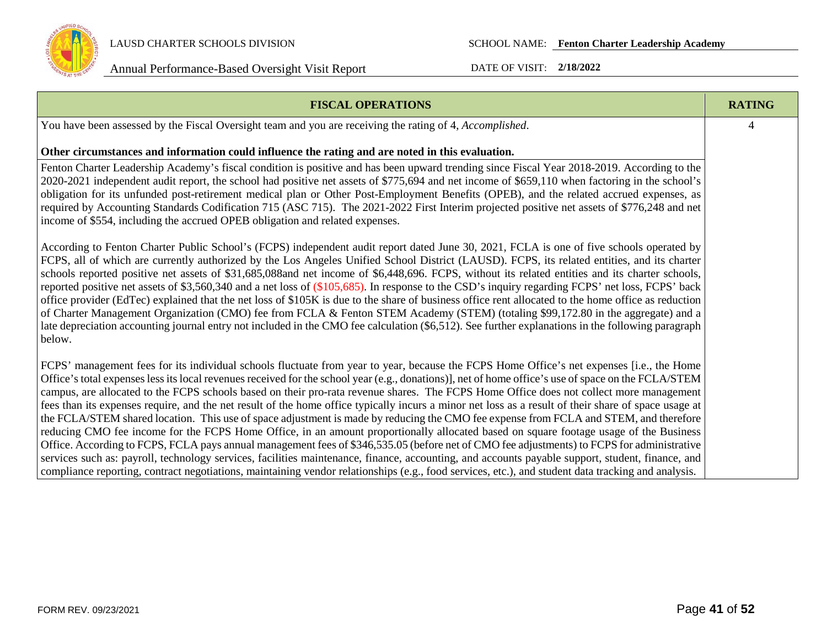

| <b>FISCAL OPERATIONS</b>                                                                                                                                                                                                                                                                                                                                                                                                                                                                                                                                                                                                                                                                                                                                                                                                                                                                                                                                                                                                                                                                                                                                                                                                                                                                                                                      | <b>RATING</b>  |
|-----------------------------------------------------------------------------------------------------------------------------------------------------------------------------------------------------------------------------------------------------------------------------------------------------------------------------------------------------------------------------------------------------------------------------------------------------------------------------------------------------------------------------------------------------------------------------------------------------------------------------------------------------------------------------------------------------------------------------------------------------------------------------------------------------------------------------------------------------------------------------------------------------------------------------------------------------------------------------------------------------------------------------------------------------------------------------------------------------------------------------------------------------------------------------------------------------------------------------------------------------------------------------------------------------------------------------------------------|----------------|
| You have been assessed by the Fiscal Oversight team and you are receiving the rating of 4, <i>Accomplished</i> .                                                                                                                                                                                                                                                                                                                                                                                                                                                                                                                                                                                                                                                                                                                                                                                                                                                                                                                                                                                                                                                                                                                                                                                                                              | $\overline{4}$ |
| Other circumstances and information could influence the rating and are noted in this evaluation.                                                                                                                                                                                                                                                                                                                                                                                                                                                                                                                                                                                                                                                                                                                                                                                                                                                                                                                                                                                                                                                                                                                                                                                                                                              |                |
| Fenton Charter Leadership Academy's fiscal condition is positive and has been upward trending since Fiscal Year 2018-2019. According to the<br>2020-2021 independent audit report, the school had positive net assets of \$775,694 and net income of \$659,110 when factoring in the school's<br>obligation for its unfunded post-retirement medical plan or Other Post-Employment Benefits (OPEB), and the related accrued expenses, as<br>required by Accounting Standards Codification 715 (ASC 715). The 2021-2022 First Interim projected positive net assets of \$776,248 and net<br>income of \$554, including the accrued OPEB obligation and related expenses.                                                                                                                                                                                                                                                                                                                                                                                                                                                                                                                                                                                                                                                                       |                |
| According to Fenton Charter Public School's (FCPS) independent audit report dated June 30, 2021, FCLA is one of five schools operated by<br>FCPS, all of which are currently authorized by the Los Angeles Unified School District (LAUSD). FCPS, its related entities, and its charter<br>schools reported positive net assets of \$31,685,088and net income of \$6,448,696. FCPS, without its related entities and its charter schools,<br>reported positive net assets of \$3,560,340 and a net loss of (\$105,685). In response to the CSD's inquiry regarding FCPS' net loss, FCPS' back<br>office provider (EdTec) explained that the net loss of \$105K is due to the share of business office rent allocated to the home office as reduction<br>of Charter Management Organization (CMO) fee from FCLA & Fenton STEM Academy (STEM) (totaling \$99,172.80 in the aggregate) and a<br>late depreciation accounting journal entry not included in the CMO fee calculation (\$6,512). See further explanations in the following paragraph<br>below.                                                                                                                                                                                                                                                                                      |                |
| FCPS' management fees for its individual schools fluctuate from year to year, because the FCPS Home Office's net expenses [i.e., the Home<br>Office's total expenses less its local revenues received for the school year (e.g., donations)], net of home office's use of space on the FCLA/STEM<br>campus, are allocated to the FCPS schools based on their pro-rata revenue shares. The FCPS Home Office does not collect more management<br>fees than its expenses require, and the net result of the home office typically incurs a minor net loss as a result of their share of space usage at<br>the FCLA/STEM shared location. This use of space adjustment is made by reducing the CMO fee expense from FCLA and STEM, and therefore<br>reducing CMO fee income for the FCPS Home Office, in an amount proportionally allocated based on square footage usage of the Business<br>Office. According to FCPS, FCLA pays annual management fees of \$346,535.05 (before net of CMO fee adjustments) to FCPS for administrative<br>services such as: payroll, technology services, facilities maintenance, finance, accounting, and accounts payable support, student, finance, and<br>compliance reporting, contract negotiations, maintaining vendor relationships (e.g., food services, etc.), and student data tracking and analysis. |                |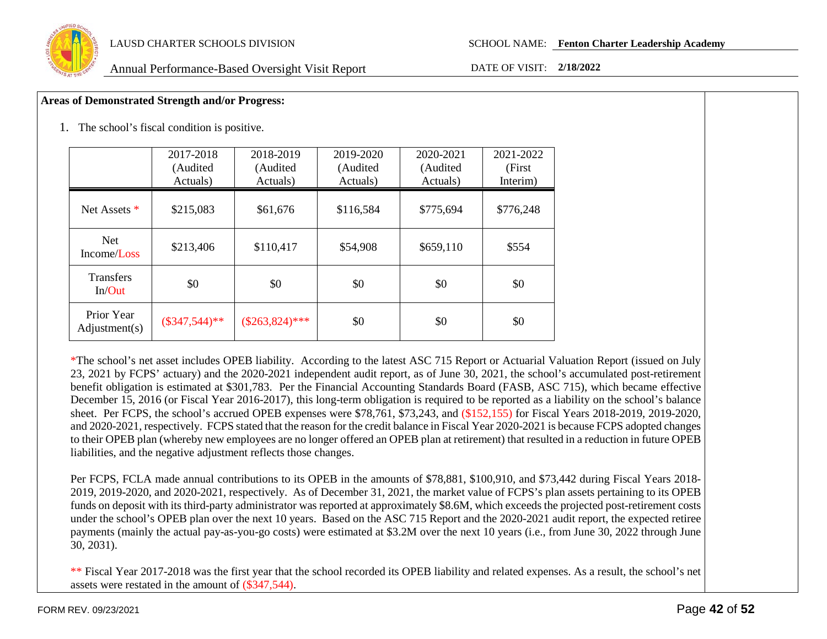

#### **Areas of Demonstrated Strength and/or Progress:**

1. The school's fiscal condition is positive.

|                             | 2017-2018<br>(Audited<br>Actuals) | 2018-2019<br>(Audited<br>Actuals) | 2019-2020<br>(Audited<br>Actuals) | 2020-2021<br>(Audited<br>Actuals) | 2021-2022<br>(First)<br>Interim) |
|-----------------------------|-----------------------------------|-----------------------------------|-----------------------------------|-----------------------------------|----------------------------------|
| Net Assets *                | \$215,083                         | \$61,676                          | \$116,584                         | \$775,694                         | \$776,248                        |
| <b>Net</b><br>Income/Loss   | \$213,406                         | \$110,417                         | \$54,908                          | \$659,110                         | \$554                            |
| <b>Transfers</b><br>In/Out  | \$0                               | \$0                               | \$0                               | \$0                               | \$0                              |
| Prior Year<br>Adjustment(s) | $(\$347,544)**$                   | $(\$263,824)***$                  | \$0                               | \$0                               | \$0                              |

\*The school's net asset includes OPEB liability. According to the latest ASC 715 Report or Actuarial Valuation Report (issued on July 23, 2021 by FCPS' actuary) and the 2020-2021 independent audit report, as of June 30, 2021, the school's accumulated post-retirement benefit obligation is estimated at \$301,783. Per the Financial Accounting Standards Board (FASB, ASC 715), which became effective December 15, 2016 (or Fiscal Year 2016-2017), this long-term obligation is required to be reported as a liability on the school's balance sheet. Per FCPS, the school's accrued OPEB expenses were \$78,761, \$73,243, and (\$152,155) for Fiscal Years 2018-2019, 2019-2020, and 2020-2021, respectively. FCPS stated that the reason for the credit balance in Fiscal Year 2020-2021 is because FCPS adopted changes to their OPEB plan (whereby new employees are no longer offered an OPEB plan at retirement) that resulted in a reduction in future OPEB liabilities, and the negative adjustment reflects those changes.

Per FCPS, FCLA made annual contributions to its OPEB in the amounts of \$78,881, \$100,910, and \$73,442 during Fiscal Years 2018- 2019, 2019-2020, and 2020-2021, respectively. As of December 31, 2021, the market value of FCPS's plan assets pertaining to its OPEB funds on deposit with its third-party administrator was reported at approximately \$8.6M, which exceeds the projected post-retirement costs under the school's OPEB plan over the next 10 years. Based on the ASC 715 Report and the 2020-2021 audit report, the expected retiree payments (mainly the actual pay-as-you-go costs) were estimated at \$3.2M over the next 10 years (i.e., from June 30, 2022 through June 30, 2031).

\*\* Fiscal Year 2017-2018 was the first year that the school recorded its OPEB liability and related expenses. As a result, the school's net assets were restated in the amount of (\$347,544).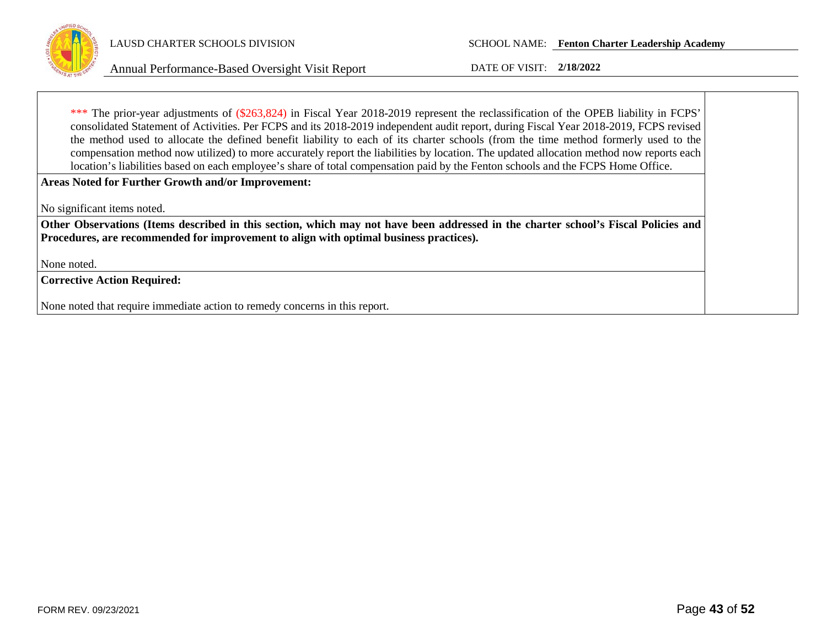

\*\*\* The prior-year adjustments of (\$263,824) in Fiscal Year 2018-2019 represent the reclassification of the OPEB liability in FCPS' consolidated Statement of Activities. Per FCPS and its 2018-2019 independent audit report, during Fiscal Year 2018-2019, FCPS revised the method used to allocate the defined benefit liability to each of its charter schools (from the time method formerly used to the compensation method now utilized) to more accurately report the liabilities by location. The updated allocation method now reports each location's liabilities based on each employee's share of total compensation paid by the Fenton schools and the FCPS Home Office.

**Areas Noted for Further Growth and/or Improvement:**

No significant items noted.

**Other Observations (Items described in this section, which may not have been addressed in the charter school's Fiscal Policies and Procedures, are recommended for improvement to align with optimal business practices).**

None noted.

**Corrective Action Required:**

None noted that require immediate action to remedy concerns in this report.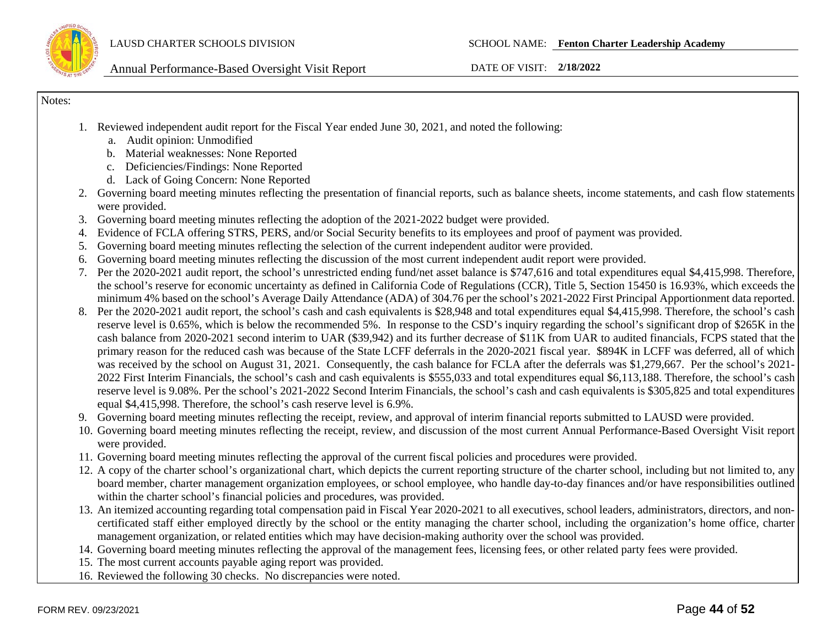

Notes:

- 1. Reviewed independent audit report for the Fiscal Year ended June 30, 2021, and noted the following:
	- a. Audit opinion: Unmodified
	- b. Material weaknesses: None Reported
	- c. Deficiencies/Findings: None Reported
	- d. Lack of Going Concern: None Reported
- 2. Governing board meeting minutes reflecting the presentation of financial reports, such as balance sheets, income statements, and cash flow statements were provided.
- 3. Governing board meeting minutes reflecting the adoption of the 2021-2022 budget were provided.
- 4. Evidence of FCLA offering STRS, PERS, and/or Social Security benefits to its employees and proof of payment was provided.
- 5. Governing board meeting minutes reflecting the selection of the current independent auditor were provided.
- 6. Governing board meeting minutes reflecting the discussion of the most current independent audit report were provided.
- 7. Per the 2020-2021 audit report, the school's unrestricted ending fund/net asset balance is \$747,616 and total expenditures equal \$4,415,998. Therefore, the school's reserve for economic uncertainty as defined in California Code of Regulations (CCR), Title 5, Section 15450 is 16.93%, which exceeds the minimum 4% based on the school's Average Daily Attendance (ADA) of 304.76 per the school's 2021-2022 First Principal Apportionment data reported.
- 8. Per the 2020-2021 audit report, the school's cash and cash equivalents is \$28,948 and total expenditures equal \$4,415,998. Therefore, the school's cash reserve level is 0.65%, which is below the recommended 5%. In response to the CSD's inquiry regarding the school's significant drop of \$265K in the cash balance from 2020-2021 second interim to UAR (\$39,942) and its further decrease of \$11K from UAR to audited financials, FCPS stated that the primary reason for the reduced cash was because of the State LCFF deferrals in the 2020-2021 fiscal year. \$894K in LCFF was deferred, all of which was received by the school on August 31, 2021. Consequently, the cash balance for FCLA after the deferrals was \$1,279,667. Per the school's 2021- 2022 First Interim Financials, the school's cash and cash equivalents is \$555,033 and total expenditures equal \$6,113,188. Therefore, the school's cash reserve level is 9.08%. Per the school's 2021-2022 Second Interim Financials, the school's cash and cash equivalents is \$305,825 and total expenditures equal \$4,415,998. Therefore, the school's cash reserve level is 6.9%.
- 9. Governing board meeting minutes reflecting the receipt, review, and approval of interim financial reports submitted to LAUSD were provided.
- 10. Governing board meeting minutes reflecting the receipt, review, and discussion of the most current Annual Performance-Based Oversight Visit report were provided.
- 11. Governing board meeting minutes reflecting the approval of the current fiscal policies and procedures were provided.
- 12. A copy of the charter school's organizational chart, which depicts the current reporting structure of the charter school, including but not limited to, any board member, charter management organization employees, or school employee, who handle day-to-day finances and/or have responsibilities outlined within the charter school's financial policies and procedures, was provided.
- 13. An itemized accounting regarding total compensation paid in Fiscal Year 2020-2021 to all executives, school leaders, administrators, directors, and noncertificated staff either employed directly by the school or the entity managing the charter school, including the organization's home office, charter management organization, or related entities which may have decision-making authority over the school was provided.
- 14. Governing board meeting minutes reflecting the approval of the management fees, licensing fees, or other related party fees were provided.
- 15. The most current accounts payable aging report was provided.
- 16. Reviewed the following 30 checks. No discrepancies were noted.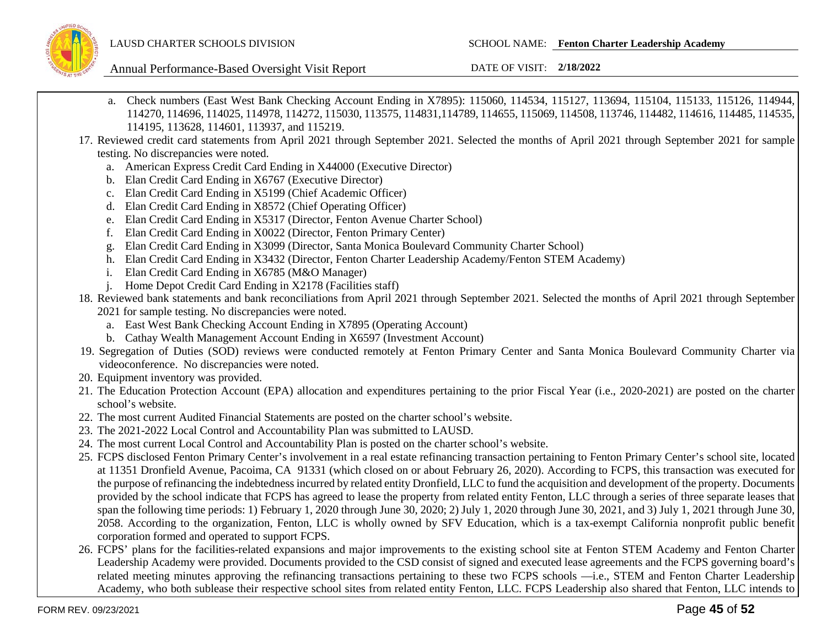

- a. Check numbers (East West Bank Checking Account Ending in X7895): 115060, 114534, 115127, 113694, 115104, 115133, 115126, 114944, 114270, 114696, 114025, 114978, 114272, 115030, 113575, 114831,114789, 114655, 115069, 114508, 113746, 114482, 114616, 114485, 114535, 114195, 113628, 114601, 113937, and 115219.
- 17. Reviewed credit card statements from April 2021 through September 2021. Selected the months of April 2021 through September 2021 for sample testing. No discrepancies were noted.
	- a. American Express Credit Card Ending in X44000 (Executive Director)
	- b. Elan Credit Card Ending in X6767 (Executive Director)
	- c. Elan Credit Card Ending in X5199 (Chief Academic Officer)
	- d. Elan Credit Card Ending in X8572 (Chief Operating Officer)
	- e. Elan Credit Card Ending in X5317 (Director, Fenton Avenue Charter School)
	- f. Elan Credit Card Ending in X0022 (Director, Fenton Primary Center)
	- g. Elan Credit Card Ending in X3099 (Director, Santa Monica Boulevard Community Charter School)
	- h. Elan Credit Card Ending in X3432 (Director, Fenton Charter Leadership Academy/Fenton STEM Academy)
	- i. Elan Credit Card Ending in X6785 (M&O Manager)
	- j. Home Depot Credit Card Ending in X2178 (Facilities staff)
- 18. Reviewed bank statements and bank reconciliations from April 2021 through September 2021. Selected the months of April 2021 through September 2021 for sample testing. No discrepancies were noted.
	- a. East West Bank Checking Account Ending in X7895 (Operating Account)
	- b. Cathay Wealth Management Account Ending in X6597 (Investment Account)
- 19. Segregation of Duties (SOD) reviews were conducted remotely at Fenton Primary Center and Santa Monica Boulevard Community Charter via videoconference. No discrepancies were noted.
- 20. Equipment inventory was provided.
- 21. The Education Protection Account (EPA) allocation and expenditures pertaining to the prior Fiscal Year (i.e., 2020-2021) are posted on the charter school's website.
- 22. The most current Audited Financial Statements are posted on the charter school's website.
- 23. The 2021-2022 Local Control and Accountability Plan was submitted to LAUSD.
- 24. The most current Local Control and Accountability Plan is posted on the charter school's website.
- 25. FCPS disclosed Fenton Primary Center's involvement in a real estate refinancing transaction pertaining to Fenton Primary Center's school site, located at 11351 Dronfield Avenue, Pacoima, CA 91331 (which closed on or about February 26, 2020). According to FCPS, this transaction was executed for the purpose of refinancing the indebtedness incurred by related entity Dronfield, LLC to fund the acquisition and development of the property. Documents provided by the school indicate that FCPS has agreed to lease the property from related entity Fenton, LLC through a series of three separate leases that span the following time periods: 1) February 1, 2020 through June 30, 2020; 2) July 1, 2020 through June 30, 2021, and 3) July 1, 2021 through June 30, 2058. According to the organization, Fenton, LLC is wholly owned by SFV Education, which is a tax-exempt California nonprofit public benefit corporation formed and operated to support FCPS.
- 26. FCPS' plans for the facilities-related expansions and major improvements to the existing school site at Fenton STEM Academy and Fenton Charter Leadership Academy were provided. Documents provided to the CSD consist of signed and executed lease agreements and the FCPS governing board's related meeting minutes approving the refinancing transactions pertaining to these two FCPS schools —i.e., STEM and Fenton Charter Leadership Academy, who both sublease their respective school sites from related entity Fenton, LLC. FCPS Leadership also shared that Fenton, LLC intends to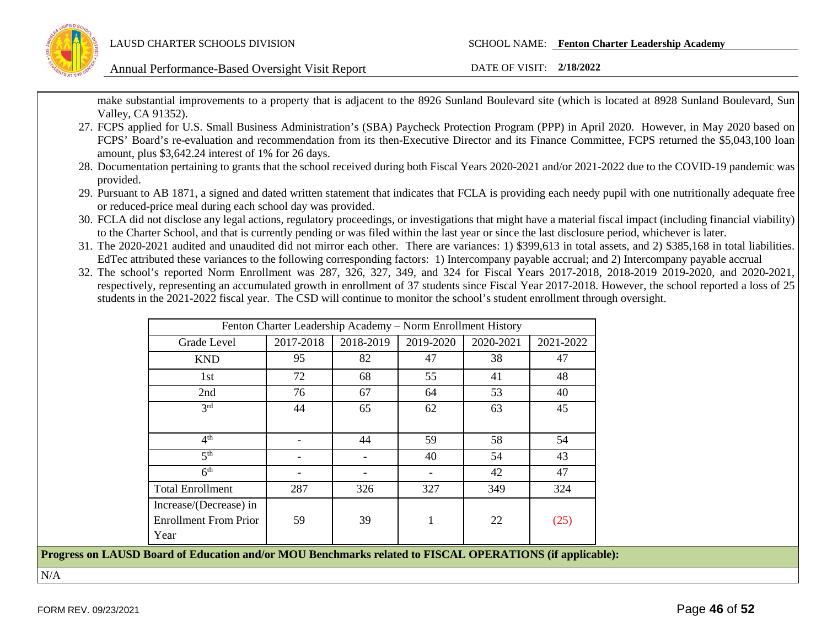make substantial improvements to a property that is adjacent to the 8926 Sunland Boulevard site (which is located at 8928 Sunland Boulevard, Sun Valley, CA 91352).

- 27. FCPS applied for U.S. Small Business Administration's (SBA) Paycheck Protection Program (PPP) in April 2020. However, in May 2020 based on FCPS' Board's re-evaluation and recommendation from its then-Executive Director and its Finance Committee, FCPS returned the \$5,043,100 loan amount, plus \$3,642.24 interest of 1% for 26 days.
- 28. Documentation pertaining to grants that the school received during both Fiscal Years 2020-2021 and/or 2021-2022 due to the COVID-19 pandemic was provided.
- 29. Pursuant to AB 1871, a signed and dated written statement that indicates that FCLA is providing each needy pupil with one nutritionally adequate free or reduced-price meal during each school day was provided.
- 30. FCLA did not disclose any legal actions, regulatory proceedings, or investigations that might have a material fiscal impact (including financial viability) to the Charter School, and that is currently pending or was filed within the last year or since the last disclosure period, whichever is later.
- 31. The 2020-2021 audited and unaudited did not mirror each other. There are variances: 1) \$399,613 in total assets, and 2) \$385,168 in total liabilities. EdTec attributed these variances to the following corresponding factors: 1) Intercompany payable accrual; and 2) Intercompany payable accrual
- 32. The school's reported Norm Enrollment was 287, 326, 327, 349, and 324 for Fiscal Years 2017-2018, 2018-2019 2019-2020, and 2020-2021, respectively, representing an accumulated growth in enrollment of 37 students since Fiscal Year 2017-2018. However, the school reported a loss of 25 students in the 2021-2022 fiscal year. The CSD will continue to monitor the school's student enrollment through oversight.

|                              | Fenton Charter Leadership Academy - Norm Enrollment History |           |           |           |                                                                                           |  |  |  |  |
|------------------------------|-------------------------------------------------------------|-----------|-----------|-----------|-------------------------------------------------------------------------------------------|--|--|--|--|
| Grade Level                  | 2017-2018                                                   | 2018-2019 | 2019-2020 | 2020-2021 | 2021-2022                                                                                 |  |  |  |  |
| <b>KND</b>                   | 95                                                          | 82        | 47        | 38        | 47                                                                                        |  |  |  |  |
| 1st                          | 72                                                          | 68        | 55        | 41        | 48                                                                                        |  |  |  |  |
| 2nd                          | 76                                                          | 67        | 64        | 53        | 40                                                                                        |  |  |  |  |
| 2rd                          | 44                                                          | 65        | 62        | 63        | 45                                                                                        |  |  |  |  |
|                              |                                                             |           |           |           |                                                                                           |  |  |  |  |
| 4 <sup>th</sup>              |                                                             | 44        | 59        | 58        | 54                                                                                        |  |  |  |  |
| $\overline{5^{th}}$          |                                                             |           | 40        | 54        | 43                                                                                        |  |  |  |  |
| 6 <sup>th</sup>              |                                                             |           |           | 42        | 47                                                                                        |  |  |  |  |
| <b>Total Enrollment</b>      | 287                                                         | 326       | 327       | 349       | 324                                                                                       |  |  |  |  |
| Increase/(Decrease) in       |                                                             |           |           |           |                                                                                           |  |  |  |  |
| <b>Enrollment From Prior</b> | 59                                                          | 39        | 1         | 22        | (25)                                                                                      |  |  |  |  |
| Year                         |                                                             |           |           |           |                                                                                           |  |  |  |  |
|                              |                                                             |           |           |           | <b>Deard of Education and/or MOU Penchmarks related to FISCAL ODED ATIONS (if applies</b> |  |  |  |  |

#### **Progress on LAUSD Board of Education and/or MOU Benchmarks related to FISCAL OPERATIONS (if applicable):**

N/A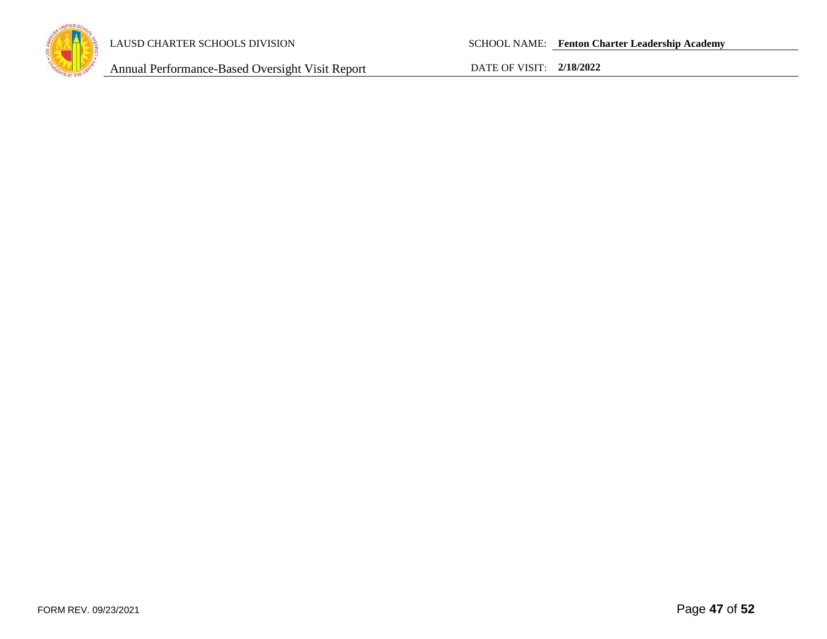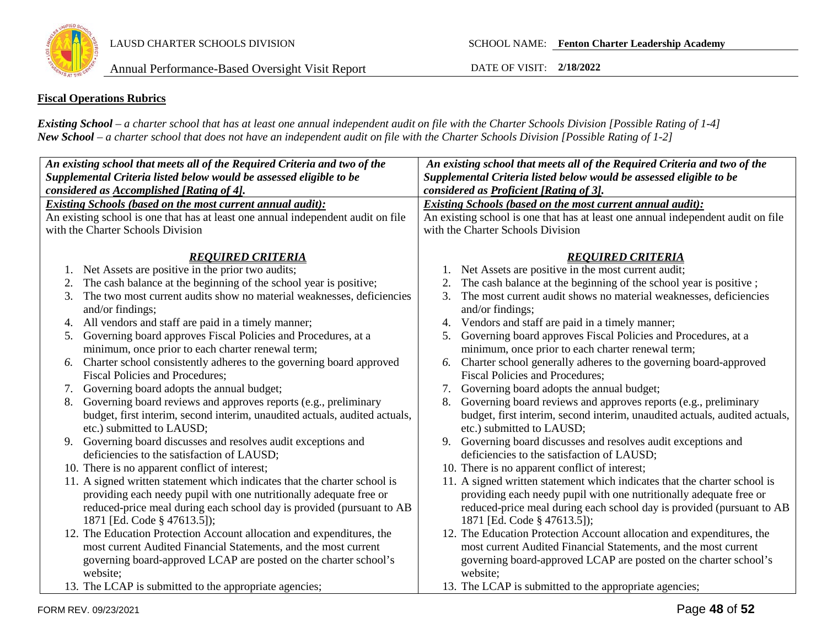

#### **Fiscal Operations Rubrics**

*Existing School – a charter school that has at least one annual independent audit on file with the Charter Schools Division [Possible Rating of 1-4] New School – a charter school that does not have an independent audit on file with the Charter Schools Division [Possible Rating of 1-2]*

| An existing school that meets all of the Required Criteria and two of the<br>Supplemental Criteria listed below would be assessed eligible to be<br>considered as Accomplished [Rating of 4]. |                                                                            | An existing school that meets all of the Required Criteria and two of the<br>Supplemental Criteria listed below would be assessed eligible to be<br>considered as Proficient [Rating of 3]. |  |  |  |  |
|-----------------------------------------------------------------------------------------------------------------------------------------------------------------------------------------------|----------------------------------------------------------------------------|---------------------------------------------------------------------------------------------------------------------------------------------------------------------------------------------|--|--|--|--|
| <b>Existing Schools (based on the most current annual audit):</b>                                                                                                                             |                                                                            | <b>Existing Schools (based on the most current annual audit):</b>                                                                                                                           |  |  |  |  |
| An existing school is one that has at least one annual independent audit on file                                                                                                              |                                                                            | An existing school is one that has at least one annual independent audit on file                                                                                                            |  |  |  |  |
| with the Charter Schools Division                                                                                                                                                             |                                                                            | with the Charter Schools Division                                                                                                                                                           |  |  |  |  |
|                                                                                                                                                                                               |                                                                            |                                                                                                                                                                                             |  |  |  |  |
|                                                                                                                                                                                               | <b>REQUIRED CRITERIA</b>                                                   | <b>REQUIRED CRITERIA</b>                                                                                                                                                                    |  |  |  |  |
| Net Assets are positive in the prior two audits;<br>1.                                                                                                                                        |                                                                            | Net Assets are positive in the most current audit;                                                                                                                                          |  |  |  |  |
| 2.                                                                                                                                                                                            | The cash balance at the beginning of the school year is positive;          | The cash balance at the beginning of the school year is positive;                                                                                                                           |  |  |  |  |
| 3.                                                                                                                                                                                            | The two most current audits show no material weaknesses, deficiencies      | The most current audit shows no material weaknesses, deficiencies<br>3.                                                                                                                     |  |  |  |  |
| and/or findings;                                                                                                                                                                              |                                                                            | and/or findings;                                                                                                                                                                            |  |  |  |  |
| All vendors and staff are paid in a timely manner;<br>4.                                                                                                                                      |                                                                            | Vendors and staff are paid in a timely manner;                                                                                                                                              |  |  |  |  |
| Governing board approves Fiscal Policies and Procedures, at a<br>5.                                                                                                                           |                                                                            | Governing board approves Fiscal Policies and Procedures, at a<br>5.                                                                                                                         |  |  |  |  |
| minimum, once prior to each charter renewal term;                                                                                                                                             |                                                                            | minimum, once prior to each charter renewal term;                                                                                                                                           |  |  |  |  |
| 6.                                                                                                                                                                                            | Charter school consistently adheres to the governing board approved        | Charter school generally adheres to the governing board-approved<br>6.                                                                                                                      |  |  |  |  |
| <b>Fiscal Policies and Procedures;</b>                                                                                                                                                        |                                                                            | <b>Fiscal Policies and Procedures;</b>                                                                                                                                                      |  |  |  |  |
| Governing board adopts the annual budget;<br>7.                                                                                                                                               |                                                                            | Governing board adopts the annual budget;<br>7.                                                                                                                                             |  |  |  |  |
| 8.                                                                                                                                                                                            | Governing board reviews and approves reports (e.g., preliminary            | Governing board reviews and approves reports (e.g., preliminary                                                                                                                             |  |  |  |  |
|                                                                                                                                                                                               | budget, first interim, second interim, unaudited actuals, audited actuals, | budget, first interim, second interim, unaudited actuals, audited actuals,                                                                                                                  |  |  |  |  |
| etc.) submitted to LAUSD;                                                                                                                                                                     |                                                                            | etc.) submitted to LAUSD;                                                                                                                                                                   |  |  |  |  |
| 9. Governing board discusses and resolves audit exceptions and                                                                                                                                |                                                                            | Governing board discusses and resolves audit exceptions and<br>9.                                                                                                                           |  |  |  |  |
| deficiencies to the satisfaction of LAUSD;                                                                                                                                                    |                                                                            | deficiencies to the satisfaction of LAUSD;                                                                                                                                                  |  |  |  |  |
| 10. There is no apparent conflict of interest;                                                                                                                                                |                                                                            | 10. There is no apparent conflict of interest;                                                                                                                                              |  |  |  |  |
|                                                                                                                                                                                               | 11. A signed written statement which indicates that the charter school is  | 11. A signed written statement which indicates that the charter school is                                                                                                                   |  |  |  |  |
|                                                                                                                                                                                               | providing each needy pupil with one nutritionally adequate free or         | providing each needy pupil with one nutritionally adequate free or                                                                                                                          |  |  |  |  |
|                                                                                                                                                                                               | reduced-price meal during each school day is provided (pursuant to AB      | reduced-price meal during each school day is provided (pursuant to AB                                                                                                                       |  |  |  |  |
| 1871 [Ed. Code § 47613.5]);                                                                                                                                                                   |                                                                            | 1871 [Ed. Code § 47613.5]);                                                                                                                                                                 |  |  |  |  |
|                                                                                                                                                                                               | 12. The Education Protection Account allocation and expenditures, the      | 12. The Education Protection Account allocation and expenditures, the                                                                                                                       |  |  |  |  |
|                                                                                                                                                                                               | most current Audited Financial Statements, and the most current            | most current Audited Financial Statements, and the most current                                                                                                                             |  |  |  |  |
|                                                                                                                                                                                               | governing board-approved LCAP are posted on the charter school's           | governing board-approved LCAP are posted on the charter school's                                                                                                                            |  |  |  |  |
| website;                                                                                                                                                                                      |                                                                            | website;                                                                                                                                                                                    |  |  |  |  |
| 13. The LCAP is submitted to the appropriate agencies;                                                                                                                                        |                                                                            | 13. The LCAP is submitted to the appropriate agencies;                                                                                                                                      |  |  |  |  |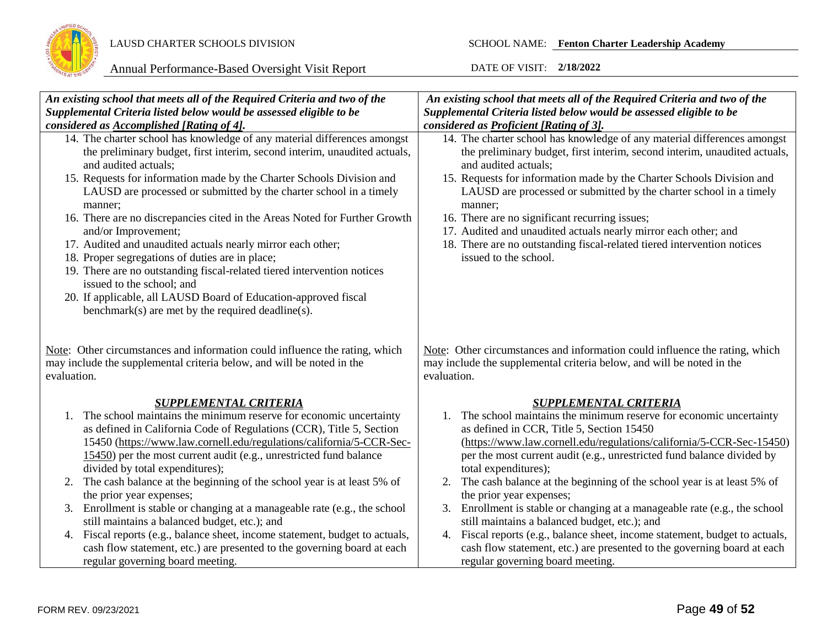

| An existing school that meets all of the Required Criteria and two of the                                                                                                                                                                                                                                                                                                                                                                                                                                                                                                                                                                                                                                                                                                                      | An existing school that meets all of the Required Criteria and two of the                                                                                                                                                                                                                                                                                                                                                                                                                                                                                        |
|------------------------------------------------------------------------------------------------------------------------------------------------------------------------------------------------------------------------------------------------------------------------------------------------------------------------------------------------------------------------------------------------------------------------------------------------------------------------------------------------------------------------------------------------------------------------------------------------------------------------------------------------------------------------------------------------------------------------------------------------------------------------------------------------|------------------------------------------------------------------------------------------------------------------------------------------------------------------------------------------------------------------------------------------------------------------------------------------------------------------------------------------------------------------------------------------------------------------------------------------------------------------------------------------------------------------------------------------------------------------|
| Supplemental Criteria listed below would be assessed eligible to be                                                                                                                                                                                                                                                                                                                                                                                                                                                                                                                                                                                                                                                                                                                            | Supplemental Criteria listed below would be assessed eligible to be                                                                                                                                                                                                                                                                                                                                                                                                                                                                                              |
| considered as Accomplished [Rating of 4].                                                                                                                                                                                                                                                                                                                                                                                                                                                                                                                                                                                                                                                                                                                                                      | considered as Proficient [Rating of 3].                                                                                                                                                                                                                                                                                                                                                                                                                                                                                                                          |
| 14. The charter school has knowledge of any material differences amongst<br>the preliminary budget, first interim, second interim, unaudited actuals,<br>and audited actuals;<br>15. Requests for information made by the Charter Schools Division and<br>LAUSD are processed or submitted by the charter school in a timely<br>manner;<br>16. There are no discrepancies cited in the Areas Noted for Further Growth<br>and/or Improvement;<br>17. Audited and unaudited actuals nearly mirror each other;<br>18. Proper segregations of duties are in place;<br>19. There are no outstanding fiscal-related tiered intervention notices<br>issued to the school; and<br>20. If applicable, all LAUSD Board of Education-approved fiscal<br>benchmark(s) are met by the required deadline(s). | 14. The charter school has knowledge of any material differences amongst<br>the preliminary budget, first interim, second interim, unaudited actuals,<br>and audited actuals;<br>15. Requests for information made by the Charter Schools Division and<br>LAUSD are processed or submitted by the charter school in a timely<br>manner;<br>16. There are no significant recurring issues;<br>17. Audited and unaudited actuals nearly mirror each other; and<br>18. There are no outstanding fiscal-related tiered intervention notices<br>issued to the school. |
| Note: Other circumstances and information could influence the rating, which<br>may include the supplemental criteria below, and will be noted in the<br>evaluation.                                                                                                                                                                                                                                                                                                                                                                                                                                                                                                                                                                                                                            | Note: Other circumstances and information could influence the rating, which<br>may include the supplemental criteria below, and will be noted in the<br>evaluation.                                                                                                                                                                                                                                                                                                                                                                                              |
| <b>SUPPLEMENTAL CRITERIA</b>                                                                                                                                                                                                                                                                                                                                                                                                                                                                                                                                                                                                                                                                                                                                                                   | <b>SUPPLEMENTAL CRITERIA</b>                                                                                                                                                                                                                                                                                                                                                                                                                                                                                                                                     |
| 1. The school maintains the minimum reserve for economic uncertainty<br>as defined in California Code of Regulations (CCR), Title 5, Section<br>15450 (https://www.law.cornell.edu/regulations/california/5-CCR-Sec-<br>15450) per the most current audit (e.g., unrestricted fund balance<br>divided by total expenditures);<br>The cash balance at the beginning of the school year is at least 5% of<br>2.                                                                                                                                                                                                                                                                                                                                                                                  | 1. The school maintains the minimum reserve for economic uncertainty<br>as defined in CCR, Title 5, Section 15450<br>(https://www.law.cornell.edu/regulations/california/5-CCR-Sec-15450)<br>per the most current audit (e.g., unrestricted fund balance divided by<br>total expenditures);<br>The cash balance at the beginning of the school year is at least 5% of<br>2.                                                                                                                                                                                      |
| the prior year expenses;                                                                                                                                                                                                                                                                                                                                                                                                                                                                                                                                                                                                                                                                                                                                                                       | the prior year expenses;                                                                                                                                                                                                                                                                                                                                                                                                                                                                                                                                         |
| Enrollment is stable or changing at a manageable rate (e.g., the school<br>3.<br>still maintains a balanced budget, etc.); and                                                                                                                                                                                                                                                                                                                                                                                                                                                                                                                                                                                                                                                                 | 3. Enrollment is stable or changing at a manageable rate (e.g., the school<br>still maintains a balanced budget, etc.); and                                                                                                                                                                                                                                                                                                                                                                                                                                      |
| 4. Fiscal reports (e.g., balance sheet, income statement, budget to actuals,<br>cash flow statement, etc.) are presented to the governing board at each<br>regular governing board meeting.                                                                                                                                                                                                                                                                                                                                                                                                                                                                                                                                                                                                    | 4. Fiscal reports (e.g., balance sheet, income statement, budget to actuals,<br>cash flow statement, etc.) are presented to the governing board at each<br>regular governing board meeting.                                                                                                                                                                                                                                                                                                                                                                      |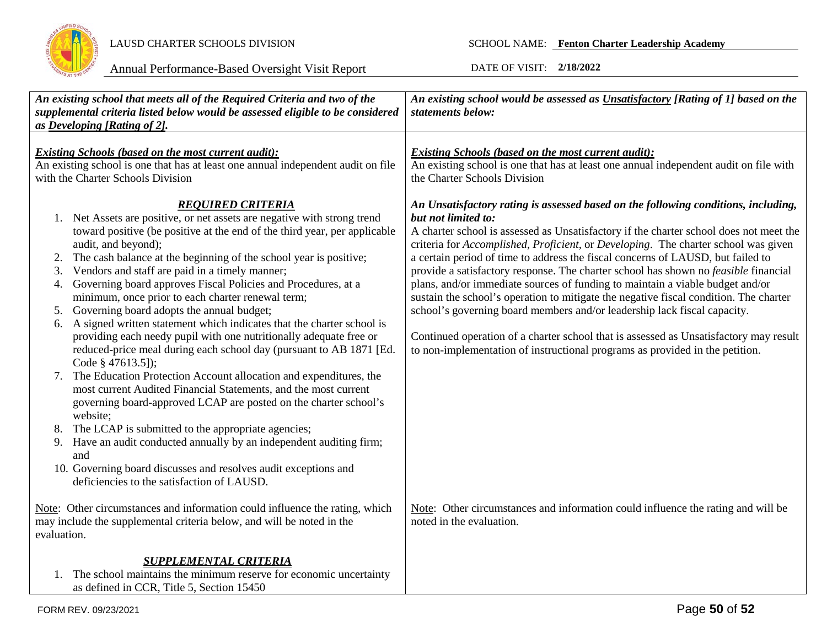

| An existing school that meets all of the Required Criteria and two of the<br>supplemental criteria listed below would be assessed eligible to be considered<br>as Developing [Rating of 2].                                                                                                                                                                                                                                                                                                                                                                                                                                                                                                                                                                                 | An existing school would be assessed as Unsatisfactory [Rating of 1] based on the<br>statements below:                                                                                                                                                                                                                                                                                                                                                                                                                                                                                                                                                                                                                                                                                                                                                                                             |
|-----------------------------------------------------------------------------------------------------------------------------------------------------------------------------------------------------------------------------------------------------------------------------------------------------------------------------------------------------------------------------------------------------------------------------------------------------------------------------------------------------------------------------------------------------------------------------------------------------------------------------------------------------------------------------------------------------------------------------------------------------------------------------|----------------------------------------------------------------------------------------------------------------------------------------------------------------------------------------------------------------------------------------------------------------------------------------------------------------------------------------------------------------------------------------------------------------------------------------------------------------------------------------------------------------------------------------------------------------------------------------------------------------------------------------------------------------------------------------------------------------------------------------------------------------------------------------------------------------------------------------------------------------------------------------------------|
| <b>Existing Schools (based on the most current audit):</b><br>An existing school is one that has at least one annual independent audit on file<br>with the Charter Schools Division                                                                                                                                                                                                                                                                                                                                                                                                                                                                                                                                                                                         | <b>Existing Schools (based on the most current audit):</b><br>An existing school is one that has at least one annual independent audit on file with<br>the Charter Schools Division                                                                                                                                                                                                                                                                                                                                                                                                                                                                                                                                                                                                                                                                                                                |
| <b>REOUIRED CRITERIA</b><br>1. Net Assets are positive, or net assets are negative with strong trend<br>toward positive (be positive at the end of the third year, per applicable<br>audit, and beyond);<br>The cash balance at the beginning of the school year is positive;<br>2.<br>Vendors and staff are paid in a timely manner;<br>3.<br>Governing board approves Fiscal Policies and Procedures, at a<br>4.<br>minimum, once prior to each charter renewal term;<br>Governing board adopts the annual budget;<br>5.<br>A signed written statement which indicates that the charter school is<br>6.<br>providing each needy pupil with one nutritionally adequate free or<br>reduced-price meal during each school day (pursuant to AB 1871 [Ed.<br>Code § 47613.5]); | An Unsatisfactory rating is assessed based on the following conditions, including,<br>but not limited to:<br>A charter school is assessed as Unsatisfactory if the charter school does not meet the<br>criteria for Accomplished, Proficient, or Developing. The charter school was given<br>a certain period of time to address the fiscal concerns of LAUSD, but failed to<br>provide a satisfactory response. The charter school has shown no feasible financial<br>plans, and/or immediate sources of funding to maintain a viable budget and/or<br>sustain the school's operation to mitigate the negative fiscal condition. The charter<br>school's governing board members and/or leadership lack fiscal capacity.<br>Continued operation of a charter school that is assessed as Unsatisfactory may result<br>to non-implementation of instructional programs as provided in the petition. |
| The Education Protection Account allocation and expenditures, the<br>most current Audited Financial Statements, and the most current<br>governing board-approved LCAP are posted on the charter school's<br>website;<br>The LCAP is submitted to the appropriate agencies;<br>8.<br>Have an audit conducted annually by an independent auditing firm;<br>9.<br>and<br>10. Governing board discusses and resolves audit exceptions and<br>deficiencies to the satisfaction of LAUSD.                                                                                                                                                                                                                                                                                         |                                                                                                                                                                                                                                                                                                                                                                                                                                                                                                                                                                                                                                                                                                                                                                                                                                                                                                    |
| Note: Other circumstances and information could influence the rating, which<br>may include the supplemental criteria below, and will be noted in the<br>evaluation.                                                                                                                                                                                                                                                                                                                                                                                                                                                                                                                                                                                                         | Note: Other circumstances and information could influence the rating and will be<br>noted in the evaluation.                                                                                                                                                                                                                                                                                                                                                                                                                                                                                                                                                                                                                                                                                                                                                                                       |
| <b>SUPPLEMENTAL CRITERIA</b><br>1. The school maintains the minimum reserve for economic uncertainty<br>as defined in CCR, Title 5, Section 15450                                                                                                                                                                                                                                                                                                                                                                                                                                                                                                                                                                                                                           |                                                                                                                                                                                                                                                                                                                                                                                                                                                                                                                                                                                                                                                                                                                                                                                                                                                                                                    |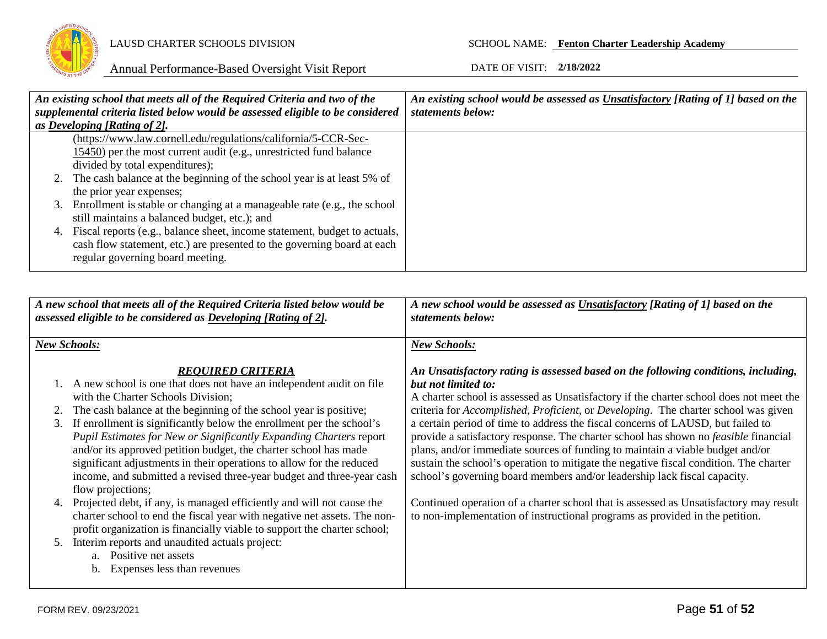

|    | An existing school that meets all of the Required Criteria and two of the      | An existing school would be assessed as Unsatisfactory [Rating of 1] based on the |
|----|--------------------------------------------------------------------------------|-----------------------------------------------------------------------------------|
|    | supplemental criteria listed below would be assessed eligible to be considered | statements below:                                                                 |
|    | as Developing [Rating of 2].                                                   |                                                                                   |
|    | (https://www.law.cornell.edu/regulations/california/5-CCR-Sec-                 |                                                                                   |
|    | 15450) per the most current audit (e.g., unrestricted fund balance             |                                                                                   |
|    | divided by total expenditures);                                                |                                                                                   |
|    | 2. The cash balance at the beginning of the school year is at least 5% of      |                                                                                   |
|    | the prior year expenses;                                                       |                                                                                   |
|    | 3. Enrollment is stable or changing at a manageable rate (e.g., the school     |                                                                                   |
|    | still maintains a balanced budget, etc.); and                                  |                                                                                   |
| 4. | Fiscal reports (e.g., balance sheet, income statement, budget to actuals,      |                                                                                   |
|    | cash flow statement, etc.) are presented to the governing board at each        |                                                                                   |
|    | regular governing board meeting.                                               |                                                                                   |
|    |                                                                                |                                                                                   |

|          | A new school that meets all of the Required Criteria listed below would be<br>assessed eligible to be considered as Developing [Rating of 2].                                                                                                                                                                                                                                                                                                                                                                                                                                                         | A new school would be assessed as <i>Unsatisfactory</i> [Rating of 1] based on the<br>statements below:                                                                                                                                                                                                                                                                                                                                                                                                                                                                                                                                                                                                                                          |
|----------|-------------------------------------------------------------------------------------------------------------------------------------------------------------------------------------------------------------------------------------------------------------------------------------------------------------------------------------------------------------------------------------------------------------------------------------------------------------------------------------------------------------------------------------------------------------------------------------------------------|--------------------------------------------------------------------------------------------------------------------------------------------------------------------------------------------------------------------------------------------------------------------------------------------------------------------------------------------------------------------------------------------------------------------------------------------------------------------------------------------------------------------------------------------------------------------------------------------------------------------------------------------------------------------------------------------------------------------------------------------------|
|          | <b>New Schools:</b>                                                                                                                                                                                                                                                                                                                                                                                                                                                                                                                                                                                   | <b>New Schools:</b>                                                                                                                                                                                                                                                                                                                                                                                                                                                                                                                                                                                                                                                                                                                              |
| 3.       | <b>REOUIRED CRITERIA</b><br>1. A new school is one that does not have an independent audit on file<br>with the Charter Schools Division;<br>The cash balance at the beginning of the school year is positive;<br>If enrollment is significantly below the enrollment per the school's<br>Pupil Estimates for New or Significantly Expanding Charters report<br>and/or its approved petition budget, the charter school has made<br>significant adjustments in their operations to allow for the reduced<br>income, and submitted a revised three-year budget and three-year cash<br>flow projections; | An Unsatisfactory rating is assessed based on the following conditions, including,<br>but not limited to:<br>A charter school is assessed as Unsatisfactory if the charter school does not meet the<br>criteria for <i>Accomplished, Proficient</i> , or <i>Developing</i> . The charter school was given<br>a certain period of time to address the fiscal concerns of LAUSD, but failed to<br>provide a satisfactory response. The charter school has shown no <i>feasible</i> financial<br>plans, and/or immediate sources of funding to maintain a viable budget and/or<br>sustain the school's operation to mitigate the negative fiscal condition. The charter<br>school's governing board members and/or leadership lack fiscal capacity. |
| 4.<br>5. | Projected debt, if any, is managed efficiently and will not cause the<br>charter school to end the fiscal year with negative net assets. The non-<br>profit organization is financially viable to support the charter school;<br>Interim reports and unaudited actuals project:<br>a. Positive net assets<br>Expenses less than revenues<br>$b_{1}$                                                                                                                                                                                                                                                   | Continued operation of a charter school that is assessed as Unsatisfactory may result<br>to non-implementation of instructional programs as provided in the petition.                                                                                                                                                                                                                                                                                                                                                                                                                                                                                                                                                                            |